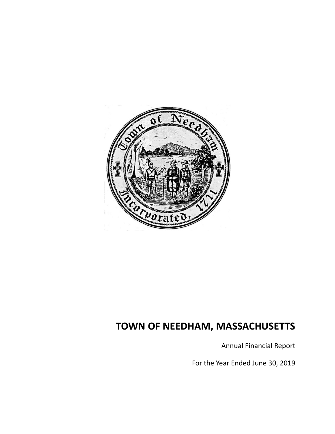

Annual Financial Report

For the Year Ended June 30, 2019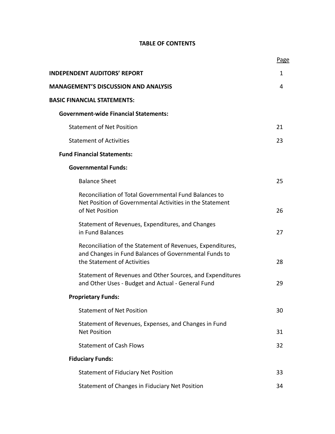## **TABLE OF CONTENTS**

|                                                                                                                                                    | Page |
|----------------------------------------------------------------------------------------------------------------------------------------------------|------|
| <b>INDEPENDENT AUDITORS' REPORT</b>                                                                                                                | 1    |
| <b>MANAGEMENT'S DISCUSSION AND ANALYSIS</b>                                                                                                        | 4    |
| <b>BASIC FINANCIAL STATEMENTS:</b>                                                                                                                 |      |
| <b>Government-wide Financial Statements:</b>                                                                                                       |      |
| <b>Statement of Net Position</b>                                                                                                                   | 21   |
| <b>Statement of Activities</b>                                                                                                                     | 23   |
| <b>Fund Financial Statements:</b>                                                                                                                  |      |
| <b>Governmental Funds:</b>                                                                                                                         |      |
| <b>Balance Sheet</b>                                                                                                                               | 25   |
| Reconciliation of Total Governmental Fund Balances to<br>Net Position of Governmental Activities in the Statement<br>of Net Position               | 26   |
| Statement of Revenues, Expenditures, and Changes<br>in Fund Balances                                                                               | 27   |
| Reconciliation of the Statement of Revenues, Expenditures,<br>and Changes in Fund Balances of Governmental Funds to<br>the Statement of Activities | 28   |
| Statement of Revenues and Other Sources, and Expenditures<br>and Other Uses - Budget and Actual - General Fund                                     | 29   |
| <b>Proprietary Funds:</b>                                                                                                                          |      |
| <b>Statement of Net Position</b>                                                                                                                   | 30   |
| Statement of Revenues, Expenses, and Changes in Fund<br><b>Net Position</b>                                                                        | 31   |
| <b>Statement of Cash Flows</b>                                                                                                                     | 32   |
| <b>Fiduciary Funds:</b>                                                                                                                            |      |
| <b>Statement of Fiduciary Net Position</b>                                                                                                         | 33   |
| Statement of Changes in Fiduciary Net Position                                                                                                     | 34   |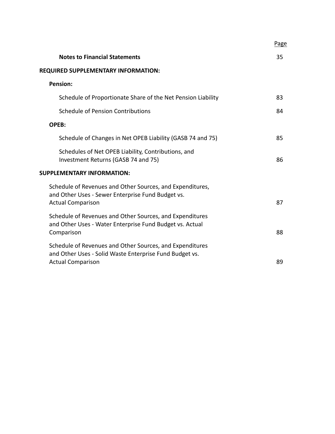|                                                                                                                                                 | Page |
|-------------------------------------------------------------------------------------------------------------------------------------------------|------|
| <b>Notes to Financial Statements</b>                                                                                                            | 35   |
| REQUIRED SUPPLEMENTARY INFORMATION:                                                                                                             |      |
| <b>Pension:</b>                                                                                                                                 |      |
| Schedule of Proportionate Share of the Net Pension Liability                                                                                    | 83   |
| Schedule of Pension Contributions                                                                                                               | 84   |
| OPEB:                                                                                                                                           |      |
| Schedule of Changes in Net OPEB Liability (GASB 74 and 75)                                                                                      | 85   |
| Schedules of Net OPEB Liability, Contributions, and<br>Investment Returns (GASB 74 and 75)                                                      | 86   |
| <b>SUPPLEMENTARY INFORMATION:</b>                                                                                                               |      |
| Schedule of Revenues and Other Sources, and Expenditures,<br>and Other Uses - Sewer Enterprise Fund Budget vs.<br><b>Actual Comparison</b>      | 87   |
| Schedule of Revenues and Other Sources, and Expenditures<br>and Other Uses - Water Enterprise Fund Budget vs. Actual<br>Comparison              | 88   |
| Schedule of Revenues and Other Sources, and Expenditures<br>and Other Uses - Solid Waste Enterprise Fund Budget vs.<br><b>Actual Comparison</b> | 89   |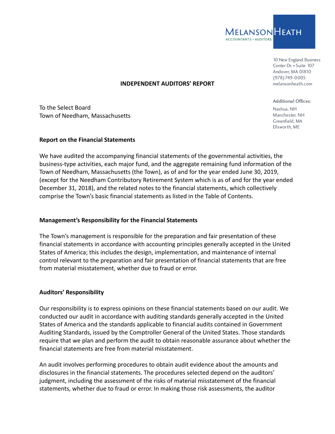

10 New England Business Center Dr. • Suite 107 Andover, MA 01810 (978)749-0005 melansonheath.com

## **INDEPENDENT AUDITORS' REPORT**

To the Select Board Town of Needham, Massachusetts

## **Report on the Financial Statements**

We have audited the accompanying financial statements of the governmental activities, the business‐type activities, each major fund, and the aggregate remaining fund information of the Town of Needham, Massachusetts (the Town), as of and for the year ended June 30, 2019, (except for the Needham Contributory Retirement System which is as of and for the year ended December 31, 2018), and the related notes to the financial statements, which collectively comprise the Town's basic financial statements as listed in the Table of Contents.

## **Management's Responsibility for the Financial Statements**

The Town's management is responsible for the preparation and fair presentation of these financial statements in accordance with accounting principles generally accepted in the United States of America; this includes the design, implementation, and maintenance of internal control relevant to the preparation and fair presentation of financial statements that are free from material misstatement, whether due to fraud or error.

## **Auditors' Responsibility**

Our responsibility is to express opinions on these financial statements based on our audit. We conducted our audit in accordance with auditing standards generally accepted in the United States of America and the standards applicable to financial audits contained in Government Auditing Standards, issued by the Comptroller General of the United States. Those standards require that we plan and perform the audit to obtain reasonable assurance about whether the financial statements are free from material misstatement.

An audit involves performing procedures to obtain audit evidence about the amounts and disclosures in the financial statements. The procedures selected depend on the auditors' judgment, including the assessment of the risks of material misstatement of the financial statements, whether due to fraud or error. In making those risk assessments, the auditor

Additional Offices: Nashua, NH Manchester, NH Greenfield, MA Ellsworth, ME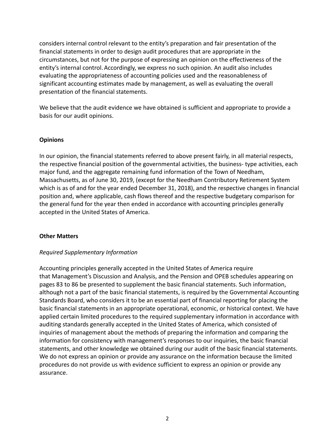considers internal control relevant to the entity's preparation and fair presentation of the financial statements in order to design audit procedures that are appropriate in the circumstances, but not for the purpose of expressing an opinion on the effectiveness of the entity's internal control. Accordingly, we express no such opinion. An audit also includes evaluating the appropriateness of accounting policies used and the reasonableness of significant accounting estimates made by management, as well as evaluating the overall presentation of the financial statements.

We believe that the audit evidence we have obtained is sufficient and appropriate to provide a basis for our audit opinions.

## **Opinions**

In our opinion, the financial statements referred to above present fairly, in all material respects, the respective financial position of the governmental activities, the business‐ type activities, each major fund, and the aggregate remaining fund information of the Town of Needham, Massachusetts, as of June 30, 2019, (except for the Needham Contributory Retirement System which is as of and for the year ended December 31, 2018), and the respective changes in financial position and, where applicable, cash flows thereof and the respective budgetary comparison for the general fund for the year then ended in accordance with accounting principles generally accepted in the United States of America.

## **Other Matters**

## *Required Supplementary Information*

Accounting principles generally accepted in the United States of America require that Management's Discussion and Analysis, and the Pension and OPEB schedules appearing on pages 83 to 86 be presented to supplement the basic financial statements. Such information, although not a part of the basic financial statements, is required by the Governmental Accounting Standards Board, who considers it to be an essential part of financial reporting for placing the basic financial statements in an appropriate operational, economic, or historical context. We have applied certain limited procedures to the required supplementary information in accordance with auditing standards generally accepted in the United States of America, which consisted of inquiries of management about the methods of preparing the information and comparing the information for consistency with management's responses to our inquiries, the basic financial statements, and other knowledge we obtained during our audit of the basic financial statements. We do not express an opinion or provide any assurance on the information because the limited procedures do not provide us with evidence sufficient to express an opinion or provide any assurance.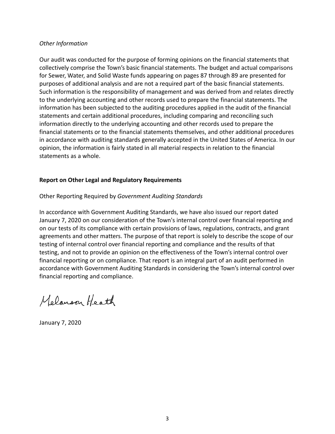## *Other Information*

Our audit was conducted for the purpose of forming opinions on the financial statements that collectively comprise the Town's basic financial statements. The budget and actual comparisons for Sewer, Water, and Solid Waste funds appearing on pages 87 through 89 are presented for purposes of additional analysis and are not a required part of the basic financial statements. Such information is the responsibility of management and was derived from and relates directly to the underlying accounting and other records used to prepare the financial statements. The information has been subjected to the auditing procedures applied in the audit of the financial statements and certain additional procedures, including comparing and reconciling such information directly to the underlying accounting and other records used to prepare the financial statements or to the financial statements themselves, and other additional procedures in accordance with auditing standards generally accepted in the United States of America. In our opinion, the information is fairly stated in all material respects in relation to the financial statements as a whole.

## **Report on Other Legal and Regulatory Requirements**

## Other Reporting Required by *Government Auditing Standards*

In accordance with Government Auditing Standards, we have also issued our report dated January 7, 2020 on our consideration of the Town's internal control over financial reporting and on our tests of its compliance with certain provisions of laws, regulations, contracts, and grant agreements and other matters. The purpose of that report is solely to describe the scope of our testing of internal control over financial reporting and compliance and the results of that testing, and not to provide an opinion on the effectiveness of the Town's internal control over financial reporting or on compliance. That report is an integral part of an audit performed in accordance with Government Auditing Standards in considering the Town's internal control over financial reporting and compliance.

Melanson Heath

January 7, 2020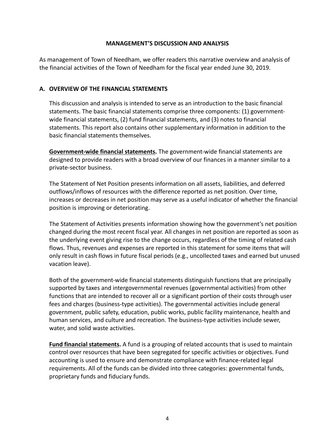## **MANAGEMENT'S DISCUSSION AND ANALYSIS**

As management of Town of Needham, we offer readers this narrative overview and analysis of the financial activities of the Town of Needham for the fiscal year ended June 30, 2019.

## **A. OVERVIEW OF THE FINANCIAL STATEMENTS**

This discussion and analysis is intended to serve as an introduction to the basic financial statements. The basic financial statements comprise three components: (1) government‐ wide financial statements, (2) fund financial statements, and (3) notes to financial statements. This report also contains other supplementary information in addition to the basic financial statements themselves.

**Government‐wide financial statements.** The government‐wide financial statements are designed to provide readers with a broad overview of our finances in a manner similar to a private‐sector business.

The Statement of Net Position presents information on all assets, liabilities, and deferred outflows/inflows of resources with the difference reported as net position. Over time, increases or decreases in net position may serve as a useful indicator of whether the financial position is improving or deteriorating.

The Statement of Activities presents information showing how the government's net position changed during the most recent fiscal year. All changes in net position are reported as soon as the underlying event giving rise to the change occurs, regardless of the timing of related cash flows. Thus, revenues and expenses are reported in this statement for some items that will only result in cash flows in future fiscal periods (e.g., uncollected taxes and earned but unused vacation leave).

Both of the government‐wide financial statements distinguish functions that are principally supported by taxes and intergovernmental revenues (governmental activities) from other functions that are intended to recover all or a significant portion of their costs through user fees and charges (business-type activities). The governmental activities include general government, public safety, education, public works, public facility maintenance, health and human services, and culture and recreation. The business-type activities include sewer, water, and solid waste activities.

**Fund financial statements.** A fund is a grouping of related accounts that is used to maintain control over resources that have been segregated for specific activities or objectives. Fund accounting is used to ensure and demonstrate compliance with finance‐related legal requirements. All of the funds can be divided into three categories: governmental funds, proprietary funds and fiduciary funds.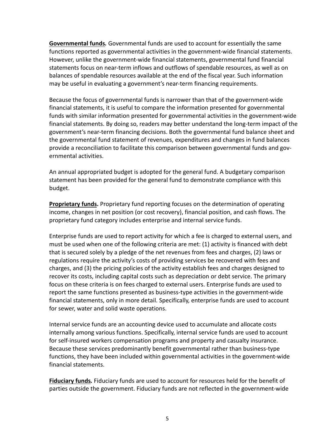**Governmental funds***.* Governmental funds are used to account for essentially the same functions reported as governmental activities in the government-wide financial statements. However, unlike the government‐wide financial statements, governmental fund financial statements focus on near‐term inflows and outflows of spendable resources, as well as on balances of spendable resources available at the end of the fiscal year. Such information may be useful in evaluating a government's near‐term financing requirements.

Because the focus of governmental funds is narrower than that of the government‐wide financial statements, it is useful to compare the information presented for governmental funds with similar information presented for governmental activities in the government‐wide financial statements. By doing so, readers may better understand the long‐term impact of the government's near‐term financing decisions. Both the governmental fund balance sheet and the governmental fund statement of revenues, expenditures and changes in fund balances provide a reconciliation to facilitate this comparison between governmental funds and governmental activities.

An annual appropriated budget is adopted for the general fund. A budgetary comparison statement has been provided for the general fund to demonstrate compliance with this budget.

**Proprietary funds.** Proprietary fund reporting focuses on the determination of operating income, changes in net position (or cost recovery), financial position, and cash flows. The proprietary fund category includes enterprise and internal service funds.

Enterprise funds are used to report activity for which a fee is charged to external users, and must be used when one of the following criteria are met: (1) activity is financed with debt that is secured solely by a pledge of the net revenues from fees and charges, (2) laws or regulations require the activity's costs of providing services be recovered with fees and charges, and (3) the pricing policies of the activity establish fees and charges designed to recover its costs, including capital costs such as depreciation or debt service. The primary focus on these criteria is on fees charged to external users. Enterprise funds are used to report the same functions presented as business-type activities in the government-wide financial statements, only in more detail. Specifically, enterprise funds are used to account for sewer, water and solid waste operations.

Internal service funds are an accounting device used to accumulate and allocate costs internally among various functions. Specifically, internal service funds are used to account for self-insured workers compensation programs and property and casualty insurance. Because these services predominantly benefit governmental rather than business‐type functions, they have been included within governmental activities in the government‐wide financial statements.

**Fiduciary funds***.* Fiduciary funds are used to account for resources held for the benefit of parties outside the government. Fiduciary funds are not reflected in the government-wide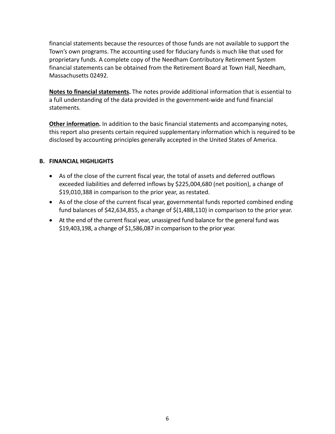financial statements because the resources of those funds are not available to support the Town's own programs. The accounting used for fiduciary funds is much like that used for proprietary funds. A complete copy of the Needham Contributory Retirement System financial statements can be obtained from the Retirement Board at Town Hall, Needham, Massachusetts 02492.

**Notes to financial statements.** The notes provide additional information that is essential to a full understanding of the data provided in the government‐wide and fund financial statements.

**Other information.** In addition to the basic financial statements and accompanying notes, this report also presents certain required supplementary information which is required to be disclosed by accounting principles generally accepted in the United States of America.

## **B. FINANCIAL HIGHLIGHTS**

- As of the close of the current fiscal year, the total of assets and deferred outflows exceeded liabilities and deferred inflows by \$225,004,680 (net position), a change of \$19,010,388 in comparison to the prior year, as restated.
- As of the close of the current fiscal year, governmental funds reported combined ending fund balances of \$42,634,855, a change of \$(1,488,110) in comparison to the prior year.
- At the end of the current fiscal year, unassigned fund balance for the general fund was \$19,403,198, a change of \$1,586,087 in comparison to the prior year.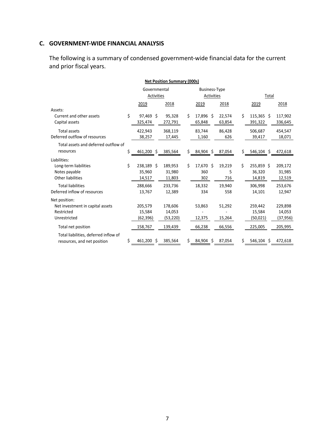## **C. GOVERNMENT‐WIDE FINANCIAL ANALYSIS**

The following is a summary of condensed government‐wide financial data for the current and prior fiscal years.

| <b>Net Position Summary (000s)</b>                                                |                                                                                                                            |                                                                  |  |  |  |  |  |  |
|-----------------------------------------------------------------------------------|----------------------------------------------------------------------------------------------------------------------------|------------------------------------------------------------------|--|--|--|--|--|--|
|                                                                                   | Governmental<br><b>Business-Type</b><br>Activities<br>Activities                                                           | Total                                                            |  |  |  |  |  |  |
|                                                                                   | 2019<br>2019<br>2018<br>2018                                                                                               | 2019<br>2018                                                     |  |  |  |  |  |  |
| Assets:<br>Ś.<br>Current and other assets<br>Capital assets                       | \$<br>97,469 \$<br>95,328<br>17,896 \$<br>22,574<br>Ś.<br>65,848<br>325,474<br>272,791<br>63,854                           | $115,365$ \$<br>117,902<br>391,322<br>336,645                    |  |  |  |  |  |  |
| <b>Total assets</b><br>Deferred outflow of resources                              | 422,943<br>368,119<br>83,744<br>86,428<br>626<br>1,160<br>38,257<br>17,445                                                 | 506,687<br>454,547<br>39,417<br>18,071                           |  |  |  |  |  |  |
| Total assets and deferred outflow of<br>Ś<br>resources                            | Ś.<br>461,200 \$<br>385,564<br>84,904 \$<br>87,054<br>Ś.                                                                   | $546,104$ \$<br>472,618                                          |  |  |  |  |  |  |
| Liabilities:<br>\$<br>Long-term liabilities<br>Notes payable<br>Other liabilities | \$<br>238.189 \$<br>17,670 \$<br>Ś.<br>189,953<br>19,219<br>360<br>35,960<br>31,980<br>5<br>302<br>716<br>14,517<br>11,803 | 255,859 \$<br>209,172<br>36,320<br>31,985<br>14,819<br>12,519    |  |  |  |  |  |  |
| <b>Total liabilities</b><br>Deferred inflow of resources                          | 288,666<br>233,736<br>18,332<br>19,940<br>334<br>558<br>13,767<br>12,389                                                   | 306,998<br>253,676<br>14,101<br>12,947                           |  |  |  |  |  |  |
| Net position:<br>Net investment in capital assets<br>Restricted<br>Unrestricted   | 178,606<br>205,579<br>53,863<br>51,292<br>15,584<br>14,053<br>12,375<br>15,264<br>(62,396)<br>(53, 220)                    | 259,442<br>229,898<br>15,584<br>14,053<br>(37, 956)<br>(50, 021) |  |  |  |  |  |  |
| Total net position<br>Total liabilities, deferred inflow of                       | 66,556<br>158,767<br>139,439<br>66,238                                                                                     | 225,005<br>205,995<br>472,618                                    |  |  |  |  |  |  |
| \$<br>resources, and net position                                                 | \$<br>461,200<br>84,904 \$<br>385,564<br>87,054<br>Ś<br>S                                                                  | 546,104 \$                                                       |  |  |  |  |  |  |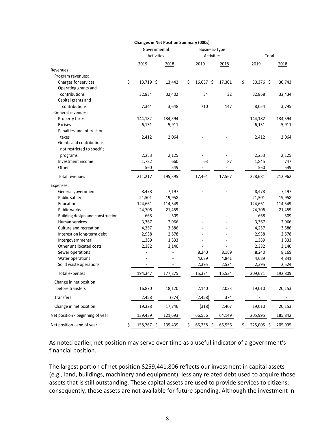|                                  |                  |                          | <u>Changes in Net Position Summary (UUUS)</u> |                      |                  |         |
|----------------------------------|------------------|--------------------------|-----------------------------------------------|----------------------|------------------|---------|
|                                  |                  | Governmental             |                                               | <b>Business-Type</b> |                  |         |
|                                  |                  | Activities<br>Activities |                                               |                      | Total            |         |
|                                  | 2019             | 2018                     | 2019                                          | 2018                 | 2019             | 2018    |
| Revenues:                        |                  |                          |                                               |                      |                  |         |
| Program revenues:                |                  |                          |                                               |                      |                  |         |
| Charges for services             | \$<br>13,719 \$  | 13,442                   | \$<br>$16,657$ \$                             | 17,301               | \$<br>30,376 \$  | 30,743  |
| Operating grants and             |                  |                          |                                               |                      |                  |         |
| contributions                    | 32,834           | 32,402                   | 34                                            | 32                   | 32,868           | 32,434  |
| Capital grants and               |                  |                          |                                               |                      |                  |         |
| contributions                    | 7,344            | 3,648                    | 710                                           | 147                  | 8,054            | 3,795   |
| General revenues:                |                  |                          |                                               |                      |                  |         |
| Property taxes                   | 144,182          | 134,594                  |                                               |                      | 144,182          | 134,594 |
| <b>Excises</b>                   | 6,131            | 5,911                    |                                               |                      | 6,131            | 5,911   |
| Penalties and interest on        |                  |                          |                                               |                      |                  |         |
| taxes                            | 2,412            | 2,064                    |                                               |                      | 2,412            | 2,064   |
| Grants and contributions         |                  |                          |                                               |                      |                  |         |
| not restricted to specific       |                  |                          |                                               |                      |                  |         |
| programs                         | 2,253            | 2,125                    |                                               |                      | 2,253            | 2,125   |
| Investment income                | 1,782            | 660                      | 63                                            | 87                   | 1,845            | 747     |
| Other                            | 560              | 549                      | ÷,                                            |                      | 560              | 549     |
| Total revenues                   | 211,217          | 195,395                  | 17,464                                        | 17,567               | 228,681          | 212,962 |
| Expenses:                        |                  |                          |                                               |                      |                  |         |
| General government               | 8,478            | 7,197                    |                                               |                      | 8,478            | 7,197   |
| Public safety                    | 21,501           | 19,958                   |                                               |                      | 21,501           | 19,958  |
| Education                        | 124,661          | 114,549                  |                                               |                      | 124,661          | 114,549 |
| Public works                     | 24,706           | 21,459                   |                                               |                      | 24,706           | 21,459  |
| Building design and construction | 668              | 509                      |                                               |                      | 668              | 509     |
| Human services                   | 3,367            | 2,966                    |                                               |                      | 3,367            | 2,966   |
| Culture and recreation           | 4,257            | 3,586                    | ٠                                             |                      | 4,257            | 3,586   |
| Interest on long-term debt       | 2,938            | 2,578                    |                                               |                      | 2,938            | 2,578   |
| Intergovernmental                | 1,389            | 1,333                    |                                               |                      | 1,389            | 1,333   |
| Other unallocated costs          | 2,382            | 3,140                    | ÷                                             |                      | 2,382            | 3,140   |
| Sewer operations                 |                  |                          | 8,240                                         | 8,169                | 8,240            | 8,169   |
| Water operations                 |                  |                          | 4,689                                         | 4,841                | 4,689            | 4,841   |
| Solid waste operations           |                  |                          | 2,395                                         | 2,524                | 2,395            | 2,524   |
| Total expenses                   | 194,347          | 177,275                  | 15,324                                        | 15,534               | 209,671          | 192,809 |
| Change in net position           |                  |                          |                                               |                      |                  |         |
| before transfers                 | 16,870           | 18,120                   | 2,140                                         | 2,033                | 19,010           | 20,153  |
| Transfers                        | 2,458            | (374)                    | (2, 458)                                      | 374                  |                  |         |
| Change in net position           | 19,328           | 17,746                   | (318)                                         | 2,407                | 19,010           | 20,153  |
| Net position - beginning of year | 139,439          | 121,693                  | 66,556                                        | 64,149               | 205,995          | 185,842 |
| Net position - end of year       | \$<br>158,767 \$ | 139,439                  | \$<br>66,238 \$                               | 66,556               | 225,005 \$<br>\$ | 205,995 |

**Changes in Net Position Summary (000s)**

As noted earlier, net position may serve over time as a useful indicator of a government's financial position.

The largest portion of net position \$259,441,806 reflects our investment in capital assets (e.g., land, buildings, machinery and equipment); less any related debt used to acquire those assets that is still outstanding. These capital assets are used to provide services to citizens; consequently, these assets are not available for future spending. Although the investment in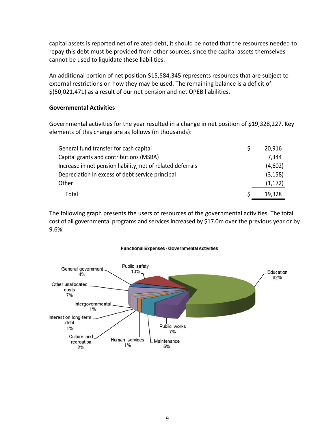capital assets is reported net of related debt, it should be noted that the resources needed to repay this debt must be provided from other sources, since the capital assets themselves cannot be used to liquidate these liabilities.

An additional portion of net position \$15,584,345 represents resources that are subject to external restrictions on how they may be used. The remaining balance is a deficit of \$(50,021,471) as a result of our net pension and net OPEB liabilities.

## **Governmental Activities**

Governmental activities for the year resulted in a change in net position of \$19,328,227. Key elements of this change are as follows (in thousands):

| General fund transfer for cash capital                      | 20,916   |
|-------------------------------------------------------------|----------|
| Capital grants and contributions (MSBA)                     | 7,344    |
| Increase in net pension liability, net of related deferrals | (4,602)  |
| Depreciation in excess of debt service principal            | (3, 158) |
| Other                                                       | (1, 172) |
| Total                                                       | 19,328   |

The following graph presents the users of resources of the governmental activities. The total cost of all governmental programs and services increased by \$17.0m over the previous year or by 9.6%.



### **Functional Expenses - Governmental Activities**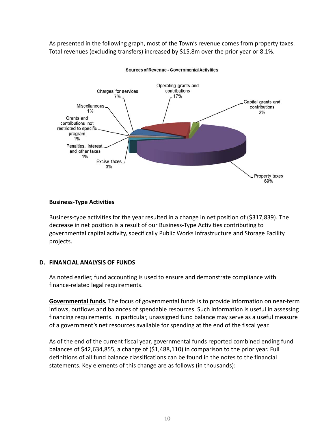As presented in the following graph, most of the Town's revenue comes from property taxes. Total revenues (excluding transfers) increased by \$15.8m over the prior year or 8.1%.



**Sources of Revenue - Governmental Activities** 

## **Business-Type Activities**

Business-type activities for the year resulted in a change in net position of (\$317,839). The decrease in net position is a result of our Business-Type Activities contributing to governmental capital activity, specifically Public Works Infrastructure and Storage Facility projects.

## **D. FINANCIAL ANALYSIS OF FUNDS**

As noted earlier, fund accounting is used to ensure and demonstrate compliance with finance-related legal requirements.

**Governmental funds***.* The focus of governmental funds is to provide information on near-term inflows, outflows and balances of spendable resources. Such information is useful in assessing financing requirements. In particular, unassigned fund balance may serve as a useful measure of a government's net resources available for spending at the end of the fiscal year.

As of the end of the current fiscal year, governmental funds reported combined ending fund balances of \$42,634,855, a change of (\$1,488,110) in comparison to the prior year. Full definitions of all fund balance classifications can be found in the notes to the financial statements. Key elements of this change are as follows (in thousands):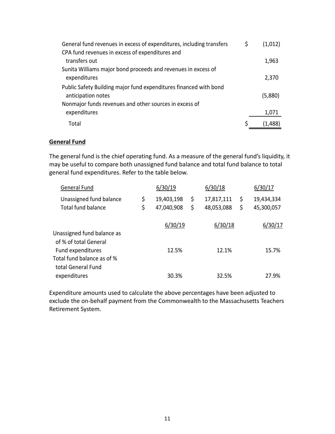| General fund revenues in excess of expenditures, including transfers | (1,012) |
|----------------------------------------------------------------------|---------|
| CPA fund revenues in excess of expenditures and                      |         |
| transfers out                                                        | 1,963   |
| Sunita Williams major bond proceeds and revenues in excess of        |         |
| expenditures                                                         | 2,370   |
| Public Safety Building major fund expenditures financed with bond    |         |
| anticipation notes                                                   | (5,880) |
| Nonmajor funds revenues and other sources in excess of               |         |
| expenditures                                                         | 1,071   |
| Total                                                                | (1,488) |

## **General Fund**

The general fund is the chief operating fund. As a measure of the general fund's liquidity, it may be useful to compare both unassigned fund balance and total fund balance to total general fund expenditures. Refer to the table below.

| General Fund                                                             |          | 6/30/19                  |          | 6/30/18                  |          | 6/30/17                  |
|--------------------------------------------------------------------------|----------|--------------------------|----------|--------------------------|----------|--------------------------|
| Unassigned fund balance<br><b>Total fund balance</b>                     | \$<br>\$ | 19,403,198<br>47,040,908 | \$<br>\$ | 17,817,111<br>48,053,088 | \$<br>\$ | 19,434,334<br>45,300,057 |
| Unassigned fund balance as                                               |          | 6/30/19                  |          | 6/30/18                  |          | 6/30/17                  |
| of % of total General<br>Fund expenditures<br>Total fund balance as of % |          | 12.5%                    |          | 12.1%                    |          | 15.7%                    |
| total General Fund<br>expenditures                                       |          | 30.3%                    |          | 32.5%                    |          | 27.9%                    |

Expenditure amounts used to calculate the above percentages have been adjusted to exclude the on-behalf payment from the Commonwealth to the Massachusetts Teachers Retirement System.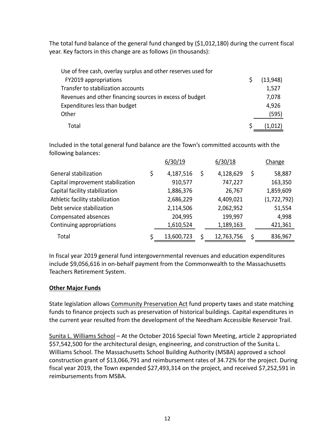The total fund balance of the general fund changed by (\$1,012,180) during the current fiscal year. Key factors in this change are as follows (in thousands):

| Use of free cash, overlay surplus and other reserves used for |    |          |
|---------------------------------------------------------------|----|----------|
| FY2019 appropriations                                         | S. | (13,948) |
| Transfer to stabilization accounts                            |    | 1,527    |
| Revenues and other financing sources in excess of budget      |    | 7,078    |
| Expenditures less than budget                                 |    | 4.926    |
| Other                                                         |    | (595)    |
| Total                                                         | S  | (1,012)  |

Included in the total general fund balance are the Town's committed accounts with the following balances:

|                                   | 6/30/19    |    | 6/30/18    | Change        |
|-----------------------------------|------------|----|------------|---------------|
| <b>General stabilization</b>      | 4,187,516  | \$ | 4,128,629  | \$<br>58,887  |
| Capital improvement stabilization | 910,577    |    | 747,227    | 163,350       |
| Capital facility stabilization    | 1,886,376  |    | 26,767     | 1,859,609     |
| Athletic facility stabilization   | 2,686,229  |    | 4,409,021  | (1,722,792)   |
| Debt service stabilization        | 2,114,506  |    | 2,062,952  | 51,554        |
| Compensated absences              | 204,995    |    | 199,997    | 4,998         |
| Continuing appropriations         | 1,610,524  |    | 1,189,163  | 421,361       |
| Total                             | 13,600,723 | S  | 12,763,756 | \$<br>836,967 |

In fiscal year 2019 general fund intergovernmental revenues and education expenditures include \$9,056,616 in on-behalf payment from the Commonwealth to the Massachusetts Teachers Retirement System.

## **Other Major Funds**

State legislation allows Community Preservation Act fund property taxes and state matching funds to finance projects such as preservation of historical buildings. Capital expenditures in the current year resulted from the development of the Needham Accessible Reservoir Trail.

Sunita L. Williams School - At the October 2016 Special Town Meeting, article 2 appropriated \$57,542,500 for the architectural design, engineering, and construction of the Sunita L. Williams School. The Massachusetts School Building Authority (MSBA) approved a school construction grant of \$13,066,791 and reimbursement rates of 34.72% for the project. During fiscal year 2019, the Town expended \$27,493,314 on the project, and received \$7,252,591 in reimbursements from MSBA.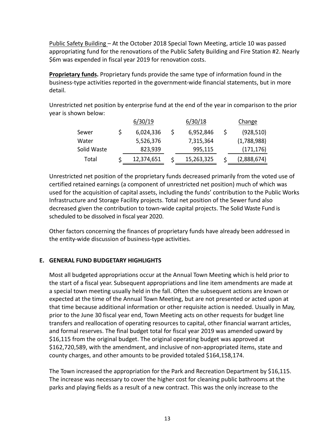Public Safety Building – At the October 2018 Special Town Meeting, article 10 was passed appropriating fund for the renovations of the Public Safety Building and Fire Station #2. Nearly \$6m was expended in fiscal year 2019 for renovation costs.

**Proprietary funds.** Proprietary funds provide the same type of information found in the business‐type activities reported in the government‐wide financial statements, but in more detail.

Unrestricted net position by enterprise fund at the end of the year in comparison to the prior year is shown below:

|             |   | 6/30/19    | 6/30/18    |   | Change      |
|-------------|---|------------|------------|---|-------------|
| Sewer       | S | 6,024,336  | 6,952,846  | Ş | (928, 510)  |
| Water       |   | 5,526,376  | 7,315,364  |   | (1,788,988) |
| Solid Waste |   | 823,939    | 995,115    |   | (171, 176)  |
| Total       |   | 12,374,651 | 15,263,325 |   | (2,888,674) |

Unrestricted net position of the proprietary funds decreased primarily from the voted use of certified retained earnings (a component of unrestricted net position) much of which was used for the acquisition of capital assets, including the funds' contribution to the Public Works Infrastructure and Storage Facility projects. Total net position of the Sewer fund also decreased given the contribution to town‐wide capital projects. The Solid Waste Fund is scheduled to be dissolved in fiscal year 2020.

Other factors concerning the finances of proprietary funds have already been addressed in the entity‐wide discussion of business‐type activities.

## **E. GENERAL FUND BUDGETARY HIGHLIGHTS**

Most all budgeted appropriations occur at the Annual Town Meeting which is held prior to the start of a fiscal year. Subsequent appropriations and line item amendments are made at a special town meeting usually held in the fall. Often the subsequent actions are known or expected at the time of the Annual Town Meeting, but are not presented or acted upon at that time because additional information or other requisite action is needed. Usually in May, prior to the June 30 fiscal year end, Town Meeting acts on other requests for budget line transfers and reallocation of operating resources to capital, other financial warrant articles, and formal reserves. The final budget total for fiscal year 2019 was amended upward by \$16,115 from the original budget. The original operating budget was approved at \$162,720,589, with the amendment, and inclusive of non‐appropriated items, state and county charges, and other amounts to be provided totaled \$164,158,174.

The Town increased the appropriation for the Park and Recreation Department by \$16,115. The increase was necessary to cover the higher cost for cleaning public bathrooms at the parks and playing fields as a result of a new contract. This was the only increase to the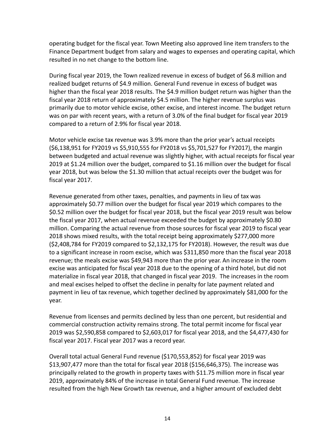operating budget for the fiscal year. Town Meeting also approved line item transfers to the Finance Department budget from salary and wages to expenses and operating capital, which resulted in no net change to the bottom line.

During fiscal year 2019, the Town realized revenue in excess of budget of \$6.8 million and realized budget returns of \$4.9 million. General Fund revenue in excess of budget was higher than the fiscal year 2018 results. The \$4.9 million budget return was higher than the fiscal year 2018 return of approximately \$4.5 million. The higher revenue surplus was primarily due to motor vehicle excise, other excise, and interest income. The budget return was on par with recent years, with a return of 3.0% of the final budget for fiscal year 2019 compared to a return of 2.9% for fiscal year 2018.

Motor vehicle excise tax revenue was 3.9% more than the prior year's actual receipts (\$6,138,951 for FY2019 vs \$5,910,555 for FY2018 vs \$5,701,527 for FY2017), the margin between budgeted and actual revenue was slightly higher, with actual receipts for fiscal year 2019 at \$1.24 million over the budget, compared to \$1.16 million over the budget for fiscal year 2018, but was below the \$1.30 million that actual receipts over the budget was for fiscal year 2017.

Revenue generated from other taxes, penalties, and payments in lieu of tax was approximately \$0.77 million over the budget for fiscal year 2019 which compares to the \$0.52 million over the budget for fiscal year 2018, but the fiscal year 2019 result was below the fiscal year 2017, when actual revenue exceeded the budget by approximately \$0.80 million. Comparing the actual revenue from those sources for fiscal year 2019 to fiscal year 2018 shows mixed results, with the total receipt being approximately \$277,000 more (\$2,408,784 for FY2019 compared to \$2,132,175 for FY2018). However, the result was due to a significant increase in room excise, which was \$311,850 more than the fiscal year 2018 revenue; the meals excise was \$49,943 more than the prior year. An increase in the room excise was anticipated for fiscal year 2018 due to the opening of a third hotel, but did not materialize in fiscal year 2018, that changed in fiscal year 2019. The increases in the room and meal excises helped to offset the decline in penalty for late payment related and payment in lieu of tax revenue, which together declined by approximately \$81,000 for the year.

Revenue from licenses and permits declined by less than one percent, but residential and commercial construction activity remains strong. The total permit income for fiscal year 2019 was \$2,590,858 compared to \$2,603,017 for fiscal year 2018, and the \$4,477,430 for fiscal year 2017. Fiscal year 2017 was a record year.

Overall total actual General Fund revenue (\$170,553,852) for fiscal year 2019 was \$13,907,477 more than the total for fiscal year 2018 (\$156,646,375). The increase was principally related to the growth in property taxes with \$11.75 million more in fiscal year 2019, approximately 84% of the increase in total General Fund revenue. The increase resulted from the high New Growth tax revenue, and a higher amount of excluded debt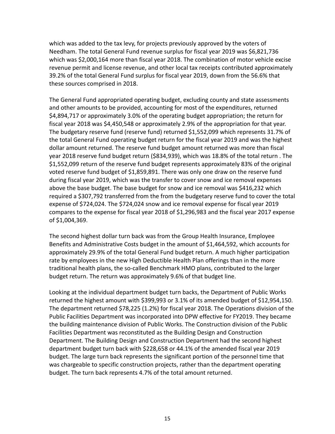which was added to the tax levy, for projects previously approved by the voters of Needham. The total General Fund revenue surplus for fiscal year 2019 was \$6,821,736 which was \$2,000,164 more than fiscal year 2018. The combination of motor vehicle excise revenue permit and license revenue, and other local tax receipts contributed approximately 39.2% of the total General Fund surplus for fiscal year 2019, down from the 56.6% that these sources comprised in 2018.

The General Fund appropriated operating budget, excluding county and state assessments and other amounts to be provided, accounting for most of the expenditures, returned \$4,894,717 or approximately 3.0% of the operating budget appropriation; the return for fiscal year 2018 was \$4,450,548 or approximately 2.9% of the appropriation for that year. The budgetary reserve fund (reserve fund) returned \$1,552,099 which represents 31.7% of the total General Fund operating budget return for the fiscal year 2019 and was the highest dollar amount returned. The reserve fund budget amount returned was more than fiscal year 2018 reserve fund budget return (\$834,939), which was 18.8% of the total return . The \$1,552,099 return of the reserve fund budget represents approximately 83% of the original voted reserve fund budget of \$1,859,891. There was only one draw on the reserve fund during fiscal year 2019, which was the transfer to cover snow and ice removal expenses above the base budget. The base budget for snow and ice removal was \$416,232 which required a \$307,792 transferred from the from the budgetary reserve fund to cover the total expense of \$724,024. The \$724,024 snow and ice removal expense for fiscal year 2019 compares to the expense for fiscal year 2018 of \$1,296,983 and the fiscal year 2017 expense of \$1,004,369.

The second highest dollar turn back was from the Group Health Insurance, Employee Benefits and Administrative Costs budget in the amount of \$1,464,592, which accounts for approximately 29.9% of the total General Fund budget return. A much higher participation rate by employees in the new High Deductible Health Plan offerings than in the more traditional health plans, the so‐called Benchmark HMO plans, contributed to the larger budget return. The return was approximately 9.6% of that budget line.

Looking at the individual department budget turn backs, the Department of Public Works returned the highest amount with \$399,993 or 3.1% of its amended budget of \$12,954,150. The department returned \$78,225 (1.2%) for fiscal year 2018. The Operations division of the Public Facilities Department was incorporated into DPW effective for FY2019. They became the building maintenance division of Public Works. The Construction division of the Public Facilities Department was reconstituted as the Building Design and Construction Department. The Building Design and Construction Department had the second highest department budget turn back with \$228,658 or 44.1% of the amended fiscal year 2019 budget. The large turn back represents the significant portion of the personnel time that was chargeable to specific construction projects, rather than the department operating budget. The turn back represents 4.7% of the total amount returned.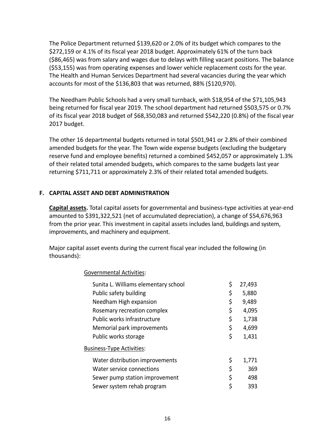The Police Department returned \$139,620 or 2.0% of its budget which compares to the \$272,159 or 4.1% of its fiscal year 2018 budget. Approximately 61% of the turn back (\$86,465) was from salary and wages due to delays with filling vacant positions. The balance (\$53,155) was from operating expenses and lower vehicle replacement costs for the year. The Health and Human Services Department had several vacancies during the year which accounts for most of the \$136,803 that was returned, 88% (\$120,970).

The Needham Public Schools had a very small turnback, with \$18,954 of the \$71,105,943 being returned for fiscal year 2019. The school department had returned \$503,575 or 0.7% of its fiscal year 2018 budget of \$68,350,083 and returned \$542,220 (0.8%) of the fiscal year 2017 budget.

The other 16 departmental budgets returned in total \$501,941 or 2.8% of their combined amended budgets for the year. The Town wide expense budgets (excluding the budgetary reserve fund and employee benefits) returned a combined \$452,057 or approximately 1.3% of their related total amended budgets, which compares to the same budgets last year returning \$711,711 or approximately 2.3% of their related total amended budgets.

## **F. CAPITAL ASSET AND DEBT ADMINISTRATION**

**Capital assets.** Total capital assets for governmental and business‐type activities at year‐end amounted to \$391,322,521 (net of accumulated depreciation), a change of \$54,676,963 from the prior year. This investment in capital assets includes land, buildings and system, improvements, and machinery and equipment.

Major capital asset events during the current fiscal year included the following (in thousands):

| Sunita L. Williams elementary school | \$<br>27,493 |
|--------------------------------------|--------------|
| Public safety building               | \$<br>5,880  |
| Needham High expansion               | \$<br>9,489  |
| Rosemary recreation complex          | \$<br>4,095  |
| Public works infrastructure          | \$<br>1,738  |
| Memorial park improvements           | \$<br>4,699  |
| Public works storage                 | \$<br>1,431  |
| <b>Business-Type Activities:</b>     |              |
| Water distribution improvements      | \$<br>1,771  |
| Water service connections            | \$<br>369    |
| Sewer pump station improvement       | \$<br>498    |
| Sewer system rehab program           | \$<br>393    |

## Governmental Activities: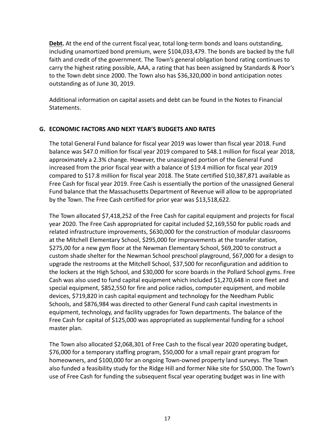Debt. At the end of the current fiscal year, total long-term bonds and loans outstanding, including unamortized bond premium, were \$104,033,479. The bonds are backed by the full faith and credit of the government. The Town's general obligation bond rating continues to carry the highest rating possible, AAA, a rating that has been assigned by Standards & Poor's to the Town debt since 2000. The Town also has \$36,320,000 in bond anticipation notes outstanding as of June 30, 2019.

Additional information on capital assets and debt can be found in the Notes to Financial Statements.

## **G. ECONOMIC FACTORS AND NEXT YEAR'S BUDGETS AND RATES**

The total General Fund balance for fiscal year 2019 was lower than fiscal year 2018. Fund balance was \$47.0 million for fiscal year 2019 compared to \$48.1 million for fiscal year 2018, approximately a 2.3% change. However, the unassigned portion of the General Fund increased from the prior fiscal year with a balance of \$19.4 million for fiscal year 2019 compared to \$17.8 million for fiscal year 2018. The State certified \$10,387,871 available as Free Cash for fiscal year 2019. Free Cash is essentially the portion of the unassigned General Fund balance that the Massachusetts Department of Revenue will allow to be appropriated by the Town. The Free Cash certified for prior year was \$13,518,622.

The Town allocated \$7,418,252 of the Free Cash for capital equipment and projects for fiscal year 2020. The Free Cash appropriated for capital included \$2,169,550 for public roads and related infrastructure improvements, \$630,000 for the construction of modular classrooms at the Mitchell Elementary School, \$295,000 for improvements at the transfer station, \$275,00 for a new gym floor at the Newman Elementary School, \$69,200 to construct a custom shade shelter for the Newman School preschool playground, \$67,000 for a design to upgrade the restrooms at the Mitchell School, \$37,500 for reconfiguration and addition to the lockers at the High School, and \$30,000 for score boards in the Pollard School gyms. Free Cash was also used to fund capital equipment which included \$1,270,648 in core fleet and special equipment, \$852,550 for fire and police radios, computer equipment, and mobile devices, \$719,820 in cash capital equipment and technology for the Needham Public Schools, and \$876,984 was directed to other General Fund cash capital investments in equipment, technology, and facility upgrades for Town departments. The balance of the Free Cash for capital of \$125,000 was appropriated as supplemental funding for a school master plan.

The Town also allocated \$2,068,301 of Free Cash to the fiscal year 2020 operating budget, \$76,000 for a temporary staffing program, \$50,000 for a small repair grant program for homeowners, and \$100,000 for an ongoing Town‐owned property land surveys. The Town also funded a feasibility study for the Ridge Hill and former Nike site for \$50,000. The Town's use of Free Cash for funding the subsequent fiscal year operating budget was in line with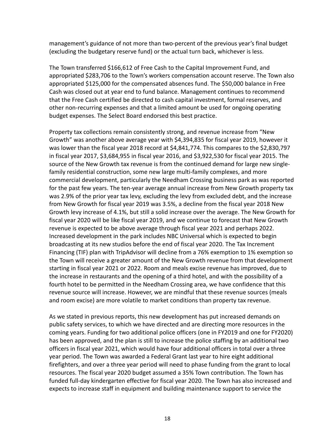management's guidance of not more than two‐percent of the previous year's final budget (excluding the budgetary reserve fund) or the actual turn back, whichever is less.

The Town transferred \$166,612 of Free Cash to the Capital Improvement Fund, and appropriated \$283,706 to the Town's workers compensation account reserve. The Town also appropriated \$125,000 for the compensated absences fund. The \$50,000 balance in Free Cash was closed out at year end to fund balance. Management continues to recommend that the Free Cash certified be directed to cash capital investment, formal reserves, and other non‐recurring expenses and that a limited amount be used for ongoing operating budget expenses. The Select Board endorsed this best practice.

Property tax collections remain consistently strong, and revenue increase from "New Growth" was another above average year with \$4,394,835 for fiscal year 2019, however it was lower than the fiscal year 2018 record at \$4,841,774. This compares to the \$2,830,797 in fiscal year 2017, \$3,684,955 in fiscal year 2016, and \$3,922,530 for fiscal year 2015. The source of the New Growth tax revenue is from the continued demand for large new single‐ family residential construction, some new large multi-family complexes, and more commercial development, particularly the Needham Crossing business park as was reported for the past few years. The ten‐year average annual increase from New Growth property tax was 2.9% of the prior year tax levy, excluding the levy from excluded debt, and the increase from New Growth for fiscal year 2019 was 3.5%, a decline from the fiscal year 2018 New Growth levy increase of 4.1%, but still a solid increase over the average. The New Growth for fiscal year 2020 will be like fiscal year 2019, and we continue to forecast that New Growth revenue is expected to be above average through fiscal year 2021 and perhaps 2022. Increased development in the park includes NBC Universal which is expected to begin broadcasting at its new studios before the end of fiscal year 2020. The Tax Increment Financing (TIF) plan with TripAdvisor will decline from a 76% exemption to 1% exemption so the Town will receive a greater amount of the New Growth revenue from that development starting in fiscal year 2021 or 2022. Room and meals excise revenue has improved, due to the increase in restaurants and the opening of a third hotel, and with the possibility of a fourth hotel to be permitted in the Needham Crossing area, we have confidence that this revenue source will increase. However, we are mindful that these revenue sources (meals and room excise) are more volatile to market conditions than property tax revenue.

As we stated in previous reports, this new development has put increased demands on public safety services, to which we have directed and are directing more resources in the coming years. Funding for two additional police officers (one in FY2019 and one for FY2020) has been approved, and the plan is still to increase the police staffing by an additional two officers in fiscal year 2021, which would have four additional officers in total over a three year period. The Town was awarded a Federal Grant last year to hire eight additional firefighters, and over a three year period will need to phase funding from the grant to local resources. The fiscal year 2020 budget assumed a 35% Town contribution. The Town has funded full-day kindergarten effective for fiscal year 2020. The Town has also increased and expects to increase staff in equipment and building maintenance support to service the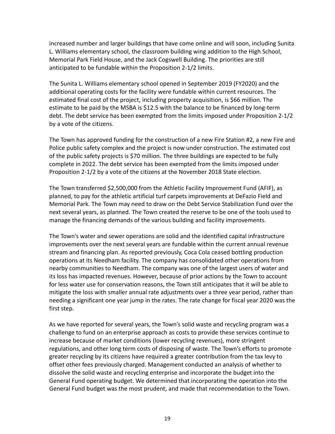increased number and larger buildings that have come online and will soon, including Sunita L. Williams elementary school, the classroom building wing addition to the High School, Memorial Park Field House, and the Jack Cogswell Building. The priorities are still anticipated to be fundable within the Proposition 2‐1/2 limits.

The Sunita L. Williams elementary school opened in September 2019 (FY2020) and the additional operating costs for the facility were fundable within current resources. The estimated final cost of the project, including property acquisition, is \$66 million. The estimate to be paid by the MSBA is \$12.5 with the balance to be financed by long-term debt. The debt service has been exempted from the limits imposed under Proposition 2‐1/2 by a vote of the citizens.

The Town has approved funding for the construction of a new Fire Station #2, a new Fire and Police public safety complex and the project is now under construction. The estimated cost of the public safety projects is \$70 million. The three buildings are expected to be fully complete in 2022. The debt service has been exempted from the limits imposed under Proposition 2‐1/2 by a vote of the citizens at the November 2018 State election.

The Town transferred \$2,500,000 from the Athletic Facility Improvement Fund (AFIF), as planned, to pay for the athletic artificial turf carpets improvements at DeFazio Field and Memorial Park. The Town may need to draw on the Debt Service Stabilization Fund over the next several years, as planned. The Town created the reserve to be one of the tools used to manage the financing demands of the various building and facility improvements.

The Town's water and sewer operations are solid and the identified capital infrastructure improvements over the next several years are fundable within the current annual revenue stream and financing plan. As reported previously, Coca Cola ceased bottling production operations at its Needham facility. The company has consolidated other operations from nearby communities to Needham. The company was one of the largest users of water and its loss has impacted revenues. However, because of prior actions by the Town to account for less water use for conservation reasons, the Town still anticipates that it will be able to mitigate the loss with smaller annual rate adjustments over a three year period, rather than needing a significant one year jump in the rates. The rate change for fiscal year 2020 was the first step.

As we have reported for several years, the Town's solid waste and recycling program was a challenge to fund on an enterprise approach as costs to provide these services continue to increase because of market conditions (lower recycling revenues), more stringent regulations, and other long term costs of disposing of waste. The Town's efforts to promote greater recycling by its citizens have required a greater contribution from the tax levy to offset other fees previously charged. Management conducted an analysis of whether to dissolve the solid waste and recycling enterprise and incorporate the budget into the General Fund operating budget. We determined that incorporating the operation into the General Fund budget was the most prudent, and made that recommendation to the Town.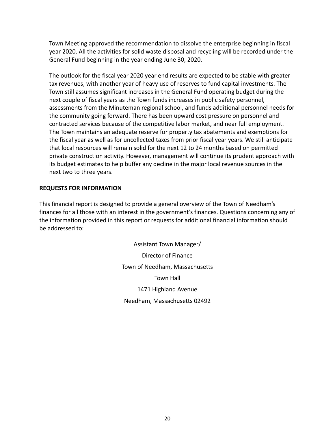Town Meeting approved the recommendation to dissolve the enterprise beginning in fiscal year 2020. All the activities for solid waste disposal and recycling will be recorded under the General Fund beginning in the year ending June 30, 2020.

The outlook for the fiscal year 2020 year end results are expected to be stable with greater tax revenues, with another year of heavy use of reserves to fund capital investments. The Town still assumes significant increases in the General Fund operating budget during the next couple of fiscal years as the Town funds increases in public safety personnel, assessments from the Minuteman regional school, and funds additional personnel needs for the community going forward. There has been upward cost pressure on personnel and contracted services because of the competitive labor market, and near full employment. The Town maintains an adequate reserve for property tax abatements and exemptions for the fiscal year as well as for uncollected taxes from prior fiscal year years. We still anticipate that local resources will remain solid for the next 12 to 24 months based on permitted private construction activity. However, management will continue its prudent approach with its budget estimates to help buffer any decline in the major local revenue sources in the next two to three years.

## **REQUESTS FOR INFORMATION**

This financial report is designed to provide a general overview of the Town of Needham's finances for all those with an interest in the government's finances. Questions concerning any of the information provided in this report or requests for additional financial information should be addressed to:

> Assistant Town Manager/ Director of Finance Town of Needham, Massachusetts Town Hall 1471 Highland Avenue Needham, Massachusetts 02492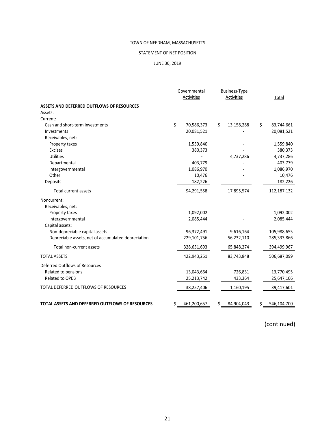### STATEMENT OF NET POSITION

## JUNE 30, 2019

|                                                        | Governmental<br>Activities | <b>Business-Type</b><br>Activities | Total             |
|--------------------------------------------------------|----------------------------|------------------------------------|-------------------|
| ASSETS AND DEFERRED OUTFLOWS OF RESOURCES              |                            |                                    |                   |
| Assets:                                                |                            |                                    |                   |
| Current:                                               |                            |                                    |                   |
| Cash and short-term investments                        | \$<br>70,586,373           | \$<br>13,158,288                   | \$<br>83,744,661  |
| Investments                                            | 20,081,521                 |                                    | 20,081,521        |
| Receivables, net:                                      |                            |                                    |                   |
| Property taxes                                         | 1,559,840                  |                                    | 1,559,840         |
| <b>Excises</b>                                         | 380,373                    |                                    | 380,373           |
| Utilities                                              |                            | 4,737,286                          | 4,737,286         |
| Departmental                                           | 403,779                    |                                    | 403,779           |
| Intergovernmental                                      | 1,086,970                  |                                    | 1,086,970         |
| Other                                                  | 10,476                     |                                    | 10,476            |
| Deposits                                               | 182,226                    |                                    | 182,226           |
| Total current assets                                   | 94,291,558                 | 17,895,574                         | 112,187,132       |
| Noncurrent:                                            |                            |                                    |                   |
| Receivables, net:                                      |                            |                                    |                   |
| Property taxes                                         | 1,092,002                  |                                    | 1,092,002         |
| Intergovernmental                                      | 2,085,444                  |                                    | 2,085,444         |
| Capital assets:                                        |                            |                                    |                   |
| Non-depreciable capital assets                         | 96,372,491                 | 9,616,164                          | 105,988,655       |
| Depreciable assets, net of accumulated depreciation    | 229,101,756                | 56,232,110                         | 285,333,866       |
| Total non-current assets                               | 328,651,693                | 65,848,274                         | 394,499,967       |
| <b>TOTAL ASSETS</b>                                    | 422,943,251                | 83,743,848                         | 506,687,099       |
| Deferred Outflows of Resources                         |                            |                                    |                   |
| Related to pensions                                    | 13,043,664                 | 726,831                            | 13,770,495        |
| Related to OPEB                                        | 25,213,742                 | 433,364                            | 25,647,106        |
| TOTAL DEFERRED OUTFLOWS OF RESOURCES                   | 38,257,406                 | 1,160,195                          | 39,417,601        |
| <b>TOTAL ASSETS AND DEFERRED OUTFLOWS OF RESOURCES</b> | \$<br>461,200,657          | \$<br>84,904,043                   | \$<br>546,104,700 |
|                                                        |                            |                                    |                   |

(continued)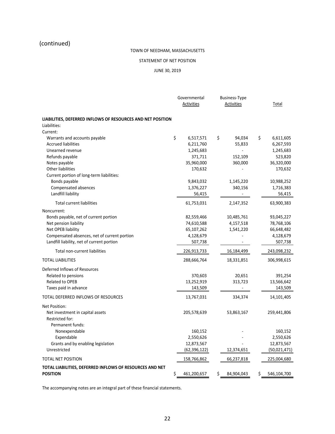# (continued)

### TOWN OF NEEDHAM, MASSACHUSETTS

### STATEMENT OF NET POSITION

### JUNE 30, 2019

|                                                             | Governmental<br>Activities | <b>Business-Type</b><br>Activities | Total             |
|-------------------------------------------------------------|----------------------------|------------------------------------|-------------------|
| LIABILITIES, DEFERRED INFLOWS OF RESOURCES AND NET POSITION |                            |                                    |                   |
| Liabilities:                                                |                            |                                    |                   |
| Current:                                                    |                            |                                    |                   |
| Warrants and accounts payable                               | \$<br>6,517,571            | \$<br>94,034                       | \$<br>6,611,605   |
| <b>Accrued liabilities</b>                                  | 6,211,760                  | 55,833                             | 6,267,593         |
| Unearned revenue                                            | 1,245,683                  | L.                                 | 1,245,683         |
| Refunds payable                                             | 371,711                    | 152,109                            | 523,820           |
| Notes payable                                               | 35,960,000                 | 360,000                            | 36,320,000        |
| <b>Other liabilities</b>                                    | 170,632                    |                                    | 170,632           |
| Current portion of long-term liabilities:                   |                            |                                    |                   |
| Bonds payable                                               | 9,843,032                  | 1,145,220                          | 10,988,252        |
| Compensated absences                                        | 1,376,227                  | 340,156                            | 1,716,383         |
| Landfill liability                                          | 56,415                     | $\blacksquare$                     | 56,415            |
| <b>Total current liabilities</b>                            | 61,753,031                 | 2,147,352                          | 63,900,383        |
| Noncurrent:                                                 |                            |                                    |                   |
| Bonds payable, net of current portion                       | 82,559,466                 | 10,485,761                         | 93,045,227        |
| Net pension liability                                       | 74,610,588                 | 4,157,518                          | 78,768,106        |
| Net OPEB liability                                          | 65,107,262                 | 1,541,220                          | 66,648,482        |
| Compensated absences, net of current portion                | 4,128,679                  |                                    | 4,128,679         |
| Landfill liability, net of current portion                  | 507,738                    |                                    | 507,738           |
| Total non-current liabilities                               | 226,913,733                | 16,184,499                         | 243,098,232       |
| <b>TOTAL LIABILITIES</b>                                    | 288,666,764                | 18,331,851                         | 306,998,615       |
| Deferred Inflows of Resources                               |                            |                                    |                   |
| Related to pensions                                         | 370,603                    | 20,651                             | 391,254           |
| <b>Related to OPEB</b>                                      | 13,252,919                 | 313,723                            | 13,566,642        |
| Taxes paid in advance                                       | 143,509                    |                                    | 143,509           |
| TOTAL DEFERRED INFLOWS OF RESOURCES                         | 13,767,031                 | 334,374                            | 14,101,405        |
| Net Position:                                               |                            |                                    |                   |
| Net investment in capital assets                            | 205,578,639                | 53,863,167                         | 259,441,806       |
| Restricted for:                                             |                            |                                    |                   |
| Permanent funds:                                            |                            |                                    |                   |
| Nonexpendable                                               | 160,152                    |                                    | 160,152           |
| Expendable                                                  | 2,550,626                  |                                    | 2,550,626         |
| Grants and by enabling legislation                          | 12,873,567                 |                                    | 12,873,567        |
| Unrestricted                                                | (62,396,122)               | 12,374,651                         | (50,021,471)      |
| <b>TOTAL NET POSITION</b>                                   | 158,766,862                | 66,237,818                         | 225,004,680       |
| TOTAL LIABILITIES, DEFERRED INFLOWS OF RESOURCES AND NET    |                            |                                    |                   |
| <b>POSITION</b>                                             | \$<br>461,200,657          | \$<br>84,904,043                   | \$<br>546,104,700 |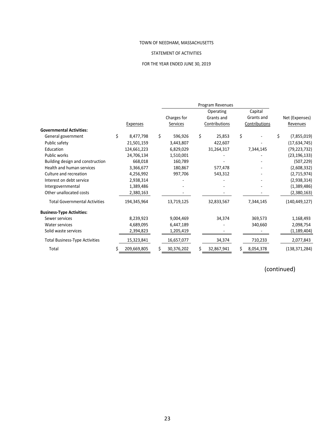## STATEMENT OF ACTIVITIES

## FOR THE YEAR ENDED JUNE 30, 2019

|                                       |                 |                  | Program Revenues |               |    |               |                   |
|---------------------------------------|-----------------|------------------|------------------|---------------|----|---------------|-------------------|
|                                       |                 |                  |                  | Operating     |    | Capital       |                   |
|                                       |                 | Charges for      |                  | Grants and    |    | Grants and    | Net (Expenses)    |
|                                       | Expenses        | Services         |                  | Contributions |    | Contributions | Revenues          |
| <b>Governmental Activities:</b>       |                 |                  |                  |               |    |               |                   |
| General government                    | \$<br>8,477,798 | \$<br>596,926    | \$               | 25,853        | \$ |               | \$<br>(7,855,019) |
| Public safety                         | 21,501,159      | 3,443,807        |                  | 422,607       |    |               | (17, 634, 745)    |
| Education                             | 124,661,223     | 6,829,029        |                  | 31,264,317    |    | 7,344,145     | (79, 223, 732)    |
| Public works                          | 24,706,134      | 1,510,001        |                  |               |    |               | (23, 196, 133)    |
| Building design and construction      | 668,018         | 160,789          |                  |               |    |               | (507, 229)        |
| Health and human services             | 3,366,677       | 180,867          |                  | 577,478       |    |               | (2,608,332)       |
| Culture and recreation                | 4,256,992       | 997,706          |                  | 543,312       |    |               | (2,715,974)       |
| Interest on debt service              | 2,938,314       |                  |                  |               |    |               | (2,938,314)       |
| Intergovernmental                     | 1,389,486       |                  |                  |               |    |               | (1,389,486)       |
| Other unallocated costs               | 2,380,163       |                  |                  |               |    |               | (2,380,163)       |
| <b>Total Governmental Activities</b>  | 194,345,964     | 13,719,125       |                  | 32,833,567    |    | 7,344,145     | (140, 449, 127)   |
| <b>Business-Type Activities:</b>      |                 |                  |                  |               |    |               |                   |
| Sewer services                        | 8,239,923       | 9,004,469        |                  | 34,374        |    | 369,573       | 1,168,493         |
| <b>Water services</b>                 | 4,689,095       | 6,447,189        |                  |               |    | 340,660       | 2,098,754         |
| Solid waste services                  | 2,394,823       | 1,205,419        |                  |               |    |               | (1,189,404)       |
| <b>Total Business-Type Activities</b> | 15,323,841      | 16,657,077       |                  | 34,374        |    | 710,233       | 2,077,843         |
| Total                                 | 209,669,805     | \$<br>30,376,202 |                  | 32,867,941    | Ś  | 8,054,378     | (138, 371, 284)   |

(continued)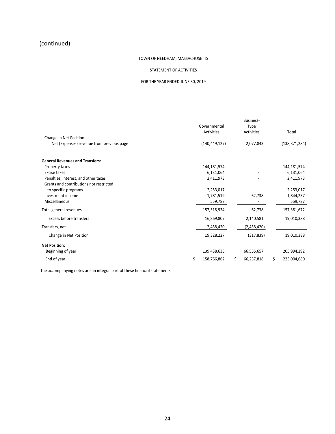## (continued)

### TOWN OF NEEDHAM, MASSACHUSETTS

### STATEMENT OF ACTIVITIES

#### FOR THE YEAR ENDED JUNE 30, 2019

|                                           |                   | Business-         |                 |
|-------------------------------------------|-------------------|-------------------|-----------------|
|                                           | Governmental      | Type              |                 |
|                                           | Activities        | Activities        | Total           |
| Change in Net Position:                   |                   |                   |                 |
| Net (Expenses) revenue from previous page | (140, 449, 127)   | 2,077,843         | (138, 371, 284) |
| <b>General Revenues and Transfers:</b>    |                   |                   |                 |
| Property taxes                            | 144,181,574       |                   | 144,181,574     |
| Excise taxes                              | 6,131,064         |                   | 6,131,064       |
| Penalties, interest, and other taxes      | 2,411,973         |                   | 2,411,973       |
| Grants and contributions not restricted   |                   |                   |                 |
| to specific programs                      | 2,253,017         |                   | 2,253,017       |
| Investment income                         | 1,781,519         | 62,738            | 1,844,257       |
| Miscellaneous                             | 559,787           |                   | 559,787         |
| Total general revenues                    | 157,318,934       | 62,738            | 157,381,672     |
| <b>Excess before transfers</b>            | 16,869,807        | 2,140,581         | 19,010,388      |
| Transfers, net                            | 2,458,420         | (2,458,420)       |                 |
| Change in Net Position                    | 19,328,227        | (317, 839)        | 19,010,388      |
| <b>Net Position:</b>                      |                   |                   |                 |
| Beginning of year                         | 139,438,635       | 66,555,657        | 205,994,292     |
| End of year                               | \$<br>158,766,862 | \$.<br>66,237,818 | 225,004,680     |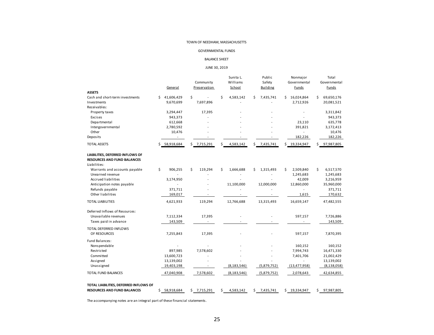#### GOVERNMENTAL FUNDS

#### BALANCE SHEET

#### JUNE 30, 2019

|                                                                                        |    | General                 | Community<br>Preservation         |    | Sunita L.<br>Williams<br>School | Public<br>Safety<br><b>Building</b> | Nonmajor<br>Governmental<br>Funds |    | Total<br>Governmental<br><b>Funds</b> |
|----------------------------------------------------------------------------------------|----|-------------------------|-----------------------------------|----|---------------------------------|-------------------------------------|-----------------------------------|----|---------------------------------------|
| <b>ASSETS</b>                                                                          |    |                         |                                   |    |                                 |                                     |                                   |    |                                       |
| Cash and short-term investments<br>Investments<br>Receivables:                         | Ś. | 41,606,429<br>9,670,699 | \$<br>$\overline{a}$<br>7,697,896 | \$ | 4,583,142                       | \$<br>7,435,741                     | \$<br>16,024,864<br>2,712,926     | \$ | 69,650,176<br>20,081,521              |
| Property taxes                                                                         |    | 3,294,447               | 17,395                            |    |                                 |                                     |                                   |    | 3,311,842                             |
| Excises                                                                                |    | 943,373                 |                                   |    |                                 |                                     |                                   |    | 943,373                               |
| Departmental                                                                           |    | 612,668                 |                                   |    |                                 |                                     | 23,110                            |    | 635,778                               |
| Intergovernmental                                                                      |    | 2,780,592               |                                   |    |                                 |                                     | 391,821                           |    | 3,172,413                             |
| Other                                                                                  |    | 10,476                  |                                   |    |                                 |                                     |                                   |    | 10,476                                |
| Deposits                                                                               |    |                         |                                   |    |                                 |                                     | 182,226                           |    | 182,226                               |
| <b>TOTAL ASSETS</b>                                                                    | Ś. | 58,918,684              | \$7,715,291                       | Ś  | 4,583,142                       | \$<br>7,435,741                     | \$<br>19,334,947                  | Ś. | 97,987,805                            |
| LIABILITIES, DEFERRED INFLOWS OF<br><b>RESOURCES AND FUND BALANCES</b><br>Liabilities: |    |                         |                                   |    |                                 |                                     |                                   |    |                                       |
| Warrants and accounts payable                                                          | \$ | 906,255                 | \$<br>119,294                     | \$ | 1,666,688                       | \$<br>1,315,493                     | \$<br>2,509,840                   | \$ | 6,517,570                             |
| Unearned revenue                                                                       |    |                         |                                   |    |                                 |                                     | 1,245,683                         |    | 1,245,683                             |
| <b>Accrued liabilities</b>                                                             |    | 3,174,950               |                                   |    |                                 |                                     | 42,009                            |    | 3,216,959                             |
| Anticipation notes payable                                                             |    |                         |                                   |    | 11,100,000                      | 12,000,000                          | 12,860,000                        |    | 35,960,000                            |
| Refunds payable                                                                        |    | 371,711                 |                                   |    |                                 |                                     |                                   |    | 371,711                               |
| Other liabilities                                                                      |    | 169,017                 |                                   |    |                                 |                                     | 1,615                             |    | 170,632                               |
| TOTAL LIABILITIES                                                                      |    | 4,621,933               | 119,294                           |    | 12,766,688                      | 13,315,493                          | 16,659,147                        |    | 47,482,555                            |
| Deferred Inflows of Resources:                                                         |    |                         |                                   |    |                                 |                                     |                                   |    |                                       |
| Unavailable revenues                                                                   |    | 7,112,334               | 17,395                            |    |                                 |                                     | 597,157                           |    | 7,726,886                             |
| Taxes paid in advance                                                                  |    | 143,509                 |                                   |    |                                 |                                     |                                   |    | 143,509                               |
| TOTAL DEFERRED INFLOWS                                                                 |    |                         |                                   |    |                                 |                                     |                                   |    |                                       |
| OF RESOURCES                                                                           |    | 7,255,843               | 17,395                            |    |                                 |                                     | 597,157                           |    | 7,870,395                             |
| <b>Fund Balances:</b>                                                                  |    |                         |                                   |    |                                 |                                     |                                   |    |                                       |
| Nonspendable                                                                           |    |                         |                                   |    |                                 |                                     | 160,152                           |    | 160,152                               |
| Restricted                                                                             |    | 897,985                 | 7,578,602                         |    |                                 |                                     | 7,994,743                         |    | 16,471,330                            |
| Committed                                                                              |    | 13,600,723              |                                   |    |                                 |                                     | 7,401,706                         |    | 21,002,429                            |
| Assigned                                                                               |    | 13,139,002              |                                   |    |                                 |                                     |                                   |    | 13,139,002                            |
| Unassigned                                                                             |    | 19,403,198              |                                   |    | (8, 183, 546)                   | (5,879,752)                         | (13, 477, 958)                    |    | (8, 138, 058)                         |
| TOTAL FUND BALANCES                                                                    |    | 47,040,908              | 7,578,602                         |    | (8, 183, 546)                   | (5,879,752)                         | 2,078,643                         |    | 42,634,855                            |
| TOTAL LIABILITIES, DEFERRED INFLOWS OF                                                 |    |                         |                                   |    |                                 |                                     |                                   |    |                                       |
| RESOURCES AND FUND BALANCES                                                            | \$ | 58,918,684              | \$<br>7,715,291                   | \$ | 4,583,142                       | \$<br>7,435,741                     | \$<br>19,334,947                  | \$ | 97,987,805                            |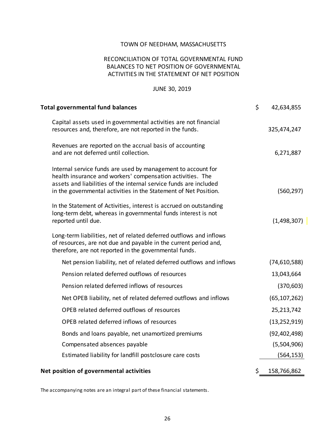## RECONCILIATION OF TOTAL GOVERNMENTAL FUND BALANCES TO NET POSITION OF GOVERNMENTAL ACTIVITIES IN THE STATEMENT OF NET POSITION

## JUNE 30, 2019

| <b>Total governmental fund balances</b>                                                                                                                                                                                                                             | \$<br>42,634,855  |
|---------------------------------------------------------------------------------------------------------------------------------------------------------------------------------------------------------------------------------------------------------------------|-------------------|
| Capital assets used in governmental activities are not financial<br>resources and, therefore, are not reported in the funds.                                                                                                                                        | 325,474,247       |
| Revenues are reported on the accrual basis of accounting<br>and are not deferred until collection.                                                                                                                                                                  | 6,271,887         |
| Internal service funds are used by management to account for<br>health insurance and workers' compensation activities. The<br>assets and liabilities of the internal service funds are included<br>in the governmental activities in the Statement of Net Position. | (560, 297)        |
| In the Statement of Activities, interest is accrued on outstanding<br>long-term debt, whereas in governmental funds interest is not<br>reported until due.                                                                                                          | (1,498,307)       |
| Long-term liabilities, net of related deferred outflows and inflows<br>of resources, are not due and payable in the current period and,<br>therefore, are not reported in the governmental funds.                                                                   |                   |
| Net pension liability, net of related deferred outflows and inflows                                                                                                                                                                                                 | (74, 610, 588)    |
| Pension related deferred outflows of resources                                                                                                                                                                                                                      | 13,043,664        |
| Pension related deferred inflows of resources                                                                                                                                                                                                                       | (370, 603)        |
| Net OPEB liability, net of related deferred outflows and inflows                                                                                                                                                                                                    | (65, 107, 262)    |
| OPEB related deferred outflows of resources                                                                                                                                                                                                                         | 25,213,742        |
| OPEB related deferred inflows of resources                                                                                                                                                                                                                          | (13, 252, 919)    |
| Bonds and loans payable, net unamortized premiums                                                                                                                                                                                                                   | (92, 402, 498)    |
| Compensated absences payable                                                                                                                                                                                                                                        | (5,504,906)       |
| Estimated liability for landfill postclosure care costs                                                                                                                                                                                                             | (564, 153)        |
| Net position of governmental activities                                                                                                                                                                                                                             | \$<br>158,766,862 |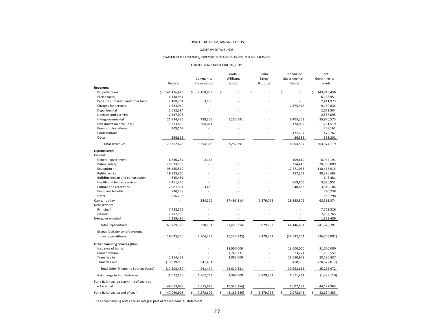#### GOVERNMENTAL FUNDS

#### STATEMENT OF REVENUES, EXPENDITURES AND CHANGES IN FUND BALANCES

#### FOR THE YEAR ENDED JUNE 30, 2019

|                                         |                   |                 | Sunita L.           | Public           | Nonmajor       | Total             |
|-----------------------------------------|-------------------|-----------------|---------------------|------------------|----------------|-------------------|
|                                         |                   | Community       | Williams            | Safety           | Governmental   | Governmental      |
|                                         | General           | Preservation    | School              | Building         | <b>Funds</b>   | <b>Funds</b>      |
| Revenues:                               |                   |                 |                     |                  |                |                   |
| Property taxes                          | \$<br>141,476,623 | \$<br>2,468,833 | \$                  | \$               | \$             | \$<br>143,945,456 |
| Excise taxes                            | 6,138,951         |                 |                     |                  |                | 6,138,951         |
| Penalties, interest, and other taxes    | 2,408,784         | 3,189           |                     |                  |                | 2,411,973         |
| Charges for services                    | 1,684,919         |                 |                     |                  | 7,475,916      | 9,160,835         |
| Departmental                            | 2,052,584         |                 |                     |                  |                | 2,052,584         |
| Licenses and permits                    | 2,587,095         |                 |                     |                  |                | 2,587,095         |
| Intergovernmental                       | 21,724,476        | 438,305         | 7,252,591           |                  | 6,405,203      | 35,820,575        |
| Investment income (loss)                | 1,223,466         | 384,021         |                     |                  | 174,032        | 1,781,519         |
| Fines and forfeitures                   | 209,162           |                 |                     |                  | ä,             | 209,162           |
| Contributions                           |                   |                 |                     |                  | 472,767        | 472,767           |
| Other                                   | 356,613           |                 |                     |                  | 36,589         | 393,202           |
| <b>Total Revenues</b>                   | 179,862,673       | 3,294,348       | 7,252,591           |                  | 14,564,507     | 204,974,119       |
| <b>Expenditures:</b>                    |                   |                 |                     |                  |                |                   |
| Current:                                |                   |                 |                     |                  |                |                   |
| General government                      | 6,830,257         | 2,115           |                     |                  | 109,819        | 6,942,191         |
| Public safety                           | 20,033,593        |                 |                     |                  | 354,416        | 20,388,009        |
| Education                               | 98,145,562        |                 |                     |                  | 12,271,053     | 110,416,615       |
| Public works                            | 19,923,360        |                 |                     |                  | 457,303        | 20,380,663        |
| Building design and construction        | 645,481           | ä,              |                     |                  |                | 645,481           |
| Health and human services               | 2,461,346         |                 |                     |                  | 569,605        | 3,030,951         |
| Culture and recreation                  | 2,987,961         | 3,480           |                     |                  | 548,663        | 3,540,104         |
| Employee benefits                       | 790,238           |                 |                     |                  | ÷,             | 790,238           |
| Other                                   | 556,798           |                 |                     |                  |                | 556,798           |
| Capital outlay                          |                   | 384,506         | 27,493,314          | 5,879,752        | 29,835,802     | 63,593,374        |
| Debt service:                           |                   |                 |                     |                  |                |                   |
| Principal                               | 7,722,526         |                 |                     |                  |                | 7,722,526         |
| Interest                                | 2,282,765         |                 |                     |                  |                | 2,282,765         |
| Intergovernmental                       | 1,389,486         |                 |                     |                  |                | 1,389,486         |
| <b>Total Expenditures</b>               | 163,769,373       | 390,101         | 27,493,314          | 5,879,752        | 44,146,661     | 241,679,201       |
| Excess (deficiency) of revenues         |                   |                 |                     |                  |                |                   |
| over expenditures                       | 16,093,300        | 2,904,247       | (20, 240, 723)      | (5,879,752)      | (29, 582, 154) | (36,705,082)      |
| <b>Other Financing Sources (Uses):</b>  |                   |                 |                     |                  |                |                   |
| Issuance of bonds                       |                   |                 | 18,000,000          |                  | 13,000,000     | 31,000,000        |
| Bond premium                            |                   |                 | 1,745,331           |                  | 13,221         | 1,758,552         |
| Transfers in                            | 2,214,458         |                 | 2,865,000           |                  | 18,050,979     | 23,130,437        |
| Transfers out                           | (19,319,938)      | (941, 494)      | $\sim$              |                  | (410,585)      | (20,672,017)      |
| Total Other Financing Sources (Uses)    | (17, 105, 480)    | (941, 494)      | 22,610,331          |                  | 30,653,615     | 35,216,972        |
| Net change in fund balances             | (1,012,180)       | 1,962,753       | 2,369,608           | (5,879,752)      | 1,071,461      | (1,488,110)       |
| Fund Balances, at beginning of year, as |                   |                 |                     |                  |                |                   |
| reclassified                            | 48,053,088        | 5,615,849       | (10,553,154)        |                  | 1,007,182      | 44,122,965        |
| Fund Balances, at end of year           | 47,040,908<br>ς   | 7,578,602<br>\$ | ς.<br>(8, 183, 546) | (5,879,752)<br>Ś | ς<br>2,078,643 | 42,634,855<br>ς.  |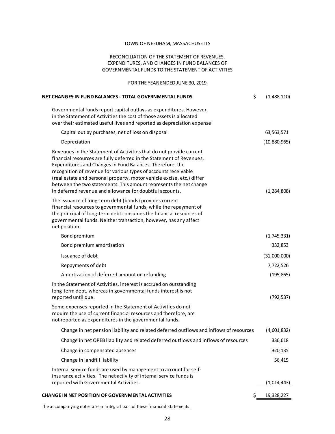### RECONCILIATION OF THE STATEMENT OF REVENUES, EXPENDITURES, AND CHANGES IN FUND BALANCES OF GOVERNMENTAL FUNDS TO THE STATEMENT OF ACTIVITIES

FOR THE YEAR ENDED JUNE 30, 2019

| NET CHANGES IN FUND BALANCES - TOTAL GOVERNMENTAL FUNDS                                                                                                                                                                                                                                                                                                                                                                                                                                | \$  | (1,488,110)   |
|----------------------------------------------------------------------------------------------------------------------------------------------------------------------------------------------------------------------------------------------------------------------------------------------------------------------------------------------------------------------------------------------------------------------------------------------------------------------------------------|-----|---------------|
| Governmental funds report capital outlays as expenditures. However,<br>in the Statement of Activities the cost of those assets is allocated<br>over their estimated useful lives and reported as depreciation expense:                                                                                                                                                                                                                                                                 |     |               |
| Capital outlay purchases, net of loss on disposal                                                                                                                                                                                                                                                                                                                                                                                                                                      |     | 63,563,571    |
| Depreciation                                                                                                                                                                                                                                                                                                                                                                                                                                                                           |     | (10,880,965)  |
| Revenues in the Statement of Activities that do not provide current<br>financial resources are fully deferred in the Statement of Revenues,<br>Expenditures and Changes in Fund Balances. Therefore, the<br>recognition of revenue for various types of accounts receivable<br>(real estate and personal property, motor vehicle excise, etc.) differ<br>between the two statements. This amount represents the net change<br>in deferred revenue and allowance for doubtful accounts. |     | (1, 284, 808) |
| The issuance of long-term debt (bonds) provides current<br>financial resources to governmental funds, while the repayment of<br>the principal of long-term debt consumes the financial resources of<br>governmental funds. Neither transaction, however, has any affect<br>net position:                                                                                                                                                                                               |     |               |
| Bond premium                                                                                                                                                                                                                                                                                                                                                                                                                                                                           |     | (1,745,331)   |
| Bond premium amortization                                                                                                                                                                                                                                                                                                                                                                                                                                                              |     | 332,853       |
| Issuance of debt                                                                                                                                                                                                                                                                                                                                                                                                                                                                       |     | (31,000,000)  |
| Repayments of debt                                                                                                                                                                                                                                                                                                                                                                                                                                                                     |     | 7,722,526     |
| Amortization of deferred amount on refunding                                                                                                                                                                                                                                                                                                                                                                                                                                           |     | (195, 865)    |
| In the Statement of Activities, interest is accrued on outstanding<br>long-term debt, whereas in governmental funds interest is not<br>reported until due.                                                                                                                                                                                                                                                                                                                             |     | (792, 537)    |
| Some expenses reported in the Statement of Activities do not<br>require the use of current financial resources and therefore, are<br>not reported as expenditures in the governmental funds.                                                                                                                                                                                                                                                                                           |     |               |
| Change in net pension liability and related deferred outflows and inflows of resources                                                                                                                                                                                                                                                                                                                                                                                                 |     | (4,601,832)   |
| Change in net OPEB liability and related deferred outflows and inflows of resources                                                                                                                                                                                                                                                                                                                                                                                                    |     | 336,618       |
| Change in compensated absences                                                                                                                                                                                                                                                                                                                                                                                                                                                         |     | 320,135       |
| Change in landfill liability                                                                                                                                                                                                                                                                                                                                                                                                                                                           |     | 56,415        |
| Internal service funds are used by management to account for self-<br>insurance activities. The net activity of internal service funds is<br>reported with Governmental Activities.                                                                                                                                                                                                                                                                                                    |     | (1,014,443)   |
|                                                                                                                                                                                                                                                                                                                                                                                                                                                                                        |     |               |
| <b>CHANGE IN NET POSITION OF GOVERNMENTAL ACTIVITIES</b>                                                                                                                                                                                                                                                                                                                                                                                                                               | \$. | 19,328,227    |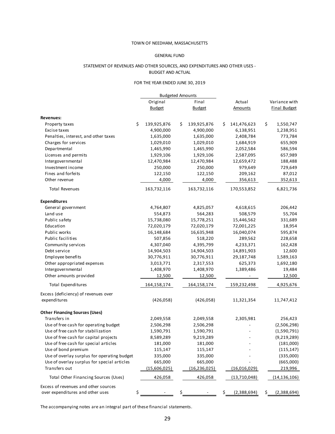### GENERAL FUND

### STATEMENT OF REVENUES AND OTHER SOURCES, AND EXPENDITURES AND OTHER USES ‐ BUDGET AND ACTUAL

### FOR THE YEAR ENDED JUNE 30, 2019

|                                                                                |               | <b>Budgeted Amounts</b> |                   |                     |
|--------------------------------------------------------------------------------|---------------|-------------------------|-------------------|---------------------|
|                                                                                | Original      | Final                   | Actual            | Variance with       |
|                                                                                | <b>Budget</b> | <b>Budget</b>           | <b>Amounts</b>    | <b>Final Budget</b> |
| <b>Revenues:</b>                                                               |               |                         |                   |                     |
| \$<br>Property taxes                                                           | 139,925,876   | \$<br>139,925,876       | \$<br>141,476,623 | \$<br>1,550,747     |
| Excise taxes                                                                   | 4,900,000     | 4,900,000               | 6,138,951         | 1,238,951           |
| Penalties, interest, and other taxes                                           | 1,635,000     | 1,635,000               | 2,408,784         | 773,784             |
| Charges for services                                                           | 1,029,010     | 1,029,010               | 1,684,919         | 655,909             |
| Departmental                                                                   | 1,465,990     | 1,465,990               | 2,052,584         | 586,594             |
| Licenses and permits                                                           | 1,929,106     | 1,929,106               | 2,587,095         | 657,989             |
| Intergovernmental                                                              | 12,470,984    | 12,470,984              | 12,659,472        | 188,488             |
| Investment income                                                              | 250,000       | 250,000                 | 979,649           | 729,649             |
| Fines and forfeits                                                             | 122,150       | 122,150                 | 209,162           | 87,012              |
| Other revenue                                                                  | 4,000         | 4,000                   | 356,613           | 352,613             |
| <b>Total Revenues</b>                                                          | 163,732,116   | 163,732,116             | 170,553,852       | 6,821,736           |
| <b>Expenditures</b>                                                            |               |                         |                   |                     |
| General government                                                             | 4,764,807     | 4,825,057               | 4,618,615         | 206,442             |
| Land use                                                                       | 554,873       | 564,283                 | 508,579           | 55,704              |
| Public safety                                                                  | 15,738,080    | 15,778,251              | 15,446,562        | 331,689             |
| Education                                                                      | 72,020,179    | 72,020,179              | 72,001,225        | 18,954              |
| Public works                                                                   | 16,148,684    | 16,635,948              | 16,040,074        | 595,874             |
| <b>Public facilities</b>                                                       | 507,856       | 518,220                 | 289,562           | 228,658             |
| Community services                                                             | 4,307,040     | 4,395,799               | 4,233,371         | 162,428             |
| Debt service                                                                   | 14,904,503    | 14,904,503              | 14,891,903        | 12,600              |
| Employee benefits                                                              | 30,776,911    | 30,776,911              | 29,187,748        | 1,589,163           |
| Other appropriated expenses                                                    | 3,013,771     | 2,317,553               | 625,373           | 1,692,180           |
| Intergovernmental                                                              | 1,408,970     | 1,408,970               | 1,389,486         | 19,484              |
| Other amounts provided                                                         | 12,500        | 12,500                  |                   | 12,500              |
| <b>Total Expenditures</b>                                                      | 164,158,174   | 164,158,174             | 159,232,498       | 4,925,676           |
| Excess (deficiency) of revenues over                                           |               |                         |                   |                     |
| expenditures                                                                   | (426, 058)    | (426, 058)              | 11,321,354        | 11,747,412          |
| <b>Other Financing Sources (Uses)</b>                                          |               |                         |                   |                     |
| Transfers in                                                                   | 2,049,558     | 2,049,558               | 2,305,981         | 256,423             |
| Use of free cash for operating budget                                          | 2,506,298     | 2,506,298               |                   | (2,506,298)         |
| Use of free cash for stabilization                                             | 1,590,791     | 1,590,791               |                   | (1,590,791)         |
| Use of free cash for capital projects                                          | 8,589,289     | 9,219,289               |                   | (9,219,289)         |
| Use of free cash for special articles                                          | 181,000       | 181,000                 |                   | (181,000)           |
| Use of bond premium                                                            | 115,147       | 115,147                 |                   | (115, 147)          |
| Use of overlay surplus for operating budget                                    | 335,000       | 335,000                 |                   | (335,000)           |
| Use of overlay surplus for special articles                                    | 665,000       | 665,000                 |                   | (665,000)           |
| Transfers out                                                                  | (15,606,025)  | (16, 236, 025)          | (16,016,029)      | 219,996             |
| Total Other Financing Sources (Uses)                                           | 426,058       | 426,058                 | (13,710,048)      | (14, 136, 106)      |
| Excess of revenues and other sources<br>over expenditures and other uses<br>\$ |               | \$.                     | (2,388,694)<br>\$ | (2,388,694)<br>\$   |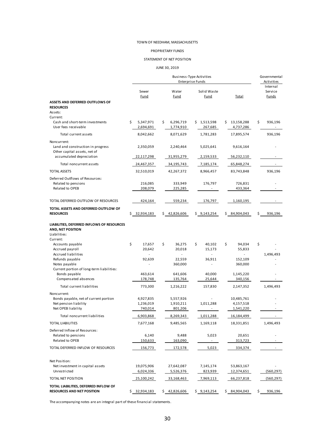#### PROPRIETARY FUNDS

#### STATEMENT OF NET POSITION

#### JUNE 30, 2019

|                                                                                             |                              |                              | Business-Type Activities<br><b>Enterprise Funds</b> |                               | Governmental<br>Activities          |
|---------------------------------------------------------------------------------------------|------------------------------|------------------------------|-----------------------------------------------------|-------------------------------|-------------------------------------|
|                                                                                             | Sewer<br><b>Fund</b>         | Water<br><b>Fund</b>         | Solid Waste<br><b>Fund</b>                          | Total                         | Internal<br>Service<br><b>Funds</b> |
| <b>ASSETS AND DEFERRED OUTFLOWS OF</b><br><b>RESOURCES</b>                                  |                              |                              |                                                     |                               |                                     |
| Assets:                                                                                     |                              |                              |                                                     |                               |                                     |
| Current:                                                                                    |                              |                              |                                                     |                               |                                     |
| Cash and short-term investments<br>User fees receivable                                     | \$<br>5,347,971<br>2,694,691 | \$<br>6,296,719<br>1,774,910 | \$1,513,598<br>267,685                              | 13,158,288<br>S.<br>4,737,286 | \$<br>936,196                       |
| Total current assets                                                                        | 8,042,662                    | 8,071,629                    | 1,781,283                                           | 17,895,574                    | 936,196                             |
| Noncurrent:<br>Land and construction in progress<br>Other capital assets, net of            | 2,350,059                    | 2,240,464                    | 5,025,641                                           | 9,616,164                     |                                     |
| accumulated depreciation                                                                    | 22,117,298                   | <u>31,955,279</u>            | <u>2,159,533</u>                                    | <u>56,232,110</u>             |                                     |
| Total noncurrent assets                                                                     | 24,467,357                   | 34,195,743                   | 7,185,174                                           | 65,848,274                    | $\sim$                              |
| <b>TOTAL ASSETS</b>                                                                         | 32,510,019                   | 42,267,372                   | 8,966,457                                           | 83,743,848                    | 936,196                             |
| Deferred Outflows of Resources:                                                             |                              |                              |                                                     |                               |                                     |
| Related to pensions                                                                         | 216,085                      | 333,949                      | 176,797                                             | 726,831                       |                                     |
| Related to OPEB                                                                             | 208,079                      | 225,285                      |                                                     | 433,364                       |                                     |
| TOTAL DEFERRED OUTFLOW OF RESOURCES                                                         | 424,164                      | 559,234                      | 176,797                                             | 1,160,195                     |                                     |
| TOTAL ASSETS AND DEFERRED OUTFLOW OF                                                        |                              |                              |                                                     |                               |                                     |
| <b>RESOURCES</b>                                                                            | \$32,934,183                 | \$<br>42,826,606             | \$9,143,254                                         | \$<br>84,904,043              | 936,196                             |
| LIABILITIES, DEFERRED INFLOWS OF RESOURCES<br>AND, NET POSITION<br>Liabilities:<br>Current: |                              |                              |                                                     |                               |                                     |
| Accounts payable                                                                            | \$<br>17,657                 | \$<br>36,275                 | \$<br>40,102                                        | \$<br>94,034                  | \$                                  |
| Accrued payroll                                                                             | 20,642                       | 20,018                       | 15,173                                              | 55,833                        |                                     |
| Accrued liabilities                                                                         |                              |                              |                                                     |                               | 1,496,493                           |
| Refunds payable<br>Notes payable                                                            | 92,639                       | 22,559<br>360,000            | 36,911                                              | 152,109<br>360,000            |                                     |
| Current portion of long-term liabilities:                                                   |                              |                              |                                                     |                               |                                     |
| Bonds payable                                                                               | 463,614                      | 641,606                      | 40,000                                              | 1,145,220                     |                                     |
| Compensated absences                                                                        | 178,748                      | 135,764                      | 25,644                                              | 340,156                       |                                     |
| Total current liabilities                                                                   | 773,300                      | 1,216,222                    | 157,830                                             | 2,147,352                     | 1,496,493                           |
| Noncurrent:                                                                                 |                              |                              |                                                     |                               |                                     |
| Bonds payable, net of current portion<br>Net pension liability                              | 4,927,835<br>1,236,019       | 5,557,926<br>1,910,211       | 1,011,288                                           | 10,485,761<br>4,157,518       |                                     |
| Net OPEB liability                                                                          | 740,014                      | 801,206                      |                                                     | 1,541,220                     |                                     |
| Total noncurrent liabilities                                                                | 6,903,868                    | 8,269,343                    | 1,011,288                                           | 16,184,499                    | $\overline{\phantom{a}}$            |
| <b>TOTAL LIABILITIES</b>                                                                    | 7,677,168                    | 9,485,565                    | 1,169,118                                           | 18,331,851                    | 1,496,493                           |
| Deferred Inflow of Resources:                                                               |                              |                              |                                                     |                               |                                     |
| Related to pensions                                                                         | 6,140                        | 9,488                        | 5,023                                               | 20,651                        |                                     |
| Related to OPEB                                                                             | 150,633                      | 163,090                      |                                                     | 313,723                       |                                     |
| TOTAL DEFERRED INFLOW OF RESOURCES                                                          | 156,773                      | 172,578                      | 5,023                                               | 334,374                       |                                     |
| Net Position:                                                                               |                              |                              |                                                     |                               |                                     |
| Net investment in capital assets                                                            | 19,075,906                   | 27,642,087                   | 7,145,174                                           | 53,863,167                    |                                     |
| Unrestricted                                                                                | 6,024,336                    | 5,526,376                    | 823,939                                             | 12,374,651                    | (560, 297)                          |
| TOTAL NET POSITION                                                                          | 25,100,242                   | 33,168,463                   | 7,969,113                                           | 66,237,818                    | (560, 297)                          |
| TOTAL LIABILITIES, DEFERRED INFLOW OF                                                       |                              |                              |                                                     |                               |                                     |
| <b>RESOURCES AND NET POSITION</b>                                                           | \$32,934,183                 | \$42,826,606                 | \$9,143,254                                         | \$84,904,043                  | 936,196<br>Ş.                       |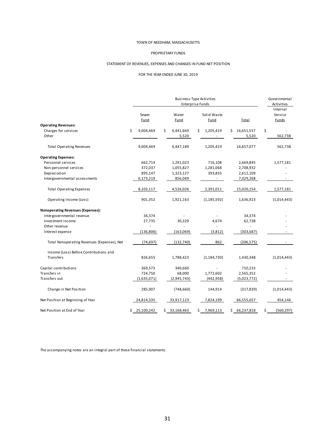#### PROPRIETARY FUNDS

### STATEMENT OF REVENUES, EXPENSES AND CHANGES IN FUND NET POSITION

### FOR THE YEAR ENDED JUNE 30, 2019

|                                             |    |                      |    | Business-Type Activities<br><b>Enterprise Funds</b> |    |                            |                           | Governmental<br>Activities          |
|---------------------------------------------|----|----------------------|----|-----------------------------------------------------|----|----------------------------|---------------------------|-------------------------------------|
|                                             |    | Sewer<br><b>Fund</b> |    | Water<br><b>Fund</b>                                |    | Solid Waste<br><b>Fund</b> | Total                     | Internal<br>Service<br><b>Funds</b> |
| <b>Operating Revenues:</b>                  |    |                      |    |                                                     |    |                            |                           |                                     |
| Charges for services<br>Other               | Ś  | 9,004,469            | Ś. | 6,441,669<br>5,520                                  | Ś. | 1,205,419                  | \$<br>16,651,557<br>5,520 | \$<br>562,738                       |
| <b>Total Operating Revenues</b>             |    | 9,004,469            |    | 6,447,189                                           |    | 1,205,419                  | 16,657,077                | 562,738                             |
| <b>Operating Expenses:</b>                  |    |                      |    |                                                     |    |                            |                           |                                     |
| Personnel services                          |    | 662,714              |    | 1,291,023                                           |    | 716,108                    | 2,669,845                 | 1,577,181                           |
| Non-personnel services                      |    | 372,037              |    | 1,055,827                                           |    | 1,281,068                  | 2,708,932                 |                                     |
| Depreciation                                |    | 895,147              |    | 1,323,127                                           |    | 393,835                    | 2,612,109                 |                                     |
| Intergovernmental assessments               |    | 6,173,219            |    | 856,049                                             |    |                            | 7,029,268                 |                                     |
| <b>Total Operating Expenses</b>             |    | 8,103,117            |    | 4,526,026                                           |    | 2,391,011                  | 15,020,154                | 1,577,181                           |
| Operating Income (Loss)                     |    | 901,352              |    | 1,921,163                                           |    | (1, 185, 592)              | 1,636,923                 | (1,014,443)                         |
| <b>Nonoperating Revenues (Expenses):</b>    |    |                      |    |                                                     |    |                            |                           |                                     |
| Intergovernmental revenue                   |    | 34,374               |    |                                                     |    |                            | 34,374                    |                                     |
| Investment income                           |    | 27,735               |    | 30,329                                              |    | 4,674                      | 62,738                    |                                     |
| Other revenue                               |    |                      |    |                                                     |    |                            |                           |                                     |
| Interest expense                            |    | (136, 806)           |    | (163,069)                                           |    | (3,812)                    | (303, 687)                |                                     |
| Total Nonoperating Revenues (Expenses), Net |    | (74, 697)            |    | (132, 740)                                          |    | 862                        | (206, 575)                |                                     |
| Income (Loss) Before Contributions and      |    |                      |    |                                                     |    |                            |                           |                                     |
| Transfers                                   |    | 826,655              |    | 1,788,423                                           |    | (1, 184, 730)              | 1,430,348                 | (1,014,443)                         |
| Capital contributions                       |    | 369,573              |    | 340,660                                             |    |                            | 710,233                   |                                     |
| Transfers in                                |    | 724,750              |    | 68,000                                              |    | 1,772,602                  | 2,565,352                 |                                     |
| Transfers out                               |    | (1,635,071)          |    | (2,945,743)                                         |    | (442, 958)                 | (5,023,772)               |                                     |
| Change in Net Position                      |    | 285,907              |    | (748, 660)                                          |    | 144,914                    | (317, 839)                | (1,014,443)                         |
| Net Position at Beginning of Year           |    | 24,814,335           |    | 33,917,123                                          |    | 7,824,199                  | 66,555,657                | 454,146                             |
| Net Position at End of Year                 | \$ | 25,100,242           | \$ | 33,168,463                                          | \$ | 7,969,113                  | \$66,237,818              | \$<br>(560, 297)                    |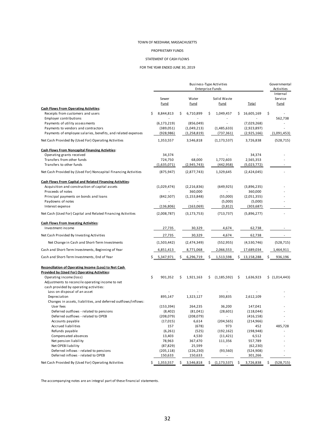#### PROPRIETARY FUNDS

#### STATEMENT OF CASH FLOWS

### FOR THE YEAR ENDED JUNE 30, 2019

|                                                                  | Business-Type Activities<br><b>Enterprise Funds</b> |                      |    |                |    |                            |    |                   |    | Governmental<br>Activities<br>Internal |
|------------------------------------------------------------------|-----------------------------------------------------|----------------------|----|----------------|----|----------------------------|----|-------------------|----|----------------------------------------|
|                                                                  |                                                     | Sewer<br><b>Fund</b> |    | Water<br>Fund  |    | Solid Waste<br><b>Fund</b> |    | Total             |    | Service<br><b>Fund</b>                 |
| <b>Cash Flows From Operating Activities:</b>                     |                                                     |                      |    |                |    |                            |    |                   |    |                                        |
| Receipts from customers and users<br>Employer contributions      | \$                                                  | 8,844,813            | \$ | 6,710,899      | \$ | 1,049,457                  | \$ | 16,605,169        | \$ | 562,738                                |
| Payments of utility assessments                                  |                                                     | (6, 173, 219)        |    | (856, 049)     |    |                            |    | (7,029,268)       |    |                                        |
| Payments to vendors and contractors                              |                                                     | (389,051)            |    | (1,049,213)    |    | (1,485,633)                |    | (2,923,897)       |    |                                        |
| Payments of employee salaries, benefits, and related expenses    |                                                     | (928, 986)           |    | (1, 258, 819)  |    | (737, 361)                 |    | (2,925,166)       |    | (1,091,453)                            |
| Net Cash Provided By (Used For) Operating Activities             |                                                     | 1,353,557            |    | 3,546,818      |    | (1, 173, 537)              |    | 3,726,838         |    | (528, 715)                             |
| <b>Cash Flows From Noncapital Financing Activities:</b>          |                                                     |                      |    |                |    |                            |    |                   |    |                                        |
| Operating grants received                                        |                                                     | 34,374               |    |                |    |                            |    | 34,374            |    |                                        |
| Transfers from other funds                                       |                                                     | 724,750              |    | 68,000         |    | 1,772,603                  |    | 2,565,353         |    |                                        |
| Transfers to other funds                                         |                                                     | (1,635,071)          |    | (2,945,743)    |    | (442, 958)                 |    | (5,023,772)       |    |                                        |
| Net Cash Provided by (Used For) Noncapital Financing Activities  |                                                     | (875, 947)           |    | (2,877,743)    |    | 1,329,645                  |    | (2,424,045)       |    |                                        |
| <b>Cash Flows From Capital and Related Financing Activities:</b> |                                                     |                      |    |                |    |                            |    |                   |    |                                        |
| Acquisition and construction of capital assets                   |                                                     | (1,029,474)          |    | (2, 216, 836)  |    | (649, 925)                 |    | (3,896,235)       |    |                                        |
| Proceeds of notes                                                |                                                     |                      |    | 360,000        |    |                            |    | 360,000           |    |                                        |
| Principal payments on bonds and loans                            |                                                     | (842, 507)           |    | (1, 153, 848)  |    | (55,000)                   |    | (2,051,355)       |    |                                        |
| Paydowns of notes                                                |                                                     |                      |    |                |    | (5,000)                    |    | (5,000)           |    |                                        |
| Interest expense                                                 |                                                     | (136, 806)           |    | (163,069)      |    | (3,812)                    |    | (303, 687)        |    |                                        |
| Net Cash (Used For) Capital and Related Financing Activities     |                                                     | (2,008,787)          |    | (3, 173, 753)  |    | (713, 737)                 |    | (5,896,277)       |    |                                        |
| <b>Cash Flows From Investing Activities:</b>                     |                                                     |                      |    |                |    |                            |    |                   |    |                                        |
| Investment income                                                |                                                     | 27,735               |    | 30,329         |    | 4,674                      |    | 62,738            |    |                                        |
| Net Cash Provided By Investing Activities                        |                                                     | 27,735               |    | 30,329         |    | 4,674                      |    | 62,738            |    | $\overline{\phantom{a}}$               |
| Net Change in Cash and Short-Term Investments                    |                                                     | (1,503,442)          |    | (2,474,349)    |    | (552, 955)                 |    | (4,530,746)       |    | (528, 715)                             |
| Cash and Short-Term Investments, Beginning of Year               |                                                     | 6,851,413            |    | 8,771,068      |    | 2,066,553                  |    | 17,689,034        |    | 1,464,911                              |
| Cash and Short-Term Investments, End of Year                     |                                                     | 5,347,971            |    | 6,296,719      |    | 1,513,598                  | \$ | 13,158,288        |    | 936,196                                |
| Reconciliation of Operating Income (Loss) to Net Cash            |                                                     |                      |    |                |    |                            |    |                   |    |                                        |
| Provided by (Used For) Operating Activities:                     |                                                     |                      |    |                |    |                            |    |                   |    |                                        |
| Operating income (loss)                                          | Ś                                                   | 901,352              | Ś  | 1,921,163      | \$ | (1, 185, 592)              | S. | 1,636,923         |    | \$(1,014,443)                          |
| Adjustments to reconcile operating income to net                 |                                                     |                      |    |                |    |                            |    |                   |    |                                        |
| cash provided by operating activities:                           |                                                     |                      |    |                |    |                            |    |                   |    |                                        |
| Loss on disposal of an asset                                     |                                                     |                      |    |                |    |                            |    |                   |    |                                        |
| Depreciation                                                     |                                                     | 895,147              |    | 1,323,127      |    | 393,835                    |    | 2,612,109         |    |                                        |
| Changes in assets, liabilities, and deferred outflows/inflows:   |                                                     |                      |    |                |    |                            |    |                   |    |                                        |
| User fees                                                        |                                                     | (153, 394)           |    | 264,235        |    | 36,200                     |    | 147,041           |    |                                        |
| Deferred outflows - related to pensions                          |                                                     | (8,402)              |    | (81, 041)      |    | (28, 601)                  |    | (118, 044)        |    |                                        |
| Deferred outflows - related to OPEB                              |                                                     | (208, 079)           |    | (208,079)      |    |                            |    | (416, 158)        |    |                                        |
| Accounts payable                                                 |                                                     | (17, 015)            |    | 6,614          |    | (204, 565)                 |    | (214, 966)        |    |                                        |
| Accrued liabilities<br>Refunds payable                           |                                                     | 157<br>(6, 261)      |    | (678)<br>(525) |    | 973<br>(192, 162)          |    | 452<br>(198, 948) |    | 485,728                                |
| Compensated absences                                             |                                                     | 13,403               |    | 4,530          |    | (11, 421)                  |    | 6,512             |    |                                        |
| Net pension liability                                            |                                                     | 78,963               |    | 367,470        |    | 111,356                    |    | 557,789           |    |                                        |
| Net OPEB liability                                               |                                                     | (87, 829)            |    | 25,599         |    |                            |    | (62, 230)         |    |                                        |
| Deferred inflows - related to pensions                           |                                                     | (205, 118)           |    | (226, 230)     |    | (93, 560)                  |    | (524, 908)        |    |                                        |
| Deferred inflows - related to OPEB                               |                                                     | 150,633              |    | 150,633        |    |                            |    | 301,266           |    |                                        |
| Net Cash Provided By (Used For) Operating Activities             |                                                     | 1,353,557            |    | 3,546,818      |    | (1, 173, 537)              |    | 3,726,838         |    | (528, 715)                             |
|                                                                  |                                                     |                      |    |                |    |                            |    |                   |    |                                        |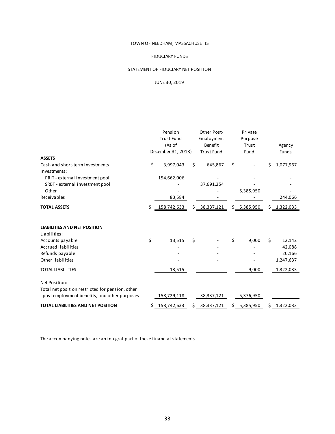### FIDUCIARY FUNDS

### STATEMENT OF FIDUCIARY NET POSITION

### JUNE 30, 2019

|                                                  | Pension                  |    | Other Post-       |    | Private      |    |              |
|--------------------------------------------------|--------------------------|----|-------------------|----|--------------|----|--------------|
|                                                  | <b>Trust Fund</b>        |    | Employment        |    | Purpose      |    |              |
|                                                  | (As of                   |    | Benefit           |    | Trust        |    | Agency       |
|                                                  | December 31, 2018)       |    | <b>Trust Fund</b> |    | Fund         |    | <b>Funds</b> |
| <b>ASSETS</b>                                    |                          |    |                   |    |              |    |              |
| Cash and short-term investments                  | \$<br>3,997,043          | \$ | 645,867           | \$ |              | \$ | 1,077,967    |
| Investments:                                     |                          |    |                   |    |              |    |              |
| PRIT - external investment pool                  | 154,662,006              |    |                   |    |              |    |              |
| SRBT - external investment pool                  |                          |    | 37,691,254        |    |              |    |              |
| Other                                            |                          |    |                   |    | 5,385,950    |    |              |
| Receivables                                      | 83,584                   |    |                   |    |              |    | 244,066      |
| <b>TOTAL ASSETS</b>                              | \$<br><u>158,742,633</u> |    | \$ 38,337,121     |    | \$ 5,385,950 |    | \$ 1,322,033 |
|                                                  |                          |    |                   |    |              |    |              |
| <b>LIABILITIES AND NET POSITION</b>              |                          |    |                   |    |              |    |              |
| Liabilities:                                     |                          |    |                   |    |              |    |              |
| Accounts payable                                 | \$<br>13,515             | \$ |                   | \$ | 9,000        | \$ | 12,142       |
| <b>Accrued liabilities</b>                       |                          |    |                   |    |              |    | 42,088       |
| Refunds payable                                  |                          |    |                   |    |              |    | 20,166       |
| Other liabilities                                |                          |    |                   |    |              |    | 1,247,637    |
| <b>TOTAL LIABILITIES</b>                         | 13,515                   |    |                   |    | 9,000        |    | 1,322,033    |
| Net Position:                                    |                          |    |                   |    |              |    |              |
| Total net position restricted for pension, other |                          |    |                   |    |              |    |              |
| post employment benefits, and other purposes     | 158,729,118              |    | 38,337,121        |    | 5,376,950    |    |              |
| <b>TOTAL LIABILITIES AND NET POSITION</b>        | \$<br>158,742,633        | Ś. | 38,337,121        | Ś. | 5,385,950    | Ś. | 1,322,033    |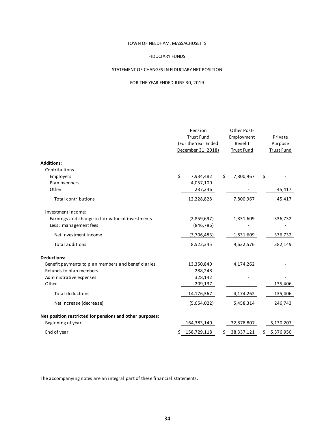#### TOWN OF NEEDHAM, MASSACHUSETTS

#### FIDUCIARY FUNDS

#### STATEMENT OF CHANGES IN FIDUCIARY NET POSITION

#### FOR THE YEAR ENDED JUNE 30, 2019

|                                                          | Pension<br><b>Trust Fund</b><br>(For the Year Ended<br>December 31, 2018) | Other Post-<br>Employment<br>Benefit<br><b>Trust Fund</b> | Private<br>Purpose<br><b>Trust Fund</b> |
|----------------------------------------------------------|---------------------------------------------------------------------------|-----------------------------------------------------------|-----------------------------------------|
| <b>Additions:</b>                                        |                                                                           |                                                           |                                         |
| Contributions:                                           |                                                                           |                                                           |                                         |
| Employers                                                | \$<br>7,934,482                                                           | \$<br>7,800,967                                           | \$                                      |
| Plan members                                             | 4,057,100                                                                 |                                                           |                                         |
| Other                                                    | 237,246                                                                   |                                                           | 45,417                                  |
| <b>Total contributions</b>                               | 12,228,828                                                                | 7,800,967                                                 | 45,417                                  |
| Investment Income:                                       |                                                                           |                                                           |                                         |
| Earnings and change in fair value of investments         | (2,859,697)                                                               | 1,831,609                                                 | 336,732                                 |
| Less: management fees                                    | (846, 786)                                                                |                                                           |                                         |
| Net investment income                                    | (3,706,483)                                                               | 1,831,609                                                 | 336,732                                 |
| <b>Total additions</b>                                   | 8,522,345                                                                 | 9,632,576                                                 | 382,149                                 |
| <b>Deductions:</b>                                       |                                                                           |                                                           |                                         |
| Benefit payments to plan members and beneficiaries       | 13,350,840                                                                | 4,174,262                                                 |                                         |
| Refunds to plan members                                  | 288,248                                                                   |                                                           |                                         |
| Administrative expenses                                  | 328,142                                                                   |                                                           |                                         |
| Other                                                    | 209,137                                                                   |                                                           | 135,406                                 |
| <b>Total deductions</b>                                  | 14,176,367                                                                | 4,174,262                                                 | 135,406                                 |
| Net increase (decrease)                                  | (5,654,022)                                                               | 5,458,314                                                 | 246,743                                 |
| Net position restricted for pensions and other purposes: |                                                                           |                                                           |                                         |
| Beginning of year                                        | 164,383,140                                                               | 32,878,807                                                | 5,130,207                               |
| End of year                                              | \$<br>158,729,118                                                         | \$<br>38,337,121                                          | \$5,376,950                             |

The accompanying notes are an integral part of these financial statements.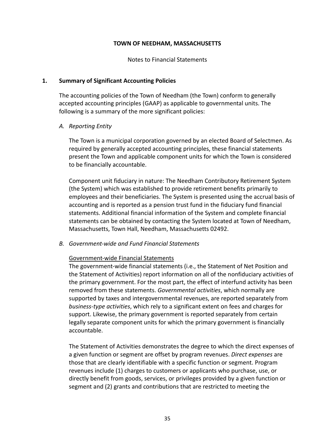#### **TOWN OF NEEDHAM, MASSACHUSETTS**

Notes to Financial Statements

#### **1. Summary of Significant Accounting Policies**

The accounting policies of the Town of Needham (the Town) conform to generally accepted accounting principles (GAAP) as applicable to governmental units. The following is a summary of the more significant policies:

# *A. Reporting Entity*

The Town is a municipal corporation governed by an elected Board of Selectmen. As required by generally accepted accounting principles, these financial statements present the Town and applicable component units for which the Town is considered to be financially accountable.

Component unit fiduciary in nature: The Needham Contributory Retirement System (the System) which was established to provide retirement benefits primarily to employees and their beneficiaries. The System is presented using the accrual basis of accounting and is reported as a pension trust fund in the fiduciary fund financial statements. Additional financial information of the System and complete financial statements can be obtained by contacting the System located at Town of Needham, Massachusetts, Town Hall, Needham, Massachusetts 02492.

# *B. Government‐wide and Fund Financial Statements*

# Government‐wide Financial Statements

The government‐wide financial statements (i.e., the Statement of Net Position and the Statement of Activities) report information on all of the nonfiduciary activities of the primary government. For the most part, the effect of interfund activity has been removed from these statements. *Governmental activities*, which normally are supported by taxes and intergovernmental revenues, are reported separately from *business‐type activities*, which rely to a significant extent on fees and charges for support. Likewise, the primary government is reported separately from certain legally separate component units for which the primary government is financially accountable.

The Statement of Activities demonstrates the degree to which the direct expenses of a given function or segment are offset by program revenues. *Direct expenses* are those that are clearly identifiable with a specific function or segment. Program revenues include (1) charges to customers or applicants who purchase, use, or directly benefit from goods, services, or privileges provided by a given function or segment and (2) grants and contributions that are restricted to meeting the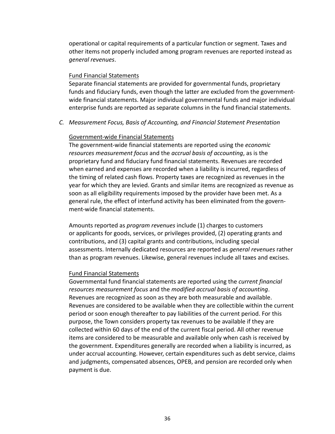operational or capital requirements of a particular function or segment. Taxes and other items not properly included among program revenues are reported instead as *general revenues*.

#### Fund Financial Statements

Separate financial statements are provided for governmental funds, proprietary funds and fiduciary funds, even though the latter are excluded from the government‐ wide financial statements. Major individual governmental funds and major individual enterprise funds are reported as separate columns in the fund financial statements.

#### *C. Measurement Focus, Basis of Accounting, and Financial Statement Presentation*

#### Government‐wide Financial Statements

The government‐wide financial statements are reported using the *economic resources measurement focus* and the *accrual basis of accounting*, as is the proprietary fund and fiduciary fund financial statements. Revenues are recorded when earned and expenses are recorded when a liability is incurred, regardless of the timing of related cash flows. Property taxes are recognized as revenues in the year for which they are levied. Grants and similar items are recognized as revenue as soon as all eligibility requirements imposed by the provider have been met. As a general rule, the effect of interfund activity has been eliminated from the govern‐ ment‐wide financial statements.

Amounts reported as *program revenues* include (1) charges to customers or applicants for goods, services, or privileges provided, (2) operating grants and contributions, and (3) capital grants and contributions, including special assessments. Internally dedicated resources are reported as *general revenues* rather than as program revenues. Likewise, general revenues include all taxes and excises.

#### Fund Financial Statements

Governmental fund financial statements are reported using the *current financial resources measurement focus* and the *modified accrual basis of accounting*. Revenues are recognized as soon as they are both measurable and available. Revenues are considered to be available when they are collectible within the current period or soon enough thereafter to pay liabilities of the current period. For this purpose, the Town considers property tax revenues to be available if they are collected within 60 days of the end of the current fiscal period. All other revenue items are considered to be measurable and available only when cash is received by the government. Expenditures generally are recorded when a liability is incurred, as under accrual accounting. However, certain expenditures such as debt service, claims and judgments, compensated absences, OPEB, and pension are recorded only when payment is due.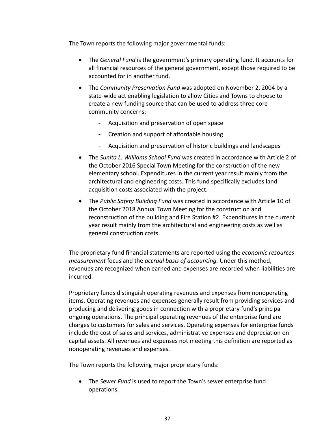The Town reports the following major governmental funds:

- The *General Fund* is the government's primary operating fund. It accounts for all financial resources of the general government, except those required to be accounted for in another fund.
- The *Community Preservation Fund* was adopted on November 2, 2004 by a state‐wide act enabling legislation to allow Cities and Towns to choose to create a new funding source that can be used to address three core community concerns:
	- Acquisition and preservation of open space
	- Creation and support of affordable housing
	- Acquisition and preservation of historic buildings and landscapes
- The *Sunita L. Williams School Fund* was created in accordance with Article 2 of the October 2016 Special Town Meeting for the construction of the new elementary school. Expenditures in the current year result mainly from the architectural and engineering costs. This fund specifically excludes land acquisition costs associated with the project.
- The *Public Safety Building Fund* was created in accordance with Article 10 of the October 2018 Annual Town Meeting for the construction and reconstruction of the building and Fire Station #2. Expenditures in the current year result mainly from the architectural and engineering costs as well as general construction costs.

The proprietary fund financial statements are reported using the *economic resources measurement* focus and the *accrual basis of accounting.* Under this method, revenues are recognized when earned and expenses are recorded when liabilities are incurred.

Proprietary funds distinguish operating revenues and expenses from nonoperating items. Operating revenues and expenses generally result from providing services and producing and delivering goods in connection with a proprietary fund's principal ongoing operations. The principal operating revenues of the enterprise fund are charges to customers for sales and services. Operating expenses for enterprise funds include the cost of sales and services, administrative expenses and depreciation on capital assets. All revenues and expenses not meeting this definition are reported as nonoperating revenues and expenses.

The Town reports the following major proprietary funds:

 The *Sewer Fund* is used to report the Town's sewer enterprise fund operations.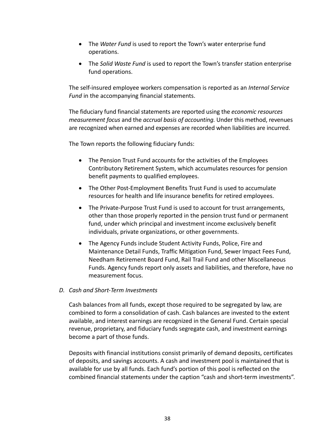- The *Water Fund* is used to report the Town's water enterprise fund operations.
- The *Solid Waste Fund* is used to report the Town's transfer station enterprise fund operations.

The self‐insured employee workers compensation is reported as an *Internal Service Fund* in the accompanying financial statements.

The fiduciary fund financial statements are reported using the *economic resources measurement focus* and the *accrual basis of accounting.* Under this method, revenues are recognized when earned and expenses are recorded when liabilities are incurred.

The Town reports the following fiduciary funds:

- The Pension Trust Fund accounts for the activities of the Employees Contributory Retirement System, which accumulates resources for pension benefit payments to qualified employees.
- The Other Post-Employment Benefits Trust Fund is used to accumulate resources for health and life insurance benefits for retired employees.
- The Private-Purpose Trust Fund is used to account for trust arrangements, other than those properly reported in the pension trust fund or permanent fund, under which principal and investment income exclusively benefit individuals, private organizations, or other governments.
- The Agency Funds include Student Activity Funds, Police, Fire and Maintenance Detail Funds, Traffic Mitigation Fund, Sewer Impact Fees Fund, Needham Retirement Board Fund, Rail Trail Fund and other Miscellaneous Funds. Agency funds report only assets and liabilities, and therefore, have no measurement focus.

# *D. Cash and Short‐Term Investments*

Cash balances from all funds, except those required to be segregated by law, are combined to form a consolidation of cash. Cash balances are invested to the extent available, and interest earnings are recognized in the General Fund. Certain special revenue, proprietary, and fiduciary funds segregate cash, and investment earnings become a part of those funds.

Deposits with financial institutions consist primarily of demand deposits, certificates of deposits, and savings accounts. A cash and investment pool is maintained that is available for use by all funds. Each fund's portion of this pool is reflected on the combined financial statements under the caption "cash and short‐term investments".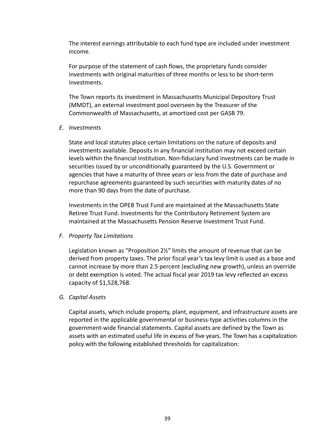The interest earnings attributable to each fund type are included under investment income.

For purpose of the statement of cash flows, the proprietary funds consider investments with original maturities of three months or less to be short‐term investments.

The Town reports its investment in Massachusetts Municipal Depository Trust (MMDT), an external investment pool overseen by the Treasurer of the Commonwealth of Massachusetts, at amortized cost per GASB 79.

*E. Investments* 

State and local statutes place certain limitations on the nature of deposits and investments available. Deposits in any financial institution may not exceed certain levels within the financial institution. Non‐fiduciary fund investments can be made in securities issued by or unconditionally guaranteed by the U.S. Government or agencies that have a maturity of three years or less from the date of purchase and repurchase agreements guaranteed by such securities with maturity dates of no more than 90 days from the date of purchase.

Investments in the OPEB Trust Fund are maintained at the Massachusetts State Retiree Trust Fund. Investments for the Contributory Retirement System are maintained at the Massachusetts Pension Reserve Investment Trust Fund.

# *F. Property Tax Limitations*

Legislation known as "Proposition 2½" limits the amount of revenue that can be derived from property taxes. The prior fiscal year's tax levy limit is used as a base and cannot increase by more than 2.5 percent (excluding new growth), unless an override or debt exemption is voted. The actual fiscal year 2019 tax levy reflected an excess capacity of \$1,528,768.

# *G. Capital Assets*

Capital assets, which include property, plant, equipment, and infrastructure assets are reported in the applicable governmental or business‐type activities columns in the government‐wide financial statements. Capital assets are defined by the Town as assets with an estimated useful life in excess of five years. The Town has a capitalization policy with the following established thresholds for capitalization: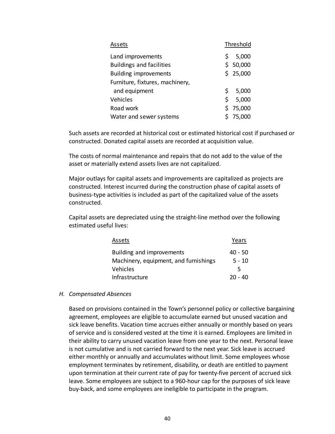| Assets                          |     | Threshold |
|---------------------------------|-----|-----------|
| Land improvements               | S   | 5,000     |
| <b>Buildings and facilities</b> |     | \$50,000  |
| <b>Building improvements</b>    |     | \$25,000  |
| Furniture, fixtures, machinery, |     |           |
| and equipment                   | \$. | 5,000     |
| Vehicles                        | \$  | 5,000     |
| Road work                       |     | \$75,000  |
| Water and sewer systems         |     | \$75,000  |

Such assets are recorded at historical cost or estimated historical cost if purchased or constructed. Donated capital assets are recorded at acquisition value.

The costs of normal maintenance and repairs that do not add to the value of the asset or materially extend assets lives are not capitalized.

Major outlays for capital assets and improvements are capitalized as projects are constructed. Interest incurred during the construction phase of capital assets of business‐type activities is included as part of the capitalized value of the assets constructed.

Capital assets are depreciated using the straight‐line method over the following estimated useful lives:

| Assets                                | Years     |
|---------------------------------------|-----------|
| Building and improvements             | $40 - 50$ |
| Machinery, equipment, and furnishings | $5 - 10$  |
| Vehicles                              | 5         |
| Infrastructure                        | $20 - 40$ |

#### *H. Compensated Absences*

Based on provisions contained in the Town's personnel policy or collective bargaining agreement, employees are eligible to accumulate earned but unused vacation and sick leave benefits. Vacation time accrues either annually or monthly based on years of service and is considered vested at the time it is earned. Employees are limited in their ability to carry unused vacation leave from one year to the next. Personal leave is not cumulative and is not carried forward to the next year. Sick leave is accrued either monthly or annually and accumulates without limit. Some employees whose employment terminates by retirement, disability, or death are entitled to payment upon termination at their current rate of pay for twenty‐five percent of accrued sick leave. Some employees are subject to a 960‐hour cap for the purposes of sick leave buy‐back, and some employees are ineligible to participate in the program.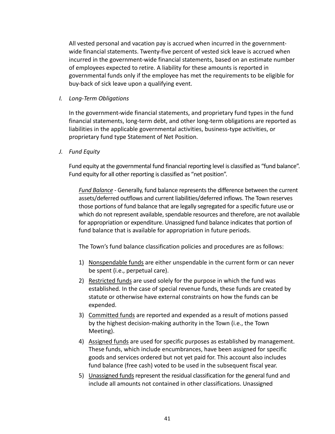All vested personal and vacation pay is accrued when incurred in the government‐ wide financial statements. Twenty-five percent of vested sick leave is accrued when incurred in the government-wide financial statements, based on an estimate number of employees expected to retire. A liability for these amounts is reported in governmental funds only if the employee has met the requirements to be eligible for buy‐back of sick leave upon a qualifying event.

# *I. Long‐Term Obligations*

In the government‐wide financial statements, and proprietary fund types in the fund financial statements, long‐term debt, and other long‐term obligations are reported as liabilities in the applicable governmental activities, business‐type activities, or proprietary fund type Statement of Net Position.

# *J. Fund Equity*

Fund equity at the governmental fund financial reporting level is classified as "fund balance". Fund equity for all other reporting is classified as "net position".

*Fund Balance* ‐ Generally, fund balance represents the difference between the current assets/deferred outflows and current liabilities/deferred inflows. The Town reserves those portions of fund balance that are legally segregated for a specific future use or which do not represent available, spendable resources and therefore, are not available for appropriation or expenditure. Unassigned fund balance indicates that portion of fund balance that is available for appropriation in future periods.

The Town's fund balance classification policies and procedures are as follows:

- 1) Nonspendable funds are either unspendable in the current form or can never be spent (i.e., perpetual care).
- 2) Restricted funds are used solely for the purpose in which the fund was established. In the case of special revenue funds, these funds are created by statute or otherwise have external constraints on how the funds can be expended.
- 3) Committed funds are reported and expended as a result of motions passed by the highest decision‐making authority in the Town (i.e., the Town Meeting).
- 4) Assigned funds are used for specific purposes as established by management. These funds, which include encumbrances, have been assigned for specific goods and services ordered but not yet paid for. This account also includes fund balance (free cash) voted to be used in the subsequent fiscal year.
- 5) Unassigned funds represent the residual classification for the general fund and include all amounts not contained in other classifications. Unassigned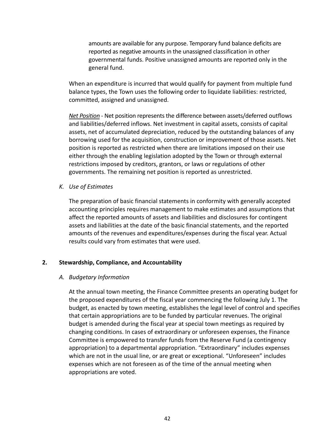amounts are available for any purpose. Temporary fund balance deficits are reported as negative amounts in the unassigned classification in other governmental funds. Positive unassigned amounts are reported only in the general fund.

When an expenditure is incurred that would qualify for payment from multiple fund balance types, the Town uses the following order to liquidate liabilities: restricted, committed, assigned and unassigned.

*Net Position* ‐ Net position represents the difference between assets/deferred outflows and liabilities/deferred inflows. Net investment in capital assets, consists of capital assets, net of accumulated depreciation, reduced by the outstanding balances of any borrowing used for the acquisition, construction or improvement of those assets. Net position is reported as restricted when there are limitations imposed on their use either through the enabling legislation adopted by the Town or through external restrictions imposed by creditors, grantors, or laws or regulations of other governments. The remaining net position is reported as unrestricted.

*K. Use of Estimates* 

The preparation of basic financial statements in conformity with generally accepted accounting principles requires management to make estimates and assumptions that affect the reported amounts of assets and liabilities and disclosures for contingent assets and liabilities at the date of the basic financial statements, and the reported amounts of the revenues and expenditures/expenses during the fiscal year. Actual results could vary from estimates that were used.

# **2. Stewardship, Compliance, and Accountability**

# *A. Budgetary Information*

At the annual town meeting, the Finance Committee presents an operating budget for the proposed expenditures of the fiscal year commencing the following July 1. The budget, as enacted by town meeting, establishes the legal level of control and specifies that certain appropriations are to be funded by particular revenues. The original budget is amended during the fiscal year at special town meetings as required by changing conditions. In cases of extraordinary or unforeseen expenses, the Finance Committee is empowered to transfer funds from the Reserve Fund (a contingency appropriation) to a departmental appropriation. "Extraordinary" includes expenses which are not in the usual line, or are great or exceptional. "Unforeseen" includes expenses which are not foreseen as of the time of the annual meeting when appropriations are voted.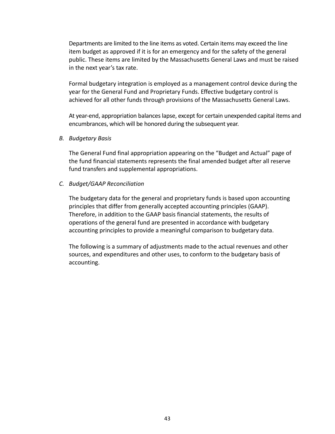Departments are limited to the line items as voted. Certain items may exceed the line item budget as approved if it is for an emergency and for the safety of the general public. These items are limited by the Massachusetts General Laws and must be raised in the next year's tax rate.

Formal budgetary integration is employed as a management control device during the year for the General Fund and Proprietary Funds. Effective budgetary control is achieved for all other funds through provisions of the Massachusetts General Laws.

At year‐end, appropriation balances lapse, except for certain unexpended capital items and encumbrances, which will be honored during the subsequent year.

#### *B. Budgetary Basis*

The General Fund final appropriation appearing on the "Budget and Actual" page of the fund financial statements represents the final amended budget after all reserve fund transfers and supplemental appropriations.

# *C. Budget/GAAP Reconciliation*

The budgetary data for the general and proprietary funds is based upon accounting principles that differ from generally accepted accounting principles (GAAP). Therefore, in addition to the GAAP basis financial statements, the results of operations of the general fund are presented in accordance with budgetary accounting principles to provide a meaningful comparison to budgetary data.

The following is a summary of adjustments made to the actual revenues and other sources, and expenditures and other uses, to conform to the budgetary basis of accounting.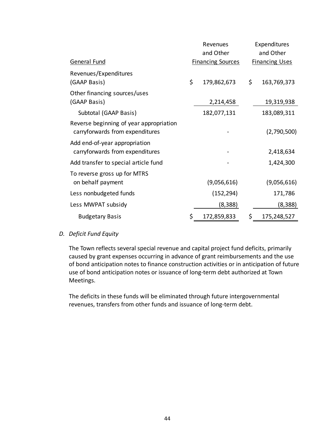|                                                                            |    | Revenues<br>and Other    |    | Expenditures<br>and Other |  |
|----------------------------------------------------------------------------|----|--------------------------|----|---------------------------|--|
| General Fund                                                               |    | <b>Financing Sources</b> |    | <b>Financing Uses</b>     |  |
| Revenues/Expenditures<br>(GAAP Basis)                                      | \$ | 179,862,673              |    | 163,769,373               |  |
| Other financing sources/uses<br>(GAAP Basis)                               |    | 2,214,458                |    | 19,319,938                |  |
| Subtotal (GAAP Basis)                                                      |    | 182,077,131              |    | 183,089,311               |  |
| Reverse beginning of year appropriation<br>carryforwards from expenditures |    |                          |    | (2,790,500)               |  |
| Add end-of-year appropriation<br>carryforwards from expenditures           |    |                          |    | 2,418,634                 |  |
| Add transfer to special article fund                                       |    |                          |    | 1,424,300                 |  |
| To reverse gross up for MTRS<br>on behalf payment                          |    | (9,056,616)              |    | (9,056,616)               |  |
| Less nonbudgeted funds                                                     |    | (152, 294)               |    | 171,786                   |  |
| Less MWPAT subsidy                                                         |    | (8,388)                  |    | (8,388)                   |  |
| <b>Budgetary Basis</b>                                                     | \$ | 172,859,833              | \$ | 175,248,527               |  |

# *D. Deficit Fund Equity*

The Town reflects several special revenue and capital project fund deficits, primarily caused by grant expenses occurring in advance of grant reimbursements and the use of bond anticipation notes to finance construction activities or in anticipation of future use of bond anticipation notes or issuance of long‐term debt authorized at Town Meetings.

The deficits in these funds will be eliminated through future intergovernmental revenues, transfers from other funds and issuance of long-term debt.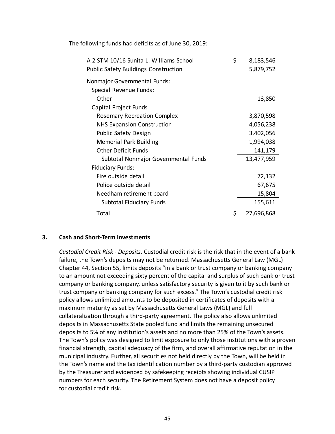The following funds had deficits as of June 30, 2019:

| A 2 STM 10/16 Sunita L. Williams School     | \$<br>8,183,546  |
|---------------------------------------------|------------------|
| <b>Public Safety Buildings Construction</b> | 5,879,752        |
| Nonmajor Governmental Funds:                |                  |
| Special Revenue Funds:                      |                  |
| Other                                       | 13,850           |
| Capital Project Funds                       |                  |
| <b>Rosemary Recreation Complex</b>          | 3,870,598        |
| <b>NHS Expansion Construction</b>           | 4,056,238        |
| <b>Public Safety Design</b>                 | 3,402,056        |
| <b>Memorial Park Building</b>               | 1,994,038        |
| <b>Other Deficit Funds</b>                  | 141,179          |
| Subtotal Nonmajor Governmental Funds        | 13,477,959       |
| <b>Fiduciary Funds:</b>                     |                  |
| Fire outside detail                         | 72,132           |
| Police outside detail                       | 67,675           |
| Needham retirement board                    | 15,804           |
| Subtotal Fiduciary Funds                    | 155,611          |
| Total                                       | \$<br>27,696,868 |

#### **3. Cash and Short‐Term Investments**

*Custodial Credit Risk* ‐ *Deposits*. Custodial credit risk is the risk that in the event of a bank failure, the Town's deposits may not be returned. Massachusetts General Law (MGL) Chapter 44, Section 55, limits deposits "in a bank or trust company or banking company to an amount not exceeding sixty percent of the capital and surplus of such bank or trust company or banking company, unless satisfactory security is given to it by such bank or trust company or banking company for such excess." The Town's custodial credit risk policy allows unlimited amounts to be deposited in certificates of deposits with a maximum maturity as set by Massachusetts General Laws (MGL) and full collateralization through a third‐party agreement. The policy also allows unlimited deposits in Massachusetts State pooled fund and limits the remaining unsecured deposits to 5% of any institution's assets and no more than 25% of the Town's assets. The Town's policy was designed to limit exposure to only those institutions with a proven financial strength, capital adequacy of the firm, and overall affirmative reputation in the municipal industry. Further, all securities not held directly by the Town, will be held in the Town's name and the tax identification number by a third‐party custodian approved by the Treasurer and evidenced by safekeeping receipts showing individual CUSIP numbers for each security. The Retirement System does not have a deposit policy for custodial credit risk.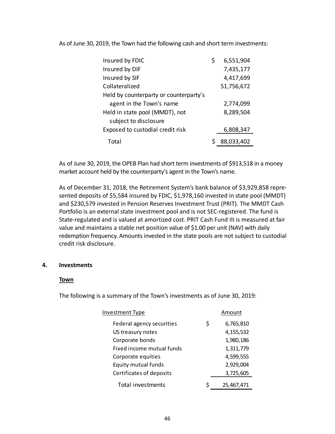# As of June 30, 2019, the Town had the following cash and short term investments:

| Insured by FDIC                        | Ś | 6,551,904  |
|----------------------------------------|---|------------|
| Insured by DIF                         |   | 7,435,177  |
| Insured by SIF                         |   | 4,417,699  |
| Collateralized                         |   | 51,756,672 |
| Held by counterparty or counterparty's |   |            |
| agent in the Town's name               |   | 2,774,099  |
| Held in state pool (MMDT), not         |   | 8,289,504  |
| subject to disclosure                  |   |            |
| Exposed to custodial credit risk       |   | 6,808,347  |
| Total                                  |   | 88,033,402 |

As of June 30, 2019, the OPEB Plan had short term investments of \$913,518 in a money market account held by the counterparty's agent in the Town's name.

As of December 31, 2018, the Retirement System's bank balance of \$3,929,858 repre‐ sented deposits of \$5,584 insured by FDIC, \$1,978,160 invested in state pool (MMDT) and \$230,579 invested in Pension Reserves Investment Trust (PRIT). The MMDT Cash Portfolio is an external state investment pool and is not SEC‐registered. The fund is State-regulated and is valued at amortized cost. PRIT Cash Fund III is measured at fair value and maintains a stable net position value of \$1.00 per unit (NAV) with daily redemption frequency. Amounts invested in the state pools are not subject to custodial credit risk disclosure.

#### **4. Investments**

# **Town**

The following is a summary of the Town's investments as of June 30, 2019:

| <b>Investment Type</b>    | Amount          |
|---------------------------|-----------------|
| Federal agency securities | \$<br>6,765,810 |
| US treasury notes         | 4,155,532       |
| Corporate bonds           | 1,980,186       |
| Fixed income mutual funds | 1,311,779       |
| Corporate equities        | 4,599,555       |
| Equity mutual funds       | 2,929,004       |
| Certificates of deposits  | 3,725,605       |
| Total investments         | 25,467,471      |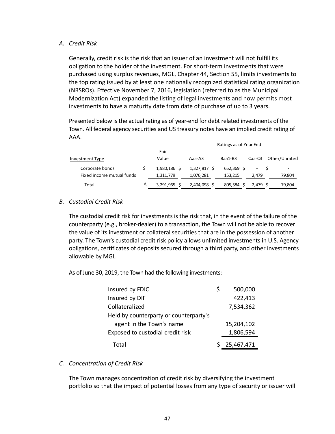# *A. Credit Risk*

Generally, credit risk is the risk that an issuer of an investment will not fulfill its obligation to the holder of the investment. For short‐term investments that were purchased using surplus revenues, MGL, Chapter 44, Section 55, limits investments to the top rating issued by at least one nationally recognized statistical rating organization (NRSROs). Effective November 7, 2016, legislation (referred to as the Municipal Modernization Act) expanded the listing of legal investments and now permits most investments to have a maturity date from date of purchase of up to 3 years.

Presented below is the actual rating as of year‐end for debt related investments of the Town. All federal agency securities and US treasury notes have an implied credit rating of AAA.

|                           |              |              | Ratings as of Year End |         |               |
|---------------------------|--------------|--------------|------------------------|---------|---------------|
|                           | Fair         |              |                        |         |               |
| Investment Type           | Value        | Aaa-A3       | Baa1-B3                | Caa-C3  | Other/Unrated |
| Corporate bonds           | 1.980.186 \$ | 1,327,817 \$ | 652.369 S              |         | ۰             |
| Fixed income mutual funds | 1,311,779    | 1,076,281    | 153.215                | 2.479   | 79,804        |
| Total                     | 3,291,965    | 2,404,098    | 805.584                | 2.479 S | 79,804        |

# *B. Custodial Credit Risk*

The custodial credit risk for investments is the risk that, in the event of the failure of the counterparty (e.g., broker‐dealer) to a transaction, the Town will not be able to recover the value of its investment or collateral securities that are in the possession of another party. The Town's custodial credit risk policy allows unlimited investments in U.S. Agency obligations, certificates of deposits secured through a third party, and other investments allowable by MGL.

As of June 30, 2019, the Town had the following investments:

| Insured by FDIC                        | S | 500,000      |
|----------------------------------------|---|--------------|
| Insured by DIF                         |   | 422,413      |
| Collateralized                         |   | 7,534,362    |
| Held by counterparty or counterparty's |   |              |
| agent in the Town's name               |   | 15,204,102   |
| Exposed to custodial credit risk       |   | 1,806,594    |
| Total                                  |   | \$25,467,471 |

# *C. Concentration of Credit Risk*

The Town manages concentration of credit risk by diversifying the investment portfolio so that the impact of potential losses from any type of security or issuer will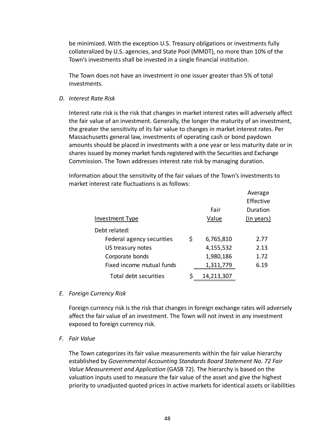be minimized. With the exception U.S. Treasury obligations or investments fully collateralized by U.S. agencies, and State Pool (MMDT), no more than 10% of the Town's investments shall be invested in a single financial institution.

The Town does not have an investment in one issuer greater than 5% of total investments.

*D. Interest Rate Risk* 

Interest rate risk is the risk that changes in market interest rates will adversely affect the fair value of an investment. Generally, the longer the maturity of an investment, the greater the sensitivity of its fair value to changes in market interest rates. Per Massachusetts general law, investments of operating cash or bond paydown amounts should be placed in investments with a one year or less maturity date or in shares issued by money market funds registered with the Securities and Exchange Commission. The Town addresses interest rate risk by managing duration.

Information about the sensitivity of the fair values of the Town's investments to market interest rate fluctuations is as follows:

|                           |                 | Average    |
|---------------------------|-----------------|------------|
|                           |                 | Effective  |
|                           | Fair            | Duration   |
| Investment Type           | Value           | (in years) |
| Debt related:             |                 |            |
| Federal agency securities | \$<br>6,765,810 | 2.77       |
| US treasury notes         | 4,155,532       | 2.13       |
| Corporate bonds           | 1,980,186       | 1.72       |
| Fixed income mutual funds | 1,311,779       | 6.19       |
| Total debt securities     | 14,213,307      |            |

*E. Foreign Currency Risk* 

Foreign currency risk is the risk that changes in foreign exchange rates will adversely affect the fair value of an investment. The Town will not invest in any investment exposed to foreign currency risk.

# *F. Fair Value*

The Town categorizes its fair value measurements within the fair value hierarchy established by *Governmental Accounting Standards Board Statement No. 72 Fair Value Measurement and Application* (GASB 72). The hierarchy is based on the valuation inputs used to measure the fair value of the asset and give the highest priority to unadjusted quoted prices in active markets for identical assets or liabilities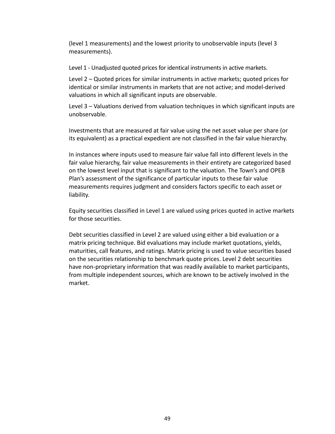(level 1 measurements) and the lowest priority to unobservable inputs (level 3 measurements).

Level 1 ‐ Unadjusted quoted prices for identical instruments in active markets.

Level 2 – Quoted prices for similar instruments in active markets; quoted prices for identical or similar instruments in markets that are not active; and model‐derived valuations in which all significant inputs are observable.

Level 3 – Valuations derived from valuation techniques in which significant inputs are unobservable.

Investments that are measured at fair value using the net asset value per share (or its equivalent) as a practical expedient are not classified in the fair value hierarchy.

In instances where inputs used to measure fair value fall into different levels in the fair value hierarchy, fair value measurements in their entirety are categorized based on the lowest level input that is significant to the valuation. The Town's and OPEB Plan's assessment of the significance of particular inputs to these fair value measurements requires judgment and considers factors specific to each asset or liability.

Equity securities classified in Level 1 are valued using prices quoted in active markets for those securities.

Debt securities classified in Level 2 are valued using either a bid evaluation or a matrix pricing technique. Bid evaluations may include market quotations, yields, maturities, call features, and ratings. Matrix pricing is used to value securities based on the securities relationship to benchmark quote prices. Level 2 debt securities have non‐proprietary information that was readily available to market participants, from multiple independent sources, which are known to be actively involved in the market.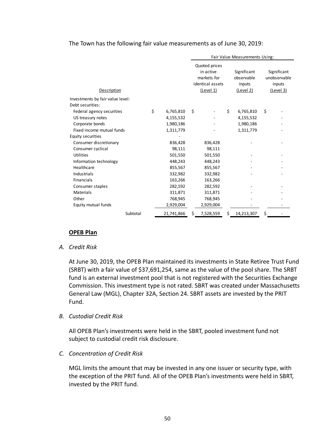#### The Town has the following fair value measurements as of June 30, 2019:

|                                  |                 | Fair Value Measurements Using: |                                                               |    |                                     |    |                                       |
|----------------------------------|-----------------|--------------------------------|---------------------------------------------------------------|----|-------------------------------------|----|---------------------------------------|
|                                  |                 |                                | Quoted prices<br>in active<br>markets for<br>identical assets |    | Significant<br>observable<br>inputs |    | Significant<br>unobservable<br>inputs |
| Description                      |                 |                                | (Level 1)                                                     |    | (Level 2)                           |    | (Level 3)                             |
| Investments by fair value level: |                 |                                |                                                               |    |                                     |    |                                       |
| Debt securities:                 |                 |                                |                                                               |    |                                     |    |                                       |
| Federal agency securities        | \$<br>6,765,810 | \$                             |                                                               | Ś. | 6,765,810                           | \$ |                                       |
| US treasury notes                | 4,155,532       |                                |                                                               |    | 4,155,532                           |    |                                       |
| Corporate bonds                  | 1,980,186       |                                |                                                               |    | 1,980,186                           |    |                                       |
| Fixed income mutual funds        | 1,311,779       |                                |                                                               |    | 1,311,779                           |    |                                       |
| <b>Equity securities</b>         |                 |                                |                                                               |    |                                     |    |                                       |
| Consumer discretionary           | 836,428         |                                | 836,428                                                       |    |                                     |    |                                       |
| Consumer cyclical                | 98,111          |                                | 98,111                                                        |    |                                     |    |                                       |
| <b>Utilities</b>                 | 501,550         |                                | 501,550                                                       |    |                                     |    |                                       |
| Information technology           | 448,243         |                                | 448,243                                                       |    |                                     |    |                                       |
| Healthcare                       | 855,567         |                                | 855,567                                                       |    |                                     |    |                                       |
| Industrials                      | 332,982         |                                | 332,982                                                       |    |                                     |    |                                       |
| <b>Financials</b>                | 163,266         |                                | 163,266                                                       |    |                                     |    |                                       |
| Consumer staples                 | 282,592         |                                | 282,592                                                       |    |                                     |    |                                       |
| <b>Materials</b>                 | 311,871         |                                | 311,871                                                       |    |                                     |    |                                       |
| Other                            | 768,945         |                                | 768,945                                                       |    |                                     |    |                                       |
| Equity mutual funds              | 2,929,004       |                                | 2,929,004                                                     |    |                                     |    |                                       |
| Subtotal                         | 21,741,866      |                                | 7,528,559                                                     | S  | 14,213,307                          | Ś  |                                       |

# **OPEB Plan**

*A. Credit Risk* 

At June 30, 2019, the OPEB Plan maintained its investments in State Retiree Trust Fund (SRBT) with a fair value of \$37,691,254, same as the value of the pool share. The SRBT fund is an external investment pool that is not registered with the Securities Exchange Commission. This investment type is not rated. SBRT was created under Massachusetts General Law (MGL), Chapter 32A, Section 24. SBRT assets are invested by the PRIT Fund.

*B. Custodial Credit Risk* 

All OPEB Plan's investments were held in the SBRT, pooled investment fund not subject to custodial credit risk disclosure.

*C. Concentration of Credit Risk* 

MGL limits the amount that may be invested in any one issuer or security type, with the exception of the PRIT fund. All of the OPEB Plan's investments were held in SBRT, invested by the PRIT fund.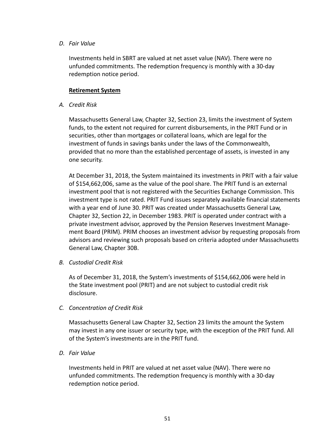# *D. Fair Value*

Investments held in SBRT are valued at net asset value (NAV). There were no unfunded commitments. The redemption frequency is monthly with a 30‐day redemption notice period.

# **Retirement System**

*A. Credit Risk* 

Massachusetts General Law, Chapter 32, Section 23, limits the investment of System funds, to the extent not required for current disbursements, in the PRIT Fund or in securities, other than mortgages or collateral loans, which are legal for the investment of funds in savings banks under the laws of the Commonwealth, provided that no more than the established percentage of assets, is invested in any one security.

At December 31, 2018, the System maintained its investments in PRIT with a fair value of \$154,662,006, same as the value of the pool share. The PRIT fund is an external investment pool that is not registered with the Securities Exchange Commission. This investment type is not rated. PRIT Fund issues separately available financial statements with a year end of June 30. PRIT was created under Massachusetts General Law, Chapter 32, Section 22, in December 1983. PRIT is operated under contract with a private investment advisor, approved by the Pension Reserves Investment Manage‐ ment Board (PRIM). PRIM chooses an investment advisor by requesting proposals from advisors and reviewing such proposals based on criteria adopted under Massachusetts General Law, Chapter 30B.

*B. Custodial Credit Risk* 

As of December 31, 2018, the System's investments of \$154,662,006 were held in the State investment pool (PRIT) and are not subject to custodial credit risk disclosure.

# *C. Concentration of Credit Risk*

Massachusetts General Law Chapter 32, Section 23 limits the amount the System may invest in any one issuer or security type, with the exception of the PRIT fund. All of the System's investments are in the PRIT fund.

*D. Fair Value* 

Investments held in PRIT are valued at net asset value (NAV). There were no unfunded commitments. The redemption frequency is monthly with a 30‐day redemption notice period.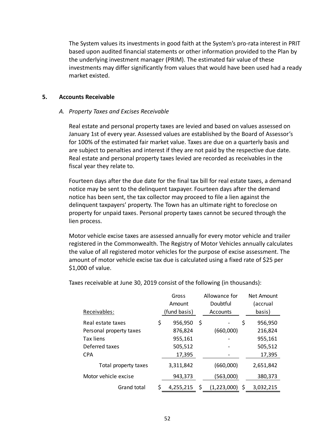The System values its investments in good faith at the System's pro‐rata interest in PRIT based upon audited financial statements or other information provided to the Plan by the underlying investment manager (PRIM). The estimated fair value of these investments may differ significantly from values that would have been used had a ready market existed.

#### **5. Accounts Receivable**

# *A. Property Taxes and Excises Receivable*

Real estate and personal property taxes are levied and based on values assessed on January 1st of every year. Assessed values are established by the Board of Assessor's for 100% of the estimated fair market value. Taxes are due on a quarterly basis and are subject to penalties and interest if they are not paid by the respective due date. Real estate and personal property taxes levied are recorded as receivables in the fiscal year they relate to.

Fourteen days after the due date for the final tax bill for real estate taxes, a demand notice may be sent to the delinquent taxpayer. Fourteen days after the demand notice has been sent, the tax collector may proceed to file a lien against the delinquent taxpayers' property. The Town has an ultimate right to foreclose on property for unpaid taxes. Personal property taxes cannot be secured through the lien process.

Motor vehicle excise taxes are assessed annually for every motor vehicle and trailer registered in the Commonwealth. The Registry of Motor Vehicles annually calculates the value of all registered motor vehicles for the purpose of excise assessment. The amount of motor vehicle excise tax due is calculated using a fixed rate of \$25 per \$1,000 of value.

|                         | Gross<br>Amount | Allowance for<br>Doubtful |                | Net Amount<br>(accrual |
|-------------------------|-----------------|---------------------------|----------------|------------------------|
| Receivables:            | (fund basis)    | <b>Accounts</b>           |                | basis)                 |
| Real estate taxes       | \$<br>956,950   | \$                        | \$             | 956,950                |
| Personal property taxes | 876,824         | (660,000)                 |                | 216,824                |
| <b>Tax liens</b>        | 955,161         |                           |                | 955,161                |
| Deferred taxes          | 505,512         |                           |                | 505,512                |
| <b>CPA</b>              | 17,395          |                           |                | 17,395                 |
| Total property taxes    | 3,311,842       | (660,000)                 |                | 2,651,842              |
| Motor vehicle excise    | 943,373         | (563,000)                 |                | 380,373                |
| Grand total             | 4,255,215       | \$<br>(1,223,000)         | $\ddot{\zeta}$ | 3,032,215              |

Taxes receivable at June 30, 2019 consist of the following (in thousands):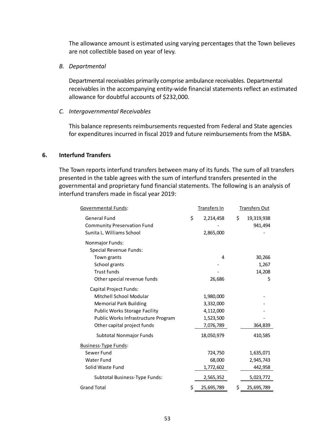The allowance amount is estimated using varying percentages that the Town believes are not collectible based on year of levy.

*B. Departmental* 

Departmental receivables primarily comprise ambulance receivables. Departmental receivables in the accompanying entity‐wide financial statements reflect an estimated allowance for doubtful accounts of \$232,000.

*C. Intergovernmental Receivables* 

This balance represents reimbursements requested from Federal and State agencies for expenditures incurred in fiscal 2019 and future reimbursements from the MSBA.

#### **6. Interfund Transfers**

The Town reports interfund transfers between many of its funds. The sum of all transfers presented in the table agrees with the sum of interfund transfers presented in the governmental and proprietary fund financial statements. The following is an analysis of interfund transfers made in fiscal year 2019:

| <b>Governmental Funds:</b>           | <b>Transfers In</b> | <b>Transfers Out</b> |            |
|--------------------------------------|---------------------|----------------------|------------|
| <b>General Fund</b>                  | \$<br>2,214,458     | \$                   | 19,319,938 |
| <b>Community Preservation Fund</b>   |                     |                      | 941,494    |
| Sunita L. Williams School            | 2,865,000           |                      |            |
| Nonmajor Funds:                      |                     |                      |            |
| Special Revenue Funds:               |                     |                      |            |
| Town grants                          | 4                   |                      | 30,266     |
| School grants                        |                     |                      | 1,267      |
| <b>Trust funds</b>                   |                     |                      | 14,208     |
| Other special revenue funds          | 26,686              |                      | 5          |
| <b>Capital Project Funds:</b>        |                     |                      |            |
| Mitchell School Modular              | 1,980,000           |                      |            |
| <b>Memorial Park Building</b>        | 3,332,000           |                      |            |
| <b>Public Works Storage Facility</b> | 4,112,000           |                      |            |
| Public Works Infrastructure Program  | 1,523,500           |                      |            |
| Other capital project funds          | 7,076,789           |                      | 364,839    |
| Subtotal Nonmajor Funds              | 18,050,979          |                      | 410,585    |
| <b>Business-Type Funds:</b>          |                     |                      |            |
| Sewer Fund                           | 724,750             |                      | 1,635,071  |
| <b>Water Fund</b>                    | 68,000              |                      | 2,945,743  |
| Solid Waste Fund                     | 1,772,602           |                      | 442,958    |
| Subtotal Business-Type Funds:        | 2,565,352           |                      | 5,023,772  |
| <b>Grand Total</b>                   | \$<br>25,695,789    | \$                   | 25,695,789 |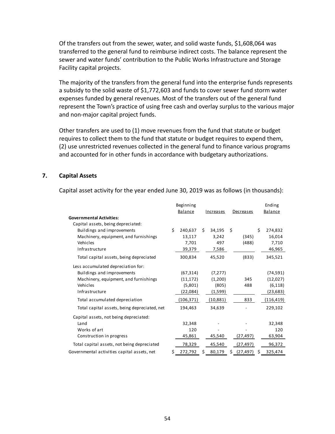Of the transfers out from the sewer, water, and solid waste funds, \$1,608,064 was transferred to the general fund to reimburse indirect costs. The balance represent the sewer and water funds' contribution to the Public Works Infrastructure and Storage Facility capital projects.

The majority of the transfers from the general fund into the enterprise funds represents a subsidy to the solid waste of \$1,772,603 and funds to cover sewer fund storm water expenses funded by general revenues. Most of the transfers out of the general fund represent the Town's practice of using free cash and overlay surplus to the various major and non‐major capital project funds.

Other transfers are used to (1) move revenues from the fund that statute or budget requires to collect them to the fund that statute or budget requires to expend them, (2) use unrestricted revenues collected in the general fund to finance various programs and accounted for in other funds in accordance with budgetary authorizations.

#### **7. Capital Assets**

Capital asset activity for the year ended June 30, 2019 was as follows (in thousands):

|                                              | Beginning     |    |                |                 |    | Ending     |
|----------------------------------------------|---------------|----|----------------|-----------------|----|------------|
|                                              | Balance       |    | Increases      | Decreases       |    | Balance    |
| <b>Governmental Activities:</b>              |               |    |                |                 |    |            |
| Capital assets, being depreciated:           |               |    |                |                 |    |            |
| Buildings and improvements                   | \$<br>240.637 | Ś. | 34,195         | \$              | Ś. | 274,832    |
| Machinery, equipment, and furnishings        | 13,117        |    | 3,242          | (345)           |    | 16,014     |
| Vehicles                                     | 7,701         |    | 497            | (488)           |    | 7,710      |
| Infrastructure                               | 39,379        |    | 7,586          |                 |    | 46,965     |
| Total capital assets, being depreciated      | 300,834       |    | 45,520         | (833)           |    | 345,521    |
| Less accumulated depreciation for:           |               |    |                |                 |    |            |
| Buildings and improvements                   | (67, 314)     |    | (7, 277)       |                 |    | (74, 591)  |
| Machinery, equipment, and furnishings        | (11, 172)     |    | (1,200)        | 345             |    | (12,027)   |
| Vehicles                                     | (5,801)       |    | (805)          | 488             |    | (6, 118)   |
| Infrastructure                               | (22,084)      |    | <u>(1,599)</u> |                 |    | (23, 683)  |
| Total accumulated depreciation               | (106,371)     |    | (10,881)       | 833             |    | (116, 419) |
| Total capital assets, being depreciated, net | 194,463       |    | 34,639         |                 |    | 229,102    |
| Capital assets, not being depreciated:       |               |    |                |                 |    |            |
| Land                                         | 32,348        |    |                |                 |    | 32,348     |
| Works of art                                 | 120           |    |                |                 |    | 120        |
| Construction in progress                     | 45,861        |    | 45,540         | (27,497)        |    | 63,904     |
| Total capital assets, not being depreciated  | 78,329        |    | 45,540         | (27,497)        |    | 96,372     |
| Governmental activities capital assets, net  | \$<br>272,792 | \$ | 80,179         | \$<br>(27, 497) | Ŝ. | 325,474    |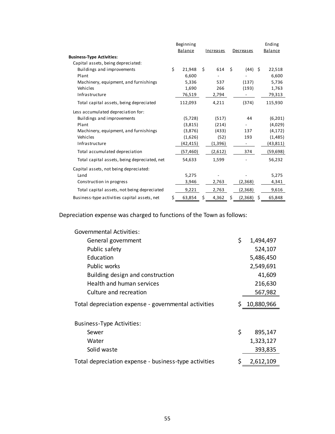|                                              |    | Beginning |    |           |    |           | Ending          |
|----------------------------------------------|----|-----------|----|-----------|----|-----------|-----------------|
|                                              |    | Balance   |    | Increases |    | Decreases | Balance         |
| <b>Business-Type Activities:</b>             |    |           |    |           |    |           |                 |
| Capital assets, being depreciated:           |    |           |    |           |    |           |                 |
| Buildings and improvements                   | Ś. | 21,948    | Ś. | 614       | Ś  | $(44)$ \$ | 22,518          |
| Plant                                        |    | 6,600     |    |           |    |           | 6,600           |
| Machinery, equipment, and furnishings        |    | 5,336     |    | 537       |    | (137)     | 5,736           |
| Vehicles                                     |    | 1,690     |    | 266       |    | (193)     | 1,763           |
| Infrastructure                               |    | 76,519    |    | 2,794     |    |           | 79,313          |
| Total capital assets, being depreciated      |    | 112,093   |    | 4,211     |    | (374)     | 115,930         |
| Less accumulated depreciation for:           |    |           |    |           |    |           |                 |
| Buildings and improvements                   |    | (5, 728)  |    | (517)     |    | 44        | (6,201)         |
| Plant                                        |    | (3,815)   |    | (214)     |    |           | (4,029)         |
| Machinery, equipment, and furnishings        |    | (3,876)   |    | (433)     |    | 137       | (4, 172)        |
| Vehicles                                     |    | (1,626)   |    | (52)      |    | 193       | (1,485)         |
| Infrastructure                               |    | (42,415)  |    | (1,396)   |    |           | <u>(43,811)</u> |
| Total accumulated depreciation               |    | (57,460)  |    | (2,612)   |    | 374       | (59,698)        |
| Total capital assets, being depreciated, net |    | 54,633    |    | 1,599     |    |           | 56,232          |
| Capital assets, not being depreciated:       |    |           |    |           |    |           |                 |
| Land                                         |    | 5,275     |    |           |    |           | 5,275           |
| Construction in progress                     |    | 3,946     |    | 2,763     |    | (2,368)   | 4,341           |
| Total capital assets, not being depreciated  |    | 9,221     |    | 2,763     |    | (2,368)   | 9,616           |
| Business-type activities capital assets, net | \$ | 63,854    | \$ | 4,362     | \$ | (2,368)   | \$<br>65,848    |

Depreciation expense was charged to functions of the Town as follows:

| <b>Governmental Activities:</b>                       |    |            |
|-------------------------------------------------------|----|------------|
| General government                                    | \$ | 1,494,497  |
| Public safety                                         |    | 524,107    |
| Education                                             |    | 5,486,450  |
| Public works                                          |    | 2,549,691  |
| Building design and construction                      |    | 41,609     |
| <b>Health and human services</b>                      |    | 216,630    |
| Culture and recreation                                |    | 567,982    |
| Total depreciation expense - governmental activities  | S. | 10,880,966 |
| <b>Business-Type Activities:</b>                      |    |            |
| Sewer                                                 | \$ | 895,147    |
| Water                                                 |    | 1,323,127  |
| Solid waste                                           |    | 393,835    |
| Total depreciation expense - business-type activities | \$ | 2,612,109  |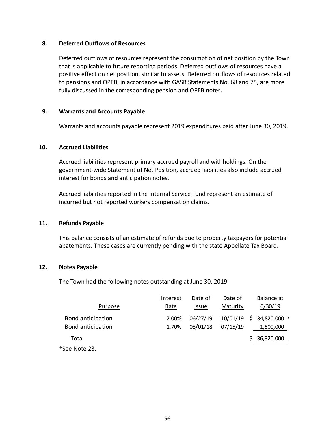#### **8. Deferred Outflows of Resources**

Deferred outflows of resources represent the consumption of net position by the Town that is applicable to future reporting periods. Deferred outflows of resources have a positive effect on net position, similar to assets. Deferred outflows of resources related to pensions and OPEB, in accordance with GASB Statements No. 68 and 75, are more fully discussed in the corresponding pension and OPEB notes.

#### **9. Warrants and Accounts Payable**

Warrants and accounts payable represent 2019 expenditures paid after June 30, 2019.

#### **10. Accrued Liabilities**

Accrued liabilities represent primary accrued payroll and withholdings. On the government‐wide Statement of Net Position, accrued liabilities also include accrued interest for bonds and anticipation notes.

Accrued liabilities reported in the Internal Service Fund represent an estimate of incurred but not reported workers compensation claims.

# **11. Refunds Payable**

This balance consists of an estimate of refunds due to property taxpayers for potential abatements. These cases are currently pending with the state Appellate Tax Board.

#### **12. Notes Payable**

The Town had the following notes outstanding at June 30, 2019:

|                   | Interest | Date of      | Date of  | Balance at                 |  |
|-------------------|----------|--------------|----------|----------------------------|--|
| Purpose           | Rate     | <b>Issue</b> | Maturity | 6/30/19                    |  |
| Bond anticipation | 2.00%    | 06/27/19     |          | $10/01/19$ \$ 34,820,000 * |  |
| Bond anticipation | 1.70%    | 08/01/18     | 07/15/19 | 1,500,000                  |  |
| Total             |          |              |          | 36,320,000                 |  |
| *See Note 23.     |          |              |          |                            |  |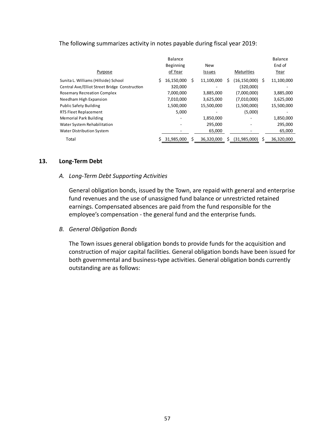| Purpose                                       | Balance<br><b>Beginning</b><br>of Year | <b>New</b><br><b>Issues</b> | <b>Maturities</b>        | <b>Balance</b><br>End of<br>Year |
|-----------------------------------------------|----------------------------------------|-----------------------------|--------------------------|----------------------------------|
| Sunita L. Williams (Hillside) School          | 16,150,000<br>Ś.                       | \$<br>11,100,000            | $(16, 150, 000)$ \$<br>s | 11,100,000                       |
| Central Ave/Elliot Street Bridge Construction | 320,000                                |                             | (320,000)                |                                  |
| <b>Rosemary Recreation Complex</b>            | 7,000,000                              | 3,885,000                   | (7,000,000)              | 3,885,000                        |
| Needham High Expansion                        | 7,010,000                              | 3,625,000                   | (7,010,000)              | 3,625,000                        |
| <b>Public Safety Building</b>                 | 1,500,000                              | 15,500,000                  | (1,500,000)              | 15,500,000                       |
| <b>RTS Fleet Replacement</b>                  | 5,000                                  |                             | (5,000)                  |                                  |
| <b>Memorial Park Building</b>                 |                                        | 1,850,000                   |                          | 1,850,000                        |
| Water System Rehabilitation                   |                                        | 295,000                     |                          | 295,000                          |
| <b>Water Distribution System</b>              |                                        | 65,000                      |                          | 65,000                           |
| Total                                         | 31,985,000                             | 36,320,000<br>S             | (31,985,000)<br>s        | 36,320,000                       |

# The following summarizes activity in notes payable during fiscal year 2019:

#### **13. Long‐Term Debt**

#### *A. Long‐Term Debt Supporting Activities*

General obligation bonds, issued by the Town, are repaid with general and enterprise fund revenues and the use of unassigned fund balance or unrestricted retained earnings. Compensated absences are paid from the fund responsible for the employee's compensation ‐ the general fund and the enterprise funds*.* 

*B. General Obligation Bonds* 

The Town issues general obligation bonds to provide funds for the acquisition and construction of major capital facilities. General obligation bonds have been issued for both governmental and business-type activities. General obligation bonds currently outstanding are as follows: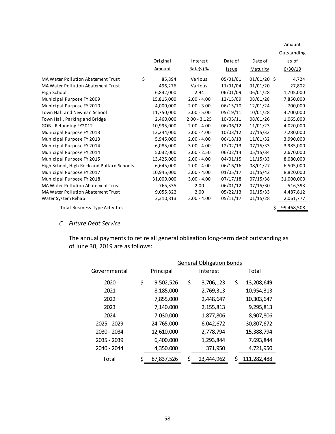|                                            |              |                |              |               | Amount      |
|--------------------------------------------|--------------|----------------|--------------|---------------|-------------|
|                                            |              |                |              |               | Outstanding |
|                                            | Original     | Interest       | Date of      | Date of       | as of       |
|                                            | Amount       | $Rate(s)$ %    | <b>Issue</b> | Maturity      | 6/30/19     |
| MA Water Pollution Abatement Trust         | \$<br>85,894 | Various        | 05/01/01     | $01/01/20$ \$ | 4,724       |
| MA Water Pollution Abatement Trust         | 496,276      | Various        | 11/01/04     | 01/01/20      | 27,802      |
| High School                                | 6,842,000    | 2.94           | 06/01/09     | 06/01/28      | 1,705,000   |
| Municipal Purpose FY 2009                  | 15,815,000   | $2.00 - 4.00$  | 12/15/09     | 08/01/28      | 7,850,000   |
| Municipal Purpose FY 2010                  | 4,000,000    | $2.00 - 3.00$  | 06/15/10     | 12/01/24      | 700,000     |
| Town Hall and Newman School                | 11,750,000   | $2.00 - 5.00$  | 05/19/11     | 10/01/28      | 4,700,000   |
| Town Hall, Parking and Bridge              | 2,460,000    | $2.00 - 3.125$ | 10/05/11     | 08/01/26      | 1,065,000   |
| GOB - Refunding FY2012                     | 10,995,000   | $2.00 - 4.00$  | 06/06/12     | 11/01/23      | 4,020,000   |
| Municipal Purpose FY 2013                  | 12,244,000   | $2.00 - 4.00$  | 10/03/12     | 07/15/32      | 7,280,000   |
| Municipal Purpose FY 2013                  | 5,945,000    | $2.00 - 4.00$  | 06/18/13     | 11/01/32      | 3,990,000   |
| Municipal Purpose FY 2014                  | 6,085,000    | $3.00 - 4.00$  | 12/02/13     | 07/15/33      | 3,985,000   |
| Municipal Purpose FY 2014                  | 5,032,000    | $2.00 - 2.50$  | 06/02/14     | 05/15/34      | 2,670,000   |
| Municipal Purpose FY 2015                  | 13,425,000   | $2.00 - 4.00$  | 04/01/15     | 11/15/33      | 8,080,000   |
| High School, High Rock and Pollard Schools | 6,645,000    | $2.00 - 4.00$  | 06/16/16     | 08/01/27      | 6,505,000   |
| Municipal Purpose FY 2017                  | 10,945,000   | $3.00 - 4.00$  | 01/05/17     | 01/15/42      | 8,820,000   |
| Municipal Purpose FY 2018                  | 31,000,000   | $3.00 - 4.00$  | 07/17/18     | 07/15/38      | 31,000,000  |
| MA Water Pollution Abatement Trust         | 765,335      | 2.00           | 06/01/12     | 07/15/30      | 516,393     |
| MA Water Pollution Abatement Trust         | 9,055,822    | 2.00           | 05/22/13     | 01/15/33      | 4,487,812   |
| Water System Rehab                         | 2,310,813    | $3.00 - 4.00$  | 05/11/17     | 01/15/28      | 2,061,777   |
| Total Business-Type Activities             |              |                |              |               | 99,468,508  |

#### *C. Future Debt Service*

The annual payments to retire all general obligation long‐term debt outstanding as of June 30, 2019 are as follows:

|              | <b>General Obligation Bonds</b> |            |    |            |            |             |  |  |  |  |  |
|--------------|---------------------------------|------------|----|------------|------------|-------------|--|--|--|--|--|
| Governmental |                                 | Principal  |    | Interest   | Total      |             |  |  |  |  |  |
| 2020         | \$                              | 9,502,526  | \$ | 3,706,123  | \$         | 13,208,649  |  |  |  |  |  |
| 2021         |                                 | 8,185,000  |    | 2,769,313  |            | 10,954,313  |  |  |  |  |  |
| 2022         |                                 | 7,855,000  |    | 2,448,647  | 10,303,647 |             |  |  |  |  |  |
| 2023         |                                 | 7,140,000  |    | 2,155,813  | 9,295,813  |             |  |  |  |  |  |
| 2024         |                                 | 7,030,000  |    | 1,877,806  |            | 8,907,806   |  |  |  |  |  |
| 2025 - 2029  |                                 | 24,765,000 |    | 6,042,672  |            | 30,807,672  |  |  |  |  |  |
| 2030 - 2034  |                                 | 12,610,000 |    | 2,778,794  |            | 15,388,794  |  |  |  |  |  |
| 2035 - 2039  |                                 | 6,400,000  |    | 1,293,844  |            | 7,693,844   |  |  |  |  |  |
| 2040 - 2044  |                                 | 4,350,000  |    | 371,950    |            | 4,721,950   |  |  |  |  |  |
| Total        | \$                              | 87,837,526 | Ś  | 23,444,962 |            | 111,282,488 |  |  |  |  |  |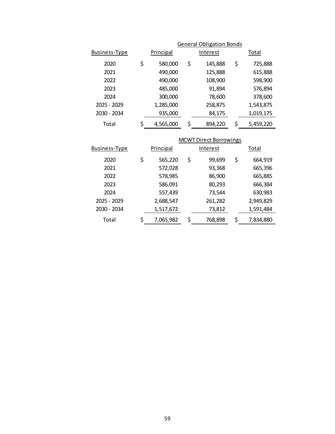|                      | <b>General Obligation Bonds</b> |           |    |          |         |           |  |  |  |  |
|----------------------|---------------------------------|-----------|----|----------|---------|-----------|--|--|--|--|
| <b>Business-Type</b> |                                 | Principal |    | Interest |         | Total     |  |  |  |  |
| 2020                 | \$                              | 580,000   | \$ | 145,888  | \$      | 725,888   |  |  |  |  |
| 2021                 |                                 | 490,000   |    | 125,888  |         | 615,888   |  |  |  |  |
| 2022                 |                                 | 490,000   |    | 108,900  |         | 598,900   |  |  |  |  |
| 2023                 |                                 | 485,000   |    | 91,894   | 576,894 |           |  |  |  |  |
| 2024                 |                                 | 300,000   |    | 78,600   |         | 378,600   |  |  |  |  |
| 2025 - 2029          |                                 | 1,285,000 |    | 258,875  |         | 1,543,875 |  |  |  |  |
| 2030 - 2034          |                                 | 935,000   |    | 84,175   |         | 1,019,175 |  |  |  |  |
| Total                | \$                              | 4,565,000 | Ś  | 894,220  | \$      | 5,459,220 |  |  |  |  |

|                      | <b>MCWT Direct Borrowings</b> |    |          |         |           |  |  |  |  |  |  |
|----------------------|-------------------------------|----|----------|---------|-----------|--|--|--|--|--|--|
| <b>Business-Type</b> | Principal                     |    | Interest | Total   |           |  |  |  |  |  |  |
| 2020                 | \$<br>565,220                 | \$ | 99,699   | \$      | 664,919   |  |  |  |  |  |  |
| 2021                 | 572,028                       |    | 93,368   |         | 665,396   |  |  |  |  |  |  |
| 2022                 | 578,985                       |    | 86,900   | 665,885 |           |  |  |  |  |  |  |
| 2023                 | 586,091                       |    | 80,293   | 666,384 |           |  |  |  |  |  |  |
| 2024                 | 557,439                       |    | 73,544   |         | 630,983   |  |  |  |  |  |  |
| 2025 - 2029          | 2,688,547                     |    | 261,282  |         | 2,949,829 |  |  |  |  |  |  |
| 2030 - 2034          | 1,517,672                     |    | 73,812   |         | 1,591,484 |  |  |  |  |  |  |
| Total                | \$<br>7,065,982               | \$ | 768,898  | Ś       | 7,834,880 |  |  |  |  |  |  |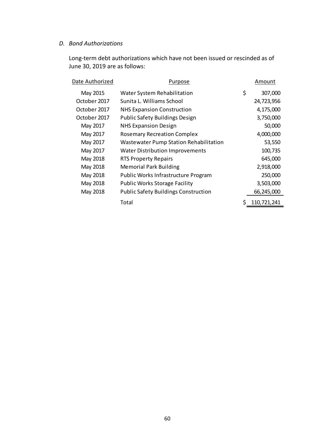# *D. Bond Authorizations*

Long‐term debt authorizations which have not been issued or rescinded as of June 30, 2019 are as follows:

| Date Authorized | Purpose                                     | Amount            |
|-----------------|---------------------------------------------|-------------------|
| May 2015        | Water System Rehabilitation                 | \$<br>307,000     |
| October 2017    | Sunita L. Williams School                   | 24,723,956        |
| October 2017    | <b>NHS Expansion Construction</b>           | 4,175,000         |
| October 2017    | <b>Public Safety Buildings Design</b>       | 3,750,000         |
| May 2017        | <b>NHS Expansion Design</b>                 | 50,000            |
| May 2017        | <b>Rosemary Recreation Complex</b>          | 4,000,000         |
| May 2017        | Wastewater Pump Station Rehabilitation      | 53,550            |
| May 2017        | <b>Water Distribution Improvements</b>      | 100,735           |
| May 2018        | <b>RTS Property Repairs</b>                 | 645,000           |
| May 2018        | <b>Memorial Park Building</b>               | 2,918,000         |
| May 2018        | Public Works Infrastructure Program         | 250,000           |
| May 2018        | <b>Public Works Storage Facility</b>        | 3,503,000         |
| May 2018        | <b>Public Safety Buildings Construction</b> | 66,245,000        |
|                 | Total                                       | \$<br>110,721,241 |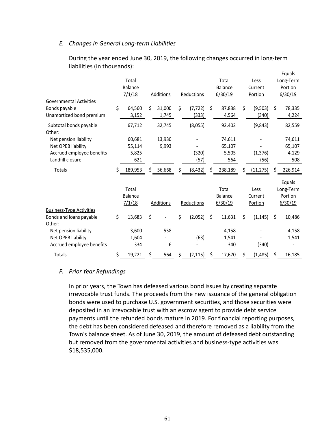#### *E. Changes in General Long‐term Liabilities*

| Governmental Activities                   | Total<br>Balance<br>7/1/18        |    | <b>Additions</b> |    | Reductions        | Total<br><b>Balance</b><br>6/30/19 |    | Less<br>Current<br>Portion |    | Equals<br>Long-Term<br>Portion<br>6/30/19 |
|-------------------------------------------|-----------------------------------|----|------------------|----|-------------------|------------------------------------|----|----------------------------|----|-------------------------------------------|
| Bonds payable<br>Unamortized bond premium | \$<br>64,560<br>3,152             | \$ | 31,000<br>1,745  | \$ | (7, 722)<br>(333) | \$<br>87,838<br>4,564              | \$ | (9,503)<br>(340)           | \$ | 78,335<br>4,224                           |
| Subtotal bonds payable<br>Other:          | 67,712                            |    | 32,745           |    | (8,055)           | 92,402                             |    | (9,843)                    |    | 82,559                                    |
| Net pension liability                     | 60,681                            |    | 13,930           |    |                   | 74,611                             |    |                            |    | 74,611                                    |
| Net OPEB liability                        | 55,114                            |    | 9,993            |    |                   | 65,107                             |    |                            |    | 65,107                                    |
| Accrued employee benefits                 | 5,825                             |    |                  |    | (320)             | 5,505                              |    | (1, 376)                   |    | 4,129                                     |
| Landfill closure                          | 621                               |    |                  |    | (57)              | 564                                |    | (56)                       |    | 508                                       |
| Totals                                    | \$<br>189,953                     | Ś. | 56,668           | Ś  | (8, 432)          | \$<br>238,189                      | Ś. | (11, 275)                  |    | 226,914                                   |
|                                           | Total<br><b>Balance</b><br>7/1/18 |    | Additions        |    | Reductions        | Total<br><b>Balance</b><br>6/30/19 |    | Less<br>Current<br>Portion |    | Equals<br>Long-Term<br>Portion<br>6/30/19 |
| <b>Business-Type Activities</b>           |                                   |    |                  |    |                   |                                    |    |                            |    |                                           |
| Bonds and loans payable<br>Other:         | \$<br>13,683                      | \$ |                  | \$ | (2,052)           | \$<br>11,631                       | \$ | (1, 145)                   | \$ | 10,486                                    |
| Net pension liability                     | 3,600                             |    | 558              |    |                   | 4,158                              |    |                            |    | 4,158                                     |
| Net OPEB liability                        | 1,604                             |    |                  |    | (63)              | 1,541                              |    |                            |    | 1,541                                     |
| Accrued employee benefits                 | 334                               |    | 6                |    |                   | 340                                |    | (340)                      |    |                                           |
| Totals                                    | \$<br>19,221                      | \$ | 564              | S  | (2, 115)          | \$<br>17,670                       | \$ | (1, 485)                   | S  | 16,185                                    |

During the year ended June 30, 2019, the following changes occurred in long‐term liabilities (in thousands):

# *F. Prior Year Refundings*

In prior years, the Town has defeased various bond issues by creating separate irrevocable trust funds. The proceeds from the new issuance of the general obligation bonds were used to purchase U.S. government securities, and those securities were deposited in an irrevocable trust with an escrow agent to provide debt service payments until the refunded bonds mature in 2019. For financial reporting purposes, the debt has been considered defeased and therefore removed as a liability from the Town's balance sheet. As of June 30, 2019, the amount of defeased debt outstanding but removed from the governmental activities and business‐type activities was \$18,535,000.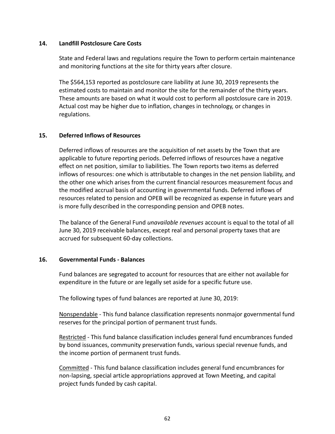# **14. Landfill Postclosure Care Costs**

State and Federal laws and regulations require the Town to perform certain maintenance and monitoring functions at the site for thirty years after closure.

The \$564,153 reported as postclosure care liability at June 30, 2019 represents the estimated costs to maintain and monitor the site for the remainder of the thirty years. These amounts are based on what it would cost to perform all postclosure care in 2019. Actual cost may be higher due to inflation, changes in technology, or changes in regulations.

# **15. Deferred Inflows of Resources**

Deferred inflows of resources are the acquisition of net assets by the Town that are applicable to future reporting periods. Deferred inflows of resources have a negative effect on net position, similar to liabilities. The Town reports two items as deferred inflows of resources: one which is attributable to changes in the net pension liability, and the other one which arises from the current financial resources measurement focus and the modified accrual basis of accounting in governmental funds. Deferred inflows of resources related to pension and OPEB will be recognized as expense in future years and is more fully described in the corresponding pension and OPEB notes.

The balance of the General Fund *unavailable revenues* account is equal to the total of all June 30, 2019 receivable balances, except real and personal property taxes that are accrued for subsequent 60‐day collections.

# **16. Governmental Funds ‐ Balances**

Fund balances are segregated to account for resources that are either not available for expenditure in the future or are legally set aside for a specific future use.

The following types of fund balances are reported at June 30, 2019:

Nonspendable ‐ This fund balance classification represents nonmajor governmental fund reserves for the principal portion of permanent trust funds.

Restricted - This fund balance classification includes general fund encumbrances funded by bond issuances, community preservation funds, various special revenue funds, and the income portion of permanent trust funds.

Committed ‐ This fund balance classification includes general fund encumbrances for non‐lapsing, special article appropriations approved at Town Meeting, and capital project funds funded by cash capital.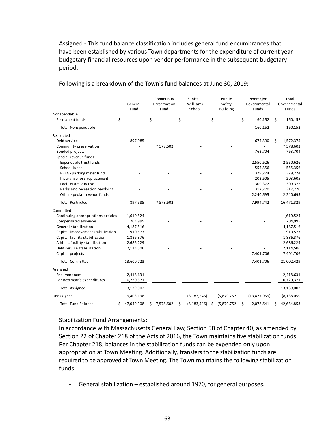Assigned ‐ This fund balance classification includes general fund encumbrances that have been established by various Town departments for the expenditure of current year budgetary financial resources upon vendor performance in the subsequent budgetary period.

|                                    | General<br>Fund | Community<br>Preservation<br>Fund |                    | Sunita L.<br>Williams<br>School |    | Public<br>Safety<br><b>Building</b> |    | Nonmajor<br>Governmental<br>Funds |    | Total<br>Governmental<br><b>Funds</b> |
|------------------------------------|-----------------|-----------------------------------|--------------------|---------------------------------|----|-------------------------------------|----|-----------------------------------|----|---------------------------------------|
| Nonspendable                       |                 |                                   |                    |                                 |    |                                     |    |                                   |    |                                       |
| Permanent funds                    | \$              | Ś.                                | $\mathsf{\hat{S}}$ |                                 | Ś. |                                     | Ś. | 160,152                           | \$ | 160,152                               |
| <b>Total Nonspendable</b>          |                 |                                   |                    |                                 |    |                                     |    | 160,152                           |    | 160,152                               |
| Restricted                         |                 |                                   |                    |                                 |    |                                     |    |                                   |    |                                       |
| Debt service                       | 897,985         |                                   |                    |                                 |    |                                     |    | 674,390                           | \$ | 1,572,375                             |
| Community preservation             |                 | 7,578,602                         |                    |                                 |    |                                     |    |                                   |    | 7,578,602                             |
| Bonded projects                    |                 |                                   |                    |                                 |    |                                     |    | 763,704                           |    | 763,704                               |
| Special revenue funds:             |                 |                                   |                    |                                 |    |                                     |    |                                   |    |                                       |
| Expendable trust funds             |                 |                                   |                    |                                 |    |                                     |    | 2,550,626                         |    | 2,550,626                             |
| School lunch                       |                 |                                   |                    |                                 |    |                                     |    | 555,356                           |    | 555,356                               |
| RRFA - parking meter fund          |                 |                                   |                    |                                 |    |                                     |    | 379,224                           |    | 379,224                               |
| Insurance loss replacement         |                 |                                   |                    |                                 |    |                                     |    | 203,605                           |    | 203,605                               |
| Facility activity use              |                 |                                   |                    |                                 |    |                                     |    | 309,372                           |    | 309,372                               |
| Parks and recreation revolving     |                 |                                   |                    |                                 |    |                                     |    | 317,770                           |    | 317,770                               |
| Other special revenue funds        |                 |                                   |                    |                                 |    |                                     |    | 2,240,695                         |    | 2,240,695                             |
| <b>Total Restricted</b>            | 897,985         | 7,578,602                         |                    |                                 |    |                                     |    | 7,994,742                         |    | 16,471,329                            |
| Committed                          |                 |                                   |                    |                                 |    |                                     |    |                                   |    |                                       |
| Continuing appropriations articles | 1,610,524       |                                   |                    |                                 |    |                                     |    |                                   |    | 1,610,524                             |
| Compensated absences               | 204,995         |                                   |                    |                                 |    |                                     |    |                                   |    | 204,995                               |
| General stabilization              | 4,187,516       |                                   |                    |                                 |    |                                     |    |                                   |    | 4,187,516                             |
| Capital improvement stabilization  | 910,577         |                                   |                    |                                 |    |                                     |    |                                   |    | 910,577                               |
| Capital facility stabilization     | 1,886,376       |                                   |                    |                                 |    |                                     |    |                                   |    | 1,886,376                             |
| Athletic facility stabilization    | 2,686,229       |                                   |                    |                                 |    |                                     |    |                                   |    | 2,686,229                             |
| Debt service stabilization         | 2,114,506       |                                   |                    |                                 |    |                                     |    |                                   |    | 2,114,506                             |
| Capital projects                   |                 |                                   |                    |                                 |    |                                     |    | 7,401,706                         |    | 7,401,706                             |
| <b>Total Committed</b>             | 13,600,723      |                                   |                    |                                 |    |                                     |    | 7,401,706                         |    | 21,002,429                            |
| Assigned                           |                 |                                   |                    |                                 |    |                                     |    |                                   |    |                                       |
| Encumbrances                       | 2,418,631       |                                   |                    |                                 |    |                                     |    |                                   |    | 2,418,631                             |
| For next year's expenditures       | 10,720,371      |                                   |                    |                                 |    |                                     |    |                                   |    | 10,720,371                            |
| <b>Total Assigned</b>              | 13,139,002      |                                   |                    |                                 |    |                                     |    |                                   |    | 13,139,002                            |
| Unassigned                         | 19,403,198      |                                   |                    | (8, 183, 546)                   |    | (5,879,752)                         |    | (13, 477, 959)                    |    | (8, 138, 059)                         |
| <b>Total Fund Balance</b>          | 47,040,908<br>Ś | 7,578,602<br>Ś                    | Ś                  | (8, 183, 546)                   | Ŝ. | (5,879,752)                         | Ŝ. | 2,078,641                         | Ś. | 42,634,853                            |

Following is a breakdown of the Town's fund balances at June 30, 2019:

#### Stabilization Fund Arrangements:

In accordance with Massachusetts General Law, Section 5B of Chapter 40, as amended by Section 22 of Chapter 218 of the Acts of 2016, the Town maintains five stabilization funds. Per Chapter 218, balances in the stabilization funds can be expended only upon appropriation at Town Meeting. Additionally, transfers to the stabilization funds are required to be approved at Town Meeting. The Town maintains the following stabilization funds:

- General stabilization – established around 1970, for general purposes.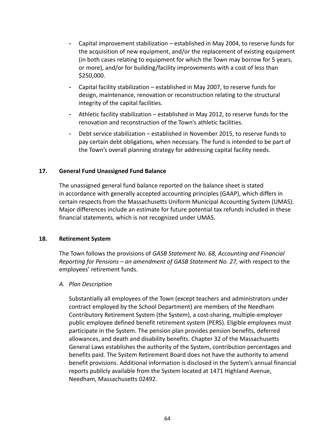- Capital improvement stabilization established in May 2004, to reserve funds for the acquisition of new equipment, and/or the replacement of existing equipment (in both cases relating to equipment for which the Town may borrow for 5 years, or more), and/or for building/facility improvements with a cost of less than \$250,000.
- Capital facility stabilization established in May 2007, to reserve funds for design, maintenance, renovation or reconstruction relating to the structural integrity of the capital facilities.
- Athletic facility stabilization established in May 2012, to reserve funds for the renovation and reconstruction of the Town's athletic facilities.
- Debt service stabilization established in November 2015, to reserve funds to pay certain debt obligations, when necessary. The fund is intended to be part of the Town's overall planning strategy for addressing capital facility needs.

# **17. General Fund Unassigned Fund Balance**

The unassigned general fund balance reported on the balance sheet is stated in accordance with generally accepted accounting principles (GAAP), which differs in certain respects from the Massachusetts Uniform Municipal Accounting System (UMAS). Major differences include an estimate for future potential tax refunds included in these financial statements, which is not recognized under UMAS.

# **18. Retirement System**

The Town follows the provisions of *GASB Statement No. 68, Accounting and Financial Reporting for Pensions – an amendment of GASB Statement No. 27,* with respect to the employees' retirement funds.

# *A. Plan Description*

Substantially all employees of the Town (except teachers and administrators under contract employed by the School Department) are members of the Needham Contributory Retirement System (the System), a cost‐sharing, multiple‐employer public employee defined benefit retirement system (PERS). Eligible employees must participate in the System. The pension plan provides pension benefits, deferred allowances, and death and disability benefits. Chapter 32 of the Massachusetts General Laws establishes the authority of the System, contribution percentages and benefits paid. The System Retirement Board does not have the authority to amend benefit provisions. Additional information is disclosed in the System's annual financial reports publicly available from the System located at 1471 Highland Avenue, Needham, Massachusetts 02492.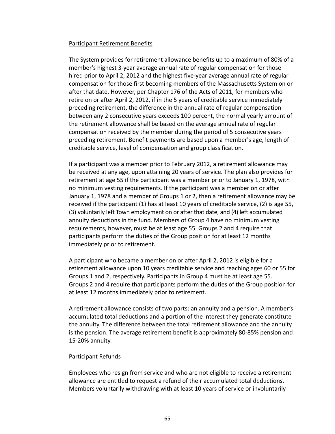#### Participant Retirement Benefits

The System provides for retirement allowance benefits up to a maximum of 80% of a member's highest 3‐year average annual rate of regular compensation for those hired prior to April 2, 2012 and the highest five-year average annual rate of regular compensation for those first becoming members of the Massachusetts System on or after that date. However, per Chapter 176 of the Acts of 2011, for members who retire on or after April 2, 2012, if in the 5 years of creditable service immediately preceding retirement, the difference in the annual rate of regular compensation between any 2 consecutive years exceeds 100 percent, the normal yearly amount of the retirement allowance shall be based on the average annual rate of regular compensation received by the member during the period of 5 consecutive years preceding retirement. Benefit payments are based upon a member's age, length of creditable service, level of compensation and group classification.

If a participant was a member prior to February 2012, a retirement allowance may be received at any age, upon attaining 20 years of service. The plan also provides for retirement at age 55 if the participant was a member prior to January 1, 1978, with no minimum vesting requirements. If the participant was a member on or after January 1, 1978 and a member of Groups 1 or 2, then a retirement allowance may be received if the participant (1) has at least 10 years of creditable service, (2) is age 55, (3) voluntarily left Town employment on or after that date, and (4) left accumulated annuity deductions in the fund. Members of Group 4 have no minimum vesting requirements, however, must be at least age 55. Groups 2 and 4 require that participants perform the duties of the Group position for at least 12 months immediately prior to retirement.

A participant who became a member on or after April 2, 2012 is eligible for a retirement allowance upon 10 years creditable service and reaching ages 60 or 55 for Groups 1 and 2, respectively. Participants in Group 4 must be at least age 55. Groups 2 and 4 require that participants perform the duties of the Group position for at least 12 months immediately prior to retirement.

A retirement allowance consists of two parts: an annuity and a pension. A member's accumulated total deductions and a portion of the interest they generate constitute the annuity. The difference between the total retirement allowance and the annuity is the pension. The average retirement benefit is approximately 80‐85% pension and 15‐20% annuity.

# Participant Refunds

Employees who resign from service and who are not eligible to receive a retirement allowance are entitled to request a refund of their accumulated total deductions. Members voluntarily withdrawing with at least 10 years of service or involuntarily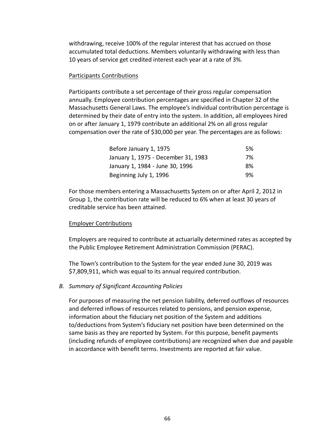withdrawing, receive 100% of the regular interest that has accrued on those accumulated total deductions. Members voluntarily withdrawing with less than 10 years of service get credited interest each year at a rate of 3%.

#### Participants Contributions

Participants contribute a set percentage of their gross regular compensation annually. Employee contribution percentages are specified in Chapter 32 of the Massachusetts General Laws. The employee's individual contribution percentage is determined by their date of entry into the system. In addition, all employees hired on or after January 1, 1979 contribute an additional 2% on all gross regular compensation over the rate of \$30,000 per year. The percentages are as follows:

| Before January 1, 1975              | .5% |
|-------------------------------------|-----|
| January 1, 1975 - December 31, 1983 | 7%  |
| January 1, 1984 - June 30, 1996     | 8%  |
| Beginning July 1, 1996              | 9%  |

For those members entering a Massachusetts System on or after April 2, 2012 in Group 1, the contribution rate will be reduced to 6% when at least 30 years of creditable service has been attained.

# Employer Contributions

Employers are required to contribute at actuarially determined rates as accepted by the Public Employee Retirement Administration Commission (PERAC).

The Town's contribution to the System for the year ended June 30, 2019 was \$7,809,911, which was equal to its annual required contribution.

#### *B. Summary of Significant Accounting Policies*

For purposes of measuring the net pension liability, deferred outflows of resources and deferred inflows of resources related to pensions, and pension expense, information about the fiduciary net position of the System and additions to/deductions from System's fiduciary net position have been determined on the same basis as they are reported by System. For this purpose, benefit payments (including refunds of employee contributions) are recognized when due and payable in accordance with benefit terms. Investments are reported at fair value.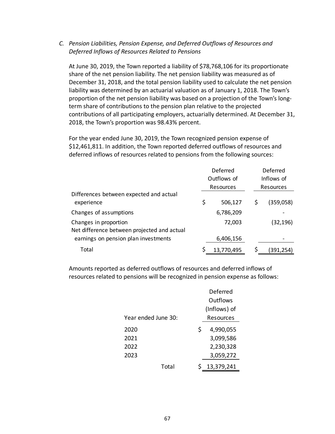# *C. Pension Liabilities, Pension Expense, and Deferred Outflows of Resources and Deferred Inflows of Resources Related to Pensions*

At June 30, 2019, the Town reported a liability of \$78,768,106 for its proportionate share of the net pension liability. The net pension liability was measured as of December 31, 2018, and the total pension liability used to calculate the net pension liability was determined by an actuarial valuation as of January 1, 2018. The Town's proportion of the net pension liability was based on a projection of the Town's long‐ term share of contributions to the pension plan relative to the projected contributions of all participating employers, actuarially determined. At December 31, 2018, the Town's proportion was 98.43% percent.

For the year ended June 30, 2019, the Town recognized pension expense of \$12,461,811. In addition, the Town reported deferred outflows of resources and deferred inflows of resources related to pensions from the following sources:

|                                             | Deferred         |   | Deferred   |  |  |
|---------------------------------------------|------------------|---|------------|--|--|
|                                             | Outflows of      |   | Inflows of |  |  |
|                                             | Resources        |   | Resources  |  |  |
| Differences between expected and actual     |                  |   |            |  |  |
| experience                                  | \$<br>506,127    | Ş | (359,058)  |  |  |
| Changes of assumptions                      | 6,786,209        |   |            |  |  |
| Changes in proportion                       | 72,003           |   | (32, 196)  |  |  |
| Net difference between projected and actual |                  |   |            |  |  |
| earnings on pension plan investments        | 6,406,156        |   |            |  |  |
| Total                                       | \$<br>13,770,495 |   | 391,254)   |  |  |

Amounts reported as deferred outflows of resources and deferred inflows of resources related to pensions will be recognized in pension expense as follows:

| Year ended June 30: | Deferred<br>Outflows<br>(Inflows) of<br>Resources |
|---------------------|---------------------------------------------------|
| 2020                | Ś<br>4,990,055                                    |
| 2021                | 3,099,586                                         |
| 2022<br>2023        | 2,230,328<br>3,059,272                            |
| Total               | 13,379,241                                        |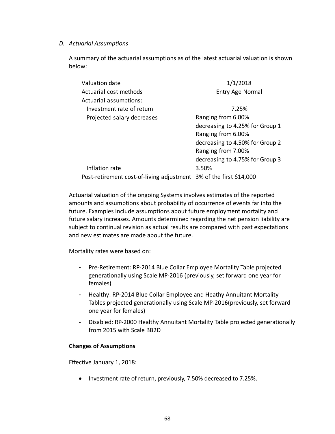# *D. Actuarial Assumptions*

A summary of the actuarial assumptions as of the latest actuarial valuation is shown below:

| Valuation date                                                     | 1/1/2018                        |
|--------------------------------------------------------------------|---------------------------------|
| Actuarial cost methods                                             | Entry Age Normal                |
| Actuarial assumptions:                                             |                                 |
| Investment rate of return                                          | 7.25%                           |
| Projected salary decreases                                         | Ranging from 6.00%              |
|                                                                    | decreasing to 4.25% for Group 1 |
|                                                                    | Ranging from 6.00%              |
|                                                                    | decreasing to 4.50% for Group 2 |
|                                                                    | Ranging from 7.00%              |
|                                                                    | decreasing to 4.75% for Group 3 |
| Inflation rate                                                     | 3.50%                           |
| Post-retirement cost-of-living adjustment 3% of the first \$14,000 |                                 |

Actuarial valuation of the ongoing Systems involves estimates of the reported amounts and assumptions about probability of occurrence of events far into the future. Examples include assumptions about future employment mortality and future salary increases. Amounts determined regarding the net pension liability are subject to continual revision as actual results are compared with past expectations and new estimates are made about the future.

Mortality rates were based on:

- Pre‐Retirement: RP‐2014 Blue Collar Employee Mortality Table projected generationally using Scale MP‐2016 (previously, set forward one year for females)
- Healthy: RP‐2014 Blue Collar Employee and Heathy Annuitant Mortality Tables projected generationally using Scale MP‐2016(previously, set forward one year for females)
- Disabled: RP‐2000 Healthy Annuitant Mortality Table projected generationally from 2015 with Scale BB2D

# **Changes of Assumptions**

Effective January 1, 2018:

• Investment rate of return, previously, 7.50% decreased to 7.25%.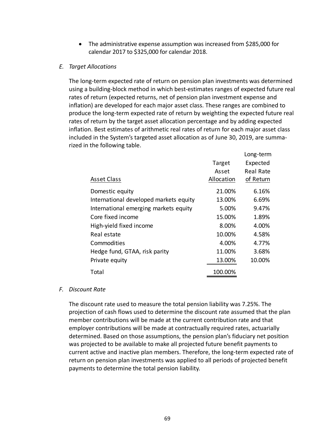The administrative expense assumption was increased from \$285,000 for calendar 2017 to \$325,000 for calendar 2018.

# *E. Target Allocations*

The long-term expected rate of return on pension plan investments was determined using a building‐block method in which best‐estimates ranges of expected future real rates of return (expected returns, net of pension plan investment expense and inflation) are developed for each major asset class. These ranges are combined to produce the long‐term expected rate of return by weighting the expected future real rates of return by the target asset allocation percentage and by adding expected inflation. Best estimates of arithmetic real rates of return for each major asset class included in the System's targeted asset allocation as of June 30, 2019, are summa‐ rized in the following table.

|                                        |            | Long-term |
|----------------------------------------|------------|-----------|
|                                        | Target     | Expected  |
|                                        | Asset      | Real Rate |
| <b>Asset Class</b>                     | Allocation | of Return |
| Domestic equity                        | 21.00%     | 6.16%     |
| International developed markets equity | 13.00%     | 6.69%     |
| International emerging markets equity  | 5.00%      | 9.47%     |
| Core fixed income                      | 15.00%     | 1.89%     |
| High-yield fixed income                | 8.00%      | 4.00%     |
| Real estate                            | 10.00%     | 4.58%     |
| Commodities                            | 4.00%      | 4.77%     |
| Hedge fund, GTAA, risk parity          | 11.00%     | 3.68%     |
| Private equity                         | 13.00%     | 10.00%    |
| Total                                  | 100.00%    |           |

# *F. Discount Rate*

The discount rate used to measure the total pension liability was 7.25%. The projection of cash flows used to determine the discount rate assumed that the plan member contributions will be made at the current contribution rate and that employer contributions will be made at contractually required rates, actuarially determined. Based on those assumptions, the pension plan's fiduciary net position was projected to be available to make all projected future benefit payments to current active and inactive plan members. Therefore, the long-term expected rate of return on pension plan investments was applied to all periods of projected benefit payments to determine the total pension liability.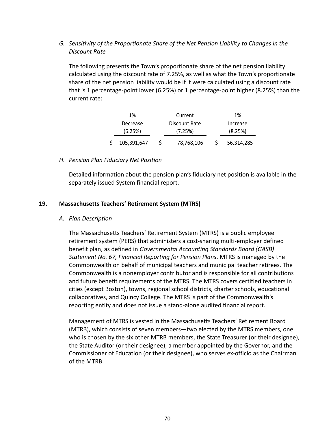*G. Sensitivity of the Proportionate Share of the Net Pension Liability to Changes in the Discount Rate* 

The following presents the Town's proportionate share of the net pension liability calculated using the discount rate of 7.25%, as well as what the Town's proportionate share of the net pension liability would be if it were calculated using a discount rate that is 1 percentage‐point lower (6.25%) or 1 percentage‐point higher (8.25%) than the current rate:

| 1%<br>Current             |  | 1%         |            |
|---------------------------|--|------------|------------|
| Discount Rate<br>Decrease |  | Increase   |            |
| (6.25%)<br>(7.25%)        |  | (8.25%)    |            |
| 105,391,647               |  | 78,768,106 | 56,314,285 |

# *H. Pension Plan Fiduciary Net Position*

Detailed information about the pension plan's fiduciary net position is available in the separately issued System financial report.

# **19. Massachusetts Teachers' Retirement System (MTRS)**

# *A. Plan Description*

The Massachusetts Teachers' Retirement System (MTRS) is a public employee retirement system (PERS) that administers a cost‐sharing multi‐employer defined benefit plan, as defined in *Governmental Accounting Standards Board (GASB) Statement No. 67, Financial Reporting for Pension Plans*. MTRS is managed by the Commonwealth on behalf of municipal teachers and municipal teacher retirees. The Commonwealth is a nonemployer contributor and is responsible for all contributions and future benefit requirements of the MTRS. The MTRS covers certified teachers in cities (except Boston), towns, regional school districts, charter schools, educational collaboratives, and Quincy College. The MTRS is part of the Commonwealth's reporting entity and does not issue a stand‐alone audited financial report.

Management of MTRS is vested in the Massachusetts Teachers' Retirement Board (MTRB), which consists of seven members—two elected by the MTRS members, one who is chosen by the six other MTRB members, the State Treasurer (or their designee), the State Auditor (or their designee), a member appointed by the Governor, and the Commissioner of Education (or their designee), who serves ex‐officio as the Chairman of the MTRB.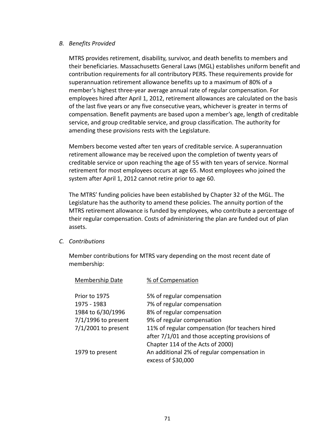### *B. Benefits Provided*

MTRS provides retirement, disability, survivor, and death benefits to members and their beneficiaries. Massachusetts General Laws (MGL) establishes uniform benefit and contribution requirements for all contributory PERS. These requirements provide for superannuation retirement allowance benefits up to a maximum of 80% of a member's highest three‐year average annual rate of regular compensation. For employees hired after April 1, 2012, retirement allowances are calculated on the basis of the last five years or any five consecutive years, whichever is greater in terms of compensation. Benefit payments are based upon a member's age, length of creditable service, and group creditable service, and group classification. The authority for amending these provisions rests with the Legislature.

Members become vested after ten years of creditable service. A superannuation retirement allowance may be received upon the completion of twenty years of creditable service or upon reaching the age of 55 with ten years of service. Normal retirement for most employees occurs at age 65. Most employees who joined the system after April 1, 2012 cannot retire prior to age 60.

The MTRS' funding policies have been established by Chapter 32 of the MGL. The Legislature has the authority to amend these policies. The annuity portion of the MTRS retirement allowance is funded by employees, who contribute a percentage of their regular compensation. Costs of administering the plan are funded out of plan assets.

*C. Contributions* 

Member contributions for MTRS vary depending on the most recent date of membership:

| Membership Date       | % of Compensation                                                                                                                     |
|-----------------------|---------------------------------------------------------------------------------------------------------------------------------------|
| Prior to 1975         | 5% of regular compensation                                                                                                            |
| 1975 - 1983           | 7% of regular compensation                                                                                                            |
| 1984 to 6/30/1996     | 8% of regular compensation                                                                                                            |
| $7/1/1996$ to present | 9% of regular compensation                                                                                                            |
| $7/1/2001$ to present | 11% of regular compensation (for teachers hired<br>after 7/1/01 and those accepting provisions of<br>Chapter 114 of the Acts of 2000) |
| 1979 to present       | An additional 2% of regular compensation in<br>excess of \$30,000                                                                     |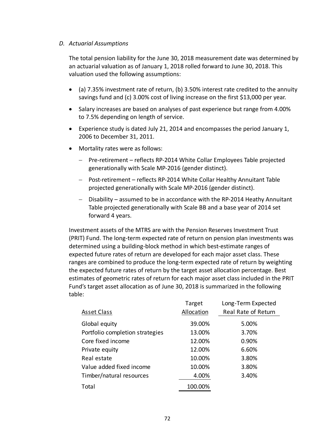### *D. Actuarial Assumptions*

The total pension liability for the June 30, 2018 measurement date was determined by an actuarial valuation as of January 1, 2018 rolled forward to June 30, 2018. This valuation used the following assumptions:

- (a) 7.35% investment rate of return, (b) 3.50% interest rate credited to the annuity savings fund and (c) 3.00% cost of living increase on the first \$13,000 per year.
- Salary increases are based on analyses of past experience but range from 4.00% to 7.5% depending on length of service.
- Experience study is dated July 21, 2014 and encompasses the period January 1, 2006 to December 31, 2011.
- Mortality rates were as follows:
	- Pre-retirement reflects RP-2014 White Collar Employees Table projected generationally with Scale MP‐2016 (gender distinct).
	- Post‐retirement reflects RP‐2014 White Collar Healthy Annuitant Table projected generationally with Scale MP‐2016 (gender distinct).
	- Disability assumed to be in accordance with the RP‐2014 Heathy Annuitant Table projected generationally with Scale BB and a base year of 2014 set forward 4 years.

Investment assets of the MTRS are with the Pension Reserves Investment Trust (PRIT) Fund. The long‐term expected rate of return on pension plan investments was determined using a building‐block method in which best‐estimate ranges of expected future rates of return are developed for each major asset class. These ranges are combined to produce the long-term expected rate of return by weighting the expected future rates of return by the target asset allocation percentage. Best estimates of geometric rates of return for each major asset class included in the PRIT Fund's target asset allocation as of June 30, 2018 is summarized in the following table:

|                                 | Target     | Long-Term Expected  |
|---------------------------------|------------|---------------------|
| <b>Asset Class</b>              | Allocation | Real Rate of Return |
| Global equity                   | 39.00%     | 5.00%               |
| Portfolio completion strategies | 13.00%     | 3.70%               |
| Core fixed income               | 12.00%     | 0.90%               |
| Private equity                  | 12.00%     | 6.60%               |
| Real estate                     | 10.00%     | 3.80%               |
| Value added fixed income        | 10.00%     | 3.80%               |
| Timber/natural resources        | 4.00%      | 3.40%               |
| Total                           | 100.00%    |                     |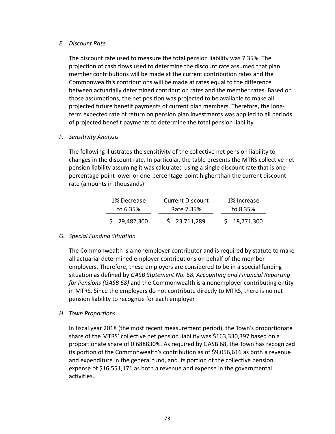### *E. Discount Rate*

The discount rate used to measure the total pension liability was 7.35%. The projection of cash flows used to determine the discount rate assumed that plan member contributions will be made at the current contribution rates and the Commonwealth's contributions will be made at rates equal to the difference between actuarially determined contribution rates and the member rates. Based on those assumptions, the net position was projected to be available to make all projected future benefit payments of current plan members. Therefore, the long‐ term expected rate of return on pension plan investments was applied to all periods of projected benefit payments to determine the total pension liability.

# *F. Sensitivity Analysis*

The following illustrates the sensitivity of the collective net pension liability to changes in the discount rate. In particular, the table presents the MTRS collective net pension liability assuming it was calculated using a single discount rate that is one‐ percentage‐point lower or one‐percentage‐point higher than the current discount rate (amounts in thousands):

| <b>Current Discount</b><br>1% Decrease |              | 1% Increase  |  |  |
|----------------------------------------|--------------|--------------|--|--|
| to 6.35%<br>Rate 7.35%                 |              | to 8.35%     |  |  |
| \$29,482,300                           | \$23,711,289 | \$18,771,300 |  |  |

# *G. Special Funding Situation*

The Commonwealth is a nonemployer contributor and is required by statute to make all actuarial determined employer contributions on behalf of the member employers. Therefore, these employers are considered to be in a special funding situation as defined by *GASB Statement No. 68, Accounting and Financial Reporting for Pensions (GASB 68)* and the Commonwealth is a nonemployer contributing entity in MTRS. Since the employers do not contribute directly to MTRS, there is no net pension liability to recognize for each employer.

### *H. Town Proportions*

In fiscal year 2018 (the most recent measurement period), the Town's proportionate share of the MTRS' collective net pension liability was \$163,330,397 based on a proportionate share of 0.688830%. As required by GASB 68, the Town has recognized its portion of the Commonwealth's contribution as of \$9,056,616 as both a revenue and expenditure in the general fund, and its portion of the collective pension expense of \$16,551,171 as both a revenue and expense in the governmental activities.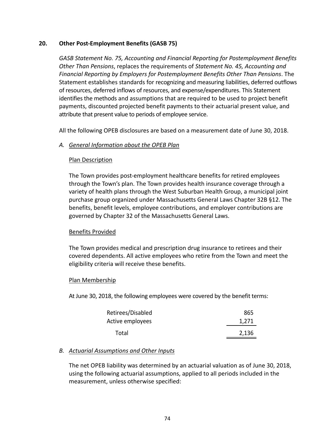# **20. Other Post‐Employment Benefits (GASB 75)**

*GASB Statement No. 75, Accounting and Financial Reporting for Postemployment Benefits Other Than Pensions*, replaces the requirements of *Statement No. 45, Accounting and Financial Reporting by Employers for Postemployment Benefits Other Than Pensions*. The Statement establishes standards for recognizing and measuring liabilities, deferred outflows of resources, deferred inflows of resources, and expense/expenditures. This Statement identifies the methods and assumptions that are required to be used to project benefit payments, discounted projected benefit payments to their actuarial present value, and attribute that present value to periods of employee service.

All the following OPEB disclosures are based on a measurement date of June 30, 2018.

# *A. General Information about the OPEB Plan*

# Plan Description

The Town provides post‐employment healthcare benefits for retired employees through the Town's plan. The Town provides health insurance coverage through a variety of health plans through the West Suburban Health Group, a municipal joint purchase group organized under Massachusetts General Laws Chapter 32B §12. The benefits, benefit levels, employee contributions, and employer contributions are governed by Chapter 32 of the Massachusetts General Laws.

# Benefits Provided

The Town provides medical and prescription drug insurance to retirees and their covered dependents. All active employees who retire from the Town and meet the eligibility criteria will receive these benefits.

# Plan Membership

At June 30, 2018, the following employees were covered by the benefit terms:

| Retirees/Disabled | 865   |
|-------------------|-------|
| Active employees  | 1,271 |
| Total             | 2,136 |

# *B. Actuarial Assumptions and Other Inputs*

The net OPEB liability was determined by an actuarial valuation as of June 30, 2018, using the following actuarial assumptions, applied to all periods included in the measurement, unless otherwise specified: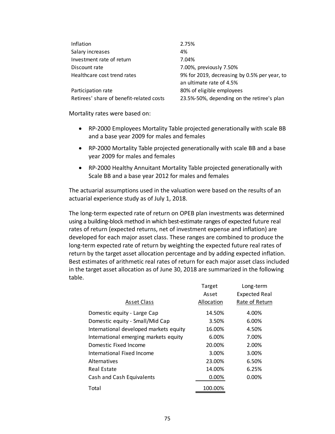| Inflation                                | 2.75%                                        |
|------------------------------------------|----------------------------------------------|
| Salary increases                         | 4%                                           |
| Investment rate of return                | 7.04%                                        |
| Discount rate                            | 7.00%, previously 7.50%                      |
| Healthcare cost trend rates              | 9% for 2019, decreasing by 0.5% per year, to |
|                                          | an ultimate rate of 4.5%                     |
| Participation rate                       | 80% of eligible employees                    |
| Retirees' share of benefit-related costs | 23.5%-50%, depending on the retiree's plan   |

Mortality rates were based on:

- RP-2000 Employees Mortality Table projected generationally with scale BB and a base year 2009 for males and females
- RP-2000 Mortality Table projected generationally with scale BB and a base year 2009 for males and females
- RP-2000 Healthy Annuitant Mortality Table projected generationally with Scale BB and a base year 2012 for males and females

The actuarial assumptions used in the valuation were based on the results of an actuarial experience study as of July 1, 2018.

The long‐term expected rate of return on OPEB plan investments was determined using a building‐block method in which best‐estimate ranges of expected future real rates of return (expected returns, net of investment expense and inflation) are developed for each major asset class. These ranges are combined to produce the long-term expected rate of return by weighting the expected future real rates of return by the target asset allocation percentage and by adding expected inflation. Best estimates of arithmetic real rates of return for each major asset class included in the target asset allocation as of June 30, 2018 are summarized in the following table.

|                                        | Target     | Long-term            |
|----------------------------------------|------------|----------------------|
|                                        | Asset      | <b>Expected Real</b> |
| <b>Asset Class</b>                     | Allocation | Rate of Return       |
| Domestic equity - Large Cap            | 14.50%     | 4.00%                |
| Domestic equity - Small/Mid Cap        | 3.50%      | 6.00%                |
| International developed markets equity | 16.00%     | 4.50%                |
| International emerging markets equity  | 6.00%      | 7.00%                |
| Domestic Fixed Income                  | 20.00%     | 2.00%                |
| International Fixed Income             | 3.00%      | 3.00%                |
| Alternatives                           | 23.00%     | 6.50%                |
| Real Estate                            | 14.00%     | 6.25%                |
| <b>Cash and Cash Equivalents</b>       | 0.00%      | 0.00%                |
| Total                                  | 100.00%    |                      |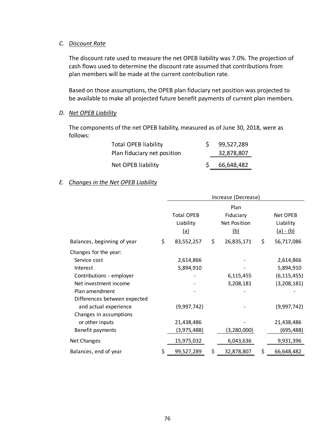#### *C. Discount Rate*

The discount rate used to measure the net OPEB liability was 7.0%. The projection of cash flows used to determine the discount rate assumed that contributions from plan members will be made at the current contribution rate.

Based on those assumptions, the OPEB plan fiduciary net position was projected to be available to make all projected future benefit payments of current plan members.

#### *D. Net OPEB Liability*

The components of the net OPEB liability, measured as of June 30, 2018, were as follows:

| <b>Total OPEB liability</b> | 99,527,289 |
|-----------------------------|------------|
| Plan fiduciary net position | 32,878,807 |
| Net OPEB liability          | 66,648,482 |

### *E. Changes in the Net OPEB Liability*

|                              | Increase (Decrease)                          |    |                                                 |    |                                           |
|------------------------------|----------------------------------------------|----|-------------------------------------------------|----|-------------------------------------------|
|                              | <b>Total OPEB</b><br>Liability<br><u>(a)</u> |    | Plan<br>Fiduciary<br>Net Position<br><u>(b)</u> |    | Net OPEB<br>Liability<br><u>(a) - (b)</u> |
| Balances, beginning of year  | \$<br>83,552,257                             | \$ | 26,835,171                                      | \$ | 56,717,086                                |
| Changes for the year:        |                                              |    |                                                 |    |                                           |
| Service cost                 | 2,614,866                                    |    |                                                 |    | 2,614,866                                 |
| Interest                     | 5,894,910                                    |    |                                                 |    | 5,894,910                                 |
| Contributions - employer     |                                              |    | 6,115,455                                       |    | (6, 115, 455)                             |
| Net investment income        |                                              |    | 3,208,181                                       |    | (3,208,181)                               |
| Plan amendment               |                                              |    |                                                 |    |                                           |
| Differences between expected |                                              |    |                                                 |    |                                           |
| and actual experience        | (9,997,742)                                  |    |                                                 |    | (9,997,742)                               |
| Changes in assumptions       |                                              |    |                                                 |    |                                           |
| or other inputs              | 21,438,486                                   |    |                                                 |    | 21,438,486                                |
| Benefit payments             | (3,975,488)                                  |    | (3,280,000)                                     |    | (695,488)                                 |
| Net Changes                  | 15,975,032                                   |    | 6,043,636                                       |    | 9,931,396                                 |
| Balances, end of year        | \$<br>99,527,289                             | \$ | 32,878,807                                      | \$ | 66,648,482                                |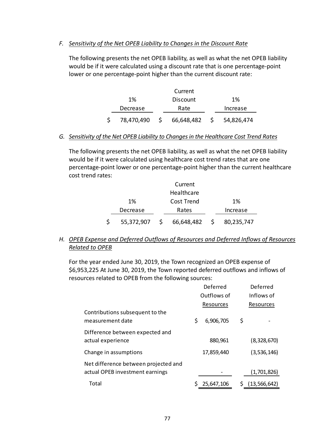# *F. Sensitivity of the Net OPEB Liability to Changes in the Discount Rate*

The following presents the net OPEB liability, as well as what the net OPEB liability would be if it were calculated using a discount rate that is one percentage‐point lower or one percentage‐point higher than the current discount rate:

|            |   | Current         |           |            |
|------------|---|-----------------|-----------|------------|
| 1%         |   | <b>Discount</b> |           | 1%         |
| Decrease   |   | Rate            |           | Increase   |
| 78,470,490 | S | 66,648,482      | $\sim$ \$ | 54,826,474 |

#### *G. Sensitivity of the Net OPEB Liability to Changes in the Healthcare Cost Trend Rates*

The following presents the net OPEB liability, as well as what the net OPEB liability would be if it were calculated using healthcare cost trend rates that are one percentage‐point lower or one percentage‐point higher than the current healthcare cost trend rates:

|              |            |     | Current       |            |
|--------------|------------|-----|---------------|------------|
|              |            |     | Healthcare    |            |
|              | 1%         |     | Cost Trend    | 1%         |
|              | Decrease   |     | Rates         | Increase   |
| <sup>S</sup> | 55,372,907 | - S | 66,648,482 \$ | 80,235,747 |

# *H. OPEB Expense and Deferred Outflows of Resources and Deferred Inflows of Resources Related to OPEB*

For the year ended June 30, 2019, the Town recognized an OPEB expense of \$6,953,225 At June 30, 2019, the Town reported deferred outflows and inflows of resources related to OPEB from the following sources:

|                                                     | Deferred        |    | Deferred       |
|-----------------------------------------------------|-----------------|----|----------------|
|                                                     | Outflows of     |    | Inflows of     |
|                                                     | Resources       |    | Resources      |
| Contributions subsequent to the<br>measurement date | \$<br>6,906,705 | \$ |                |
| Difference between expected and                     |                 |    |                |
| actual experience                                   | 880,961         |    | (8,328,670)    |
| Change in assumptions                               | 17,859,440      |    | (3,536,146)    |
| Net difference between projected and                |                 |    |                |
| actual OPEB investment earnings                     |                 |    | (1,701,826)    |
| Total                                               | 25.647.106      | S. | (13, 566, 642) |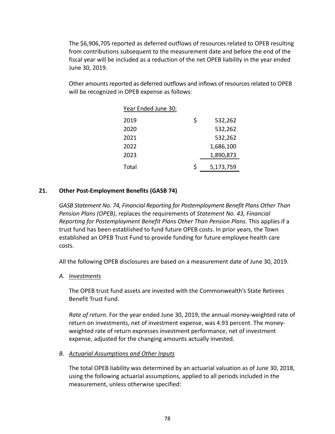The \$6,906,705 reported as deferred outflows of resources related to OPEB resulting from contributions subsequent to the measurement date and before the end of the fiscal year will be included as a reduction of the net OPEB liability in the year ended June 30, 2019.

Other amounts reported as deferred outflows and inflows of resources related to OPEB will be recognized in OPEB expense as follows:

| Year Ended June 30: |   |           |
|---------------------|---|-----------|
| 2019                | Ś | 532,262   |
| 2020                |   | 532,262   |
| 2021                |   | 532,262   |
| 2022                |   | 1,686,100 |
| 2023                |   | 1,890,873 |
| Total               | Ś | 5,173,759 |

# **21. Other Post‐Employment Benefits (GASB 74)**

*GASB Statement No. 74, Financial Reporting for Postemployment Benefit Plans Other Than Pension Plans (OPEB)*, replaces the requirements of *Statement No. 43, Financial Reporting for Postemployment Benefit Plans Other Than Pension Plans*. This applies if a trust fund has been established to fund future OPEB costs. In prior years, the Town established an OPEB Trust Fund to provide funding for future employee health care costs.

All the following OPEB disclosures are based on a measurement date of June 30, 2019.

### *A. Investments*

The OPEB trust fund assets are invested with the Commonwealth's State Retirees Benefit Trust Fund.

*Rate of return.* For the year ended June 30, 2019, the annual money‐weighted rate of return on investments, net of investment expense, was 4.93 percent. The money‐ weighted rate of return expresses investment performance, net of investment expense, adjusted for the changing amounts actually invested.

### *B. Actuarial Assumptions and Other Inputs*

The total OPEB liability was determined by an actuarial valuation as of June 30, 2018, using the following actuarial assumptions, applied to all periods included in the measurement, unless otherwise specified: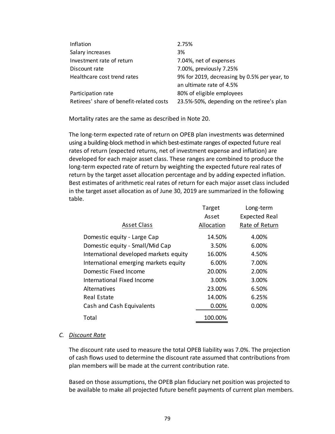| Inflation                                | 2.75%                                        |
|------------------------------------------|----------------------------------------------|
| Salary increases                         | 3%                                           |
| Investment rate of return                | 7.04%, net of expenses                       |
| Discount rate                            | 7.00%, previously 7.25%                      |
| Healthcare cost trend rates              | 9% for 2019, decreasing by 0.5% per year, to |
|                                          | an ultimate rate of 4.5%                     |
| Participation rate                       | 80% of eligible employees                    |
| Retirees' share of benefit-related costs | 23.5%-50%, depending on the retiree's plan   |

Mortality rates are the same as described in Note 20.

The long‐term expected rate of return on OPEB plan investments was determined using a building‐block method in which best‐estimate ranges of expected future real rates of return (expected returns, net of investment expense and inflation) are developed for each major asset class. These ranges are combined to produce the long-term expected rate of return by weighting the expected future real rates of return by the target asset allocation percentage and by adding expected inflation. Best estimates of arithmetic real rates of return for each major asset class included in the target asset allocation as of June 30, 2019 are summarized in the following table.

|                                        | Target     | Long-term            |
|----------------------------------------|------------|----------------------|
|                                        | Asset      | <b>Expected Real</b> |
| <b>Asset Class</b>                     | Allocation | Rate of Return       |
| Domestic equity - Large Cap            | 14.50%     | 4.00%                |
| Domestic equity - Small/Mid Cap        | 3.50%      | 6.00%                |
| International developed markets equity | 16.00%     | 4.50%                |
| International emerging markets equity  | 6.00%      | 7.00%                |
| Domestic Fixed Income                  | 20.00%     | 2.00%                |
| International Fixed Income             | 3.00%      | 3.00%                |
| Alternatives                           | 23.00%     | 6.50%                |
| Real Estate                            | 14.00%     | 6.25%                |
| Cash and Cash Equivalents              | 0.00%      | $0.00\%$             |
| Total                                  | 100.00%    |                      |

### *C. Discount Rate*

The discount rate used to measure the total OPEB liability was 7.0%. The projection of cash flows used to determine the discount rate assumed that contributions from plan members will be made at the current contribution rate.

Based on those assumptions, the OPEB plan fiduciary net position was projected to be available to make all projected future benefit payments of current plan members.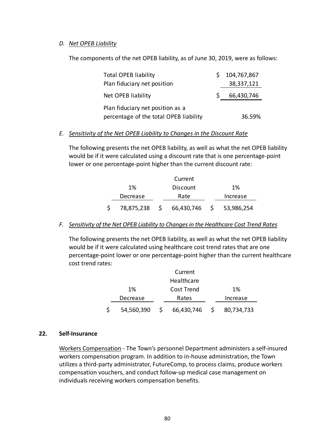# *D. Net OPEB Liability*

The components of the net OPEB liability, as of June 30, 2019, were as follows:

| <b>Total OPEB liability</b>            | 104,767,867 |
|----------------------------------------|-------------|
| Plan fiduciary net position            | 38,337,121  |
| Net OPEB liability                     | 66,430,746  |
| Plan fiduciary net position as a       |             |
| percentage of the total OPEB liability | 36.59%      |

### *E. Sensitivity of the Net OPEB Liability to Changes in the Discount Rate*

The following presents the net OPEB liability, as well as what the net OPEB liability would be if it were calculated using a discount rate that is one percentage-point lower or one percentage‐point higher than the current discount rate:

|    |            |       | Current         |                          |
|----|------------|-------|-----------------|--------------------------|
|    | 1%         |       | <b>Discount</b> | 1%                       |
|    | Decrease   |       | Rate            | Increase                 |
| Ŝ. | 78,875,238 | - \$- |                 | 66,430,746 \$ 53,986,254 |

#### *F. Sensitivity of the Net OPEB Liability to Changes in the Healthcare Cost Trend Rates*

The following presents the net OPEB liability, as well as what the net OPEB liability would be if it were calculated using healthcare cost trend rates that are one percentage‐point lower or one percentage‐point higher than the current healthcare cost trend rates:

|   |            |    | Current       |            |
|---|------------|----|---------------|------------|
|   |            |    | Healthcare    |            |
|   | 1%         |    | Cost Trend    | 1%         |
|   | Decrease   |    | Rates         | Increase   |
| S | 54,560,390 | -S | 66,430,746 \$ | 80,734,733 |

### **22. Self‐Insurance**

Workers Compensation ‐ The Town's personnel Department administers a self‐insured workers compensation program. In addition to in‐house administration, the Town utilizes a third‐party administrator, FutureComp, to process claims, produce workers compensation vouchers, and conduct follow‐up medical case management on individuals receiving workers compensation benefits.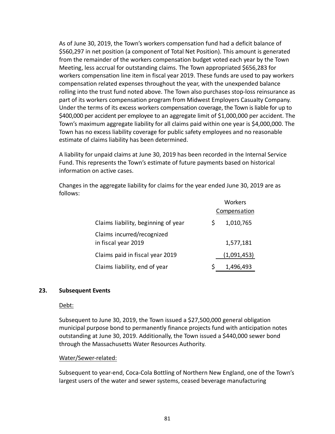As of June 30, 2019, the Town's workers compensation fund had a deficit balance of \$560,297 in net position (a component of Total Net Position). This amount is generated from the remainder of the workers compensation budget voted each year by the Town Meeting, less accrual for outstanding claims. The Town appropriated \$656,283 for workers compensation line item in fiscal year 2019. These funds are used to pay workers compensation related expenses throughout the year, with the unexpended balance rolling into the trust fund noted above. The Town also purchases stop‐loss reinsurance as part of its workers compensation program from Midwest Employers Casualty Company. Under the terms of its excess workers compensation coverage, the Town is liable for up to \$400,000 per accident per employee to an aggregate limit of \$1,000,000 per accident. The Town's maximum aggregate liability for all claims paid within one year is \$4,000,000. The Town has no excess liability coverage for public safety employees and no reasonable estimate of claims liability has been determined.

A liability for unpaid claims at June 30, 2019 has been recorded in the Internal Service Fund. This represents the Town's estimate of future payments based on historical information on active cases.

Changes in the aggregate liability for claims for the year ended June 30, 2019 are as follows:

|                                                   |   | Workers      |
|---------------------------------------------------|---|--------------|
|                                                   |   | Compensation |
| Claims liability, beginning of year               | S | 1,010,765    |
| Claims incurred/recognized<br>in fiscal year 2019 |   | 1,577,181    |
| Claims paid in fiscal year 2019                   |   | (1,091,453)  |
| Claims liability, end of year                     |   | 1,496,493    |

### **23. Subsequent Events**

### Debt:

Subsequent to June 30, 2019, the Town issued a \$27,500,000 general obligation municipal purpose bond to permanently finance projects fund with anticipation notes outstanding at June 30, 2019. Additionally, the Town issued a \$440,000 sewer bond through the Massachusetts Water Resources Authority.

### Water/Sewer-related:

Subsequent to year‐end, Coca‐Cola Bottling of Northern New England, one of the Town's largest users of the water and sewer systems, ceased beverage manufacturing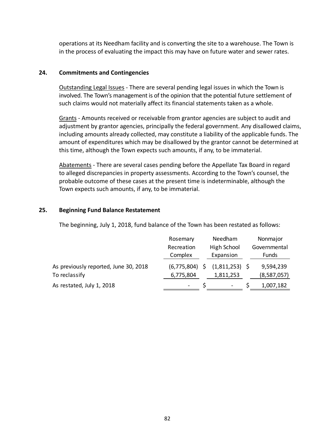operations at its Needham facility and is converting the site to a warehouse. The Town is in the process of evaluating the impact this may have on future water and sewer rates.

#### **24. Commitments and Contingencies**

Outstanding Legal Issues ‐ There are several pending legal issues in which the Town is involved. The Town's management is of the opinion that the potential future settlement of such claims would not materially affect its financial statements taken as a whole.

Grants ‐ Amounts received or receivable from grantor agencies are subject to audit and adjustment by grantor agencies, principally the federal government. Any disallowed claims, including amounts already collected, may constitute a liability of the applicable funds. The amount of expenditures which may be disallowed by the grantor cannot be determined at this time, although the Town expects such amounts, if any, to be immaterial.

Abatements - There are several cases pending before the Appellate Tax Board in regard to alleged discrepancies in property assessments. According to the Town's counsel, the probable outcome of these cases at the present time is indeterminable, although the Town expects such amounts, if any, to be immaterial.

#### **25. Beginning Fund Balance Restatement**

The beginning, July 1, 2018, fund balance of the Town has been restated as follows:

|                                       | Rosemary         | Needham          | Nonmajor     |
|---------------------------------------|------------------|------------------|--------------|
|                                       | Recreation       | High School      | Governmental |
|                                       | Complex          | Expansion        | Funds        |
| As previously reported, June 30, 2018 | $(6,775,804)$ \$ | $(1,811,253)$ \$ | 9,594,239    |
| To reclassify                         | 6,775,804        | 1,811,253        | (8,587,057)  |
| As restated, July 1, 2018             |                  |                  | 1,007,182    |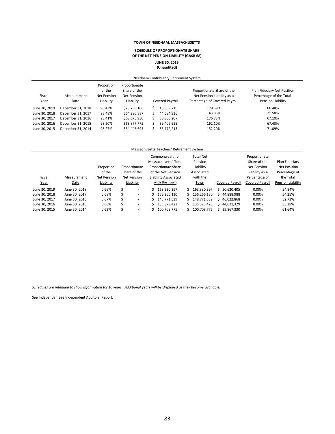#### **SCHEDULE OF PROPORTIONATE SHARE OF THE NET PENSION LIABILITY (GASB 68)**

**JUNE 30, 2019 (Unaudited)**

| Needham Contributory Retirement System |                   |                                     |                                              |   |                 |                                                          |                                                        |  |  |  |
|----------------------------------------|-------------------|-------------------------------------|----------------------------------------------|---|-----------------|----------------------------------------------------------|--------------------------------------------------------|--|--|--|
| Fiscal                                 | Measurement       | Proportion<br>of the<br>Net Pension | Proportionate<br>Share of the<br>Net Pension |   |                 | Proportionate Share of the<br>Net Pension Liability as a | Plan Fiduciary Net Position<br>Percentage of the Total |  |  |  |
| Year                                   | Date              | Liability                           | Liability                                    |   | Covered Payroll | Percentage of Covered Payroll                            | Pension Liability                                      |  |  |  |
| June 30, 2019                          | December 31, 2018 | 98.43%                              | \$78,768,106                                 | S | 43,859,715      | 179.59%                                                  | 66.48%                                                 |  |  |  |
| June 30, 2018                          | December 31, 2017 | 98.48%                              | \$64,280,887                                 | S | 44,684,936      | 143.85%                                                  | 71.58%                                                 |  |  |  |
| June 30, 2017                          | December 31, 2016 | 98.41%                              | \$68,675,930                                 |   | 38,860,207      | 176.73%                                                  | 67.10%                                                 |  |  |  |
| June 30, 2016                          | December 31, 2015 | 98.20%                              | \$63,877,775                                 |   | 39,406,655      | 162.10%                                                  | 67.43%                                                 |  |  |  |
| June 30, 2015                          | December 31, 2014 | 98.27%                              | \$54,445,695                                 |   | 35,772,213      | 152.20%                                                  | 71.09%                                                 |  |  |  |

#### Massachusetts Teachers' Retirement System

|                       |                     | Proportion<br>of the     |   | Proportionate<br>Share of the | Commonwealth of<br>Massachusetts' Total<br>Proportionate Share<br>of the Net Pension |    | Total Net<br>Pension<br>Liability<br>Associated |                        | Proportionate<br>Share of the<br>Net Pension<br>Liability as a | Plan Fiduciary<br><b>Net Position</b><br>Percentage of |
|-----------------------|---------------------|--------------------------|---|-------------------------------|--------------------------------------------------------------------------------------|----|-------------------------------------------------|------------------------|----------------------------------------------------------------|--------------------------------------------------------|
| Fiscal<br><u>Year</u> | Measurement<br>Date | Net Pension<br>Liability |   | Net Pension<br>Liability      | Liability Associated<br>with the Town                                                |    | with the<br><b>Town</b>                         | <b>Covered Pavroll</b> | Percentage of<br>Covered Pavroll                               | the Total<br>Pension Liability                         |
| June 30, 2019         | June 30, 2018       | 0.69%                    |   |                               | 163.330.397                                                                          | Ś  | 163,330,397                                     | 50.620.405             | 0.00%                                                          | 54.84%                                                 |
| June 30, 2018         | June 30, 2017       | 0.68%                    | Ś | $\sim$                        | 156,266,130                                                                          | Ś. | 156,266,130                                     | 44.888.988             | 0.00%                                                          | 54.25%                                                 |
| June 30, 2017         | June 30, 2016       | 0.67%                    |   | $\sim$                        | 148,771,539                                                                          | Ś. | 148,771,539                                     | 46.022.868             | 0.00%                                                          | 52.73%                                                 |
| June 30, 2016         | June 30, 2015       | 0.66%                    |   |                               | 135,373,423                                                                          | Ś. | 135,373,423                                     | 44,621,329             | 0.00%                                                          | 55.38%                                                 |
| June 30, 2015         | June 30, 2014       | 0.63%                    |   | $\sim$                        | 100.708.775                                                                          |    | 100,708,775                                     | 39.867.330             | 0.00%                                                          | 61.64%                                                 |

*Schedules are intended to show information for 10 years. Additional years will be displayed as they become available.*

See IndependentSee Independent Auditors' Report.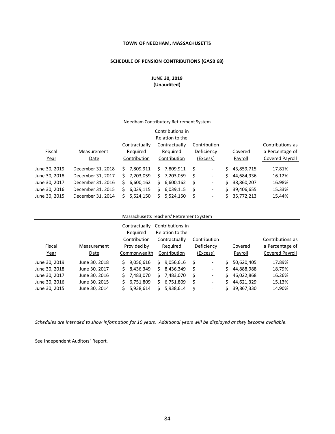#### **SCHEDULE OF PENSION CONTRIBUTIONS (GASB 68)**

#### **JUNE 30, 2019 (Unaudited)**

| Needham Contributory Retirement System                             |                   |                 |    |                  |   |                          |   |            |                 |         |                 |
|--------------------------------------------------------------------|-------------------|-----------------|----|------------------|---|--------------------------|---|------------|-----------------|---------|-----------------|
|                                                                    |                   |                 |    | Contributions in |   |                          |   |            |                 |         |                 |
|                                                                    |                   |                 |    | Relation to the  |   |                          |   |            |                 |         |                 |
| Contributions as<br>Contractually<br>Contractually<br>Contribution |                   |                 |    |                  |   |                          |   |            |                 |         |                 |
| Fiscal                                                             | Measurement       | Required        |    | Required         |   | Deficiency               |   | Covered    | a Percentage of |         |                 |
| Year                                                               | Date              | Contribution    |    | Contribution     |   | (Excess)                 |   |            |                 | Payroll | Covered Payroll |
| June 30, 2019                                                      | December 31, 2018 | 7,809,911<br>S. | S. | 7.809.911        | S | $\overline{\phantom{a}}$ | Ś | 43,859,715 | 17.81%          |         |                 |
| June 30, 2018                                                      | December 31, 2017 | 7,203,059<br>S. | S. | 7,203,059        | S | $\overline{\phantom{a}}$ | Ś | 44,684,936 | 16.12%          |         |                 |
| June 30, 2017                                                      | December 31, 2016 | 6,600,162<br>s  | S. | 6,600,162        | S | -                        | Ś | 38,860,207 | 16.98%          |         |                 |
| June 30, 2016                                                      | December 31, 2015 | 6,039,115<br>S. | s  | 6,039,115        | S | $\overline{\phantom{a}}$ | Ś | 39,406,655 | 15.33%          |         |                 |
| June 30, 2015                                                      | December 31, 2014 | 5,524,150       |    | 5,524,150        |   | $\overline{\phantom{a}}$ |   | 35,772,213 | 15.44%          |         |                 |

#### Massachusetts Teachers' Retirement System

|                                                                                   |                                                                                   | Contractually<br>Required<br>Contribution                                            | Contributions in<br>Relation to the<br>Contractually                               | Contribution                                                 |                                                                                         | Contributions as                               |
|-----------------------------------------------------------------------------------|-----------------------------------------------------------------------------------|--------------------------------------------------------------------------------------|------------------------------------------------------------------------------------|--------------------------------------------------------------|-----------------------------------------------------------------------------------------|------------------------------------------------|
| Fiscal<br>Year                                                                    | Measurement<br>Date                                                               | Provided by<br>Commonwealth                                                          | Reguired<br>Contribution                                                           | Deficiency<br>(Excess)                                       | Covered<br>Payroll                                                                      | a Percentage of<br>Covered Payroll             |
| June 30, 2019<br>June 30, 2018<br>June 30, 2017<br>June 30, 2016<br>June 30, 2015 | June 30, 2018<br>June 30, 2017<br>June 30, 2016<br>June 30, 2015<br>June 30, 2014 | 9,056,616<br>Ś.<br>8,436,349<br>S<br>7,483,070<br>S.<br>6,751,809<br>S.<br>5,938,614 | 9,056,616<br>S<br>8,436,349<br>S<br>7,483,070<br>Ś.<br>6,751,809<br>S<br>5,938,614 | -<br>$\overline{\phantom{a}}$<br>Ś<br>-<br>\$<br>-<br>Ś<br>- | 50,620,405<br>Ś<br>44,888,988<br>Ś<br>46,022,868<br>Ś<br>44,621,329<br>Ś.<br>39,867,330 | 17.89%<br>18.79%<br>16.26%<br>15.13%<br>14.90% |

*Schedules are intended to show information for 10 years. Additional years will be displayed as they become available.*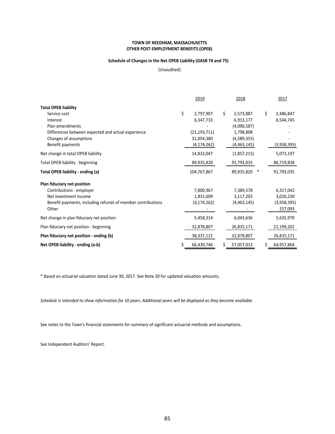#### **TOWN OF NEEDHAM, MASSACHUSETTS OTHER POST‐EMPLOYMENT BENEFITS (OPEB)**

#### **Schedule of Changes in the Net OPEB Liability (GASB 74 and 75)**

(Unaudited)

|                                                             | 2019            | 2018            |        | 2017            |
|-------------------------------------------------------------|-----------------|-----------------|--------|-----------------|
| <b>Total OPEB liability</b>                                 |                 |                 |        |                 |
| Service cost                                                | \$<br>2,797,907 | \$<br>2,573,887 |        | \$<br>2,486,847 |
| Interest                                                    | 6,347,733       | 6,913,177       |        | 6,544,745       |
| Plan amendments                                             |                 | (4,090,587)     |        |                 |
| Differences between expected and actual experience          | (21, 193, 711)  | 1,798,808       |        |                 |
| Changes of assumptions                                      | 31,054,380      | (4,589,355)     |        |                 |
| Benefit payments                                            | (4, 174, 262)   | (4,463,145)     |        | (3,958,395)     |
| Net change in total OPEB liability                          | 14,832,047      | (1,857,215)     |        | 5,073,197       |
| <b>Total OPEB liability - beginning</b>                     | 89,935,820      | 91,793,035      |        | 86,719,838      |
| Total OPEB liability - ending (a)                           | 104,767,867     | 89,935,820      | $\ast$ | 91,793,035      |
| Plan fiduciary net position                                 |                 |                 |        |                 |
| Contributions - employer                                    | 7,800,967       | 7,389,578       |        | 6,317,042       |
| Net investment income                                       | 1,831,609       | 3,117,203       |        | 3,020,230       |
| Benefit payments, including refunds of member contributions | (4, 174, 262)   | (4,463,145)     |        | (3,958,395)     |
| Other                                                       |                 |                 |        | 257,093         |
| Net change in plan fiduciary net position                   | 5,458,314       | 6,043,636       |        | 5,635,970       |
| Plan fiduciary net position - beginning                     | 32,878,807      | 26,835,171      |        | 21,199,201      |
| Plan fiduciary net position - ending (b)                    | 38,337,121      | 32,878,807      |        | 26,835,171      |
| Net OPEB liability - ending (a-b)                           | 66,430,746      | 57,057,013      |        | 64,957,864      |

\* Based on actuarial valuation dated June 30, 2017. See Note 20 for updated valuation amounts.

*Schedule is intended to show information for 10 years. Additional years will be displayed as they become available.*

See notes to the Town's financial statements for summary of significant actuarial methods and assumptions.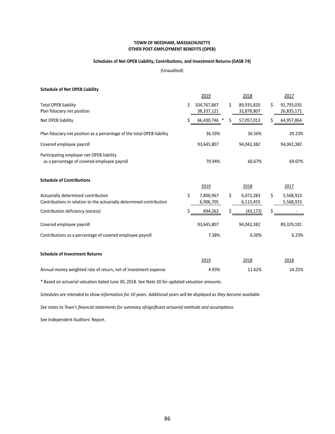#### **TOWN OF NEEDHAM, MASSACHUSETTS OTHER POST‐EMPLOYMENT BENEFITS (OPEB)**

#### **Schedules of Net OPEB Liability, Contributions, and Investment Returns (GASB 74)**

(Unaudited)

| <b>Schedule of Net OPEB Liability</b>                                                                       |    |                        |    |                        |                              |
|-------------------------------------------------------------------------------------------------------------|----|------------------------|----|------------------------|------------------------------|
|                                                                                                             |    | 2019                   |    | 2018                   | 2017                         |
| <b>Total OPEB liability</b>                                                                                 | Ś. | 104,767,867            | \$ | 89,935,820             | \$<br>91,793,035             |
| Plan fiduciary net position                                                                                 |    | 38,337,121             |    | 32,878,807             | 26,835,171                   |
| Net OPEB liability                                                                                          |    | 66,430,746             | Ś  | 57,057,013             | 64,957,864                   |
| Plan fiduciary net position as a percentage of the total OPEB liability                                     |    | 36.59%                 |    | 36.56%                 | 29.23%                       |
| Covered employee payroll                                                                                    |    | 93,645,807             |    | 94,042,382             | 94,042,382                   |
| Participating employer net OPEB liability<br>as a percentage of covered employee payroll                    |    | 70.94%                 |    | 60.67%                 | 69.07%                       |
| <b>Schedule of Contributions</b>                                                                            |    | 2019                   |    | 2018                   | 2017                         |
| Actuarially determined contribution<br>Contributions in relation to the actuarially determined contribution | \$ | 7,800,967<br>6,906,705 | \$ | 6,072,283<br>6,115,455 | \$<br>5,568,923<br>5,568,923 |
| Contribution deficiency (excess)                                                                            |    | 894,262                | Ś  | (43, 172)              |                              |
| Covered employee payroll                                                                                    |    | 93,645,807             |    | 94,042,382             | 89,329,181                   |
| Contributions as a percentage of covered employee payroll                                                   |    | 7.38%                  |    | 6.50%                  | 6.23%                        |
| <b>Schedule of Investment Returns</b>                                                                       |    | 2019                   |    | 2018                   | 2018                         |
| Annual money weighted rate of return, net of investment expense                                             |    | 4.93%                  |    | 11.62%                 | 14.25%                       |

\* Based on actuarial valuation dated June 30, 2018. See Note 20 for updated valuation amounts.

*Schedules are intended to show information for 10 years. Additional years will be displayed as they become available.*

See notes to Town's financial statements for summary ofsignificant actuarial methods and assumptions.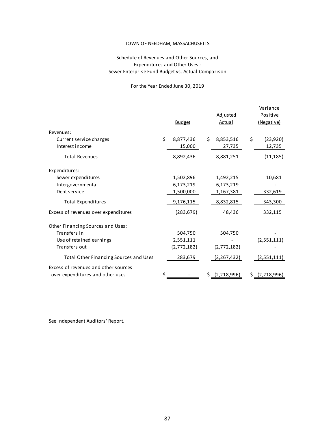#### Schedule of Revenues and Other Sources, and Expenditures and Other Uses ‐ Sewer Enterprise Fund Budget vs. Actual Comparison

#### For the Year Ended June 30, 2019

|                                        |    | <b>Budget</b> |    | Adjusted<br>Actual | Variance<br>Positive<br>(Negative) |
|----------------------------------------|----|---------------|----|--------------------|------------------------------------|
| Revenues:                              |    |               |    |                    |                                    |
| Current service charges                | Ś. | 8,877,436     | Ś. | 8,853,516          | \$<br>(23, 920)                    |
| Interest income                        |    | 15,000        |    | 27,735             | 12,735                             |
| <b>Total Revenues</b>                  |    | 8,892,436     |    | 8,881,251          | (11, 185)                          |
| Expenditures:                          |    |               |    |                    |                                    |
| Sewer expenditures                     |    | 1,502,896     |    | 1,492,215          | 10,681                             |
| Intergovernmental                      |    | 6,173,219     |    | 6,173,219          |                                    |
| Debt service                           |    | 1,500,000     |    | 1,167,381          | 332,619                            |
| <b>Total Expenditures</b>              |    | 9,176,115     |    | 8,832,815          | 343,300                            |
| Excess of revenues over expenditures   |    | (283, 679)    |    | 48,436             | 332,115                            |
| Other Financing Sources and Uses:      |    |               |    |                    |                                    |
| Transfers in                           |    | 504,750       |    | 504,750            |                                    |
| Use of retained earnings               |    | 2,551,111     |    |                    | (2,551,111)                        |
| Transfers out                          |    | (2,772,182)   |    | (2,772,182)        |                                    |
| Total Other Financing Sources and Uses |    | 283,679       |    | (2,267,432)        | (2,551,111)                        |
| Excess of revenues and other sources   |    |               |    |                    |                                    |
| over expenditures and other uses       | \$ |               |    | \$ (2,218,996)     | \$ (2,218,996)                     |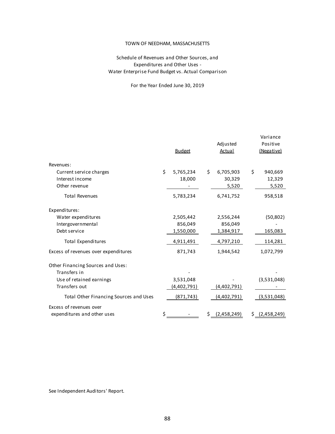#### Expenditures and Other Uses ‐ Schedule of Revenues and Other Sources, and Water Enterprise Fund Budget vs. Actual Comparison

#### For the Year Ended June 30, 2019

|                                        |                 |                   | Variance       |
|----------------------------------------|-----------------|-------------------|----------------|
|                                        |                 | Adjusted          | Positive       |
|                                        | <b>Budget</b>   | Actual            | (Negative)     |
| Revenues:                              |                 |                   |                |
| Current service charges                | \$<br>5,765,234 | \$<br>6,705,903   | \$<br>940,669  |
| Interest income                        | 18,000          | 30,329            | 12,329         |
| Other revenue                          |                 | 5,520             | 5,520          |
| <b>Total Revenues</b>                  | 5,783,234       | 6,741,752         | 958,518        |
| Expenditures:                          |                 |                   |                |
| Water expenditures                     | 2,505,442       | 2,556,244         | (50, 802)      |
| Intergovernmental                      | 856,049         | 856,049           |                |
| Debt service                           | 1,550,000       | 1,384,917         | 165,083        |
| <b>Total Expenditures</b>              | 4,911,491       | 4,797,210         | 114,281        |
| Excess of revenues over expenditures   | 871,743         | 1,944,542         | 1,072,799      |
| Other Financing Sources and Uses:      |                 |                   |                |
| Transfers in                           |                 |                   |                |
| Use of retained earnings               | 3,531,048       |                   | (3,531,048)    |
| Transfers out                          | (4,402,791)     | (4,402,791)       |                |
| Total Other Financing Sources and Uses | (871, 743)      | (4,402,791)       | (3,531,048)    |
| Excess of revenues over                |                 |                   |                |
| expenditures and other uses            | \$              | \$<br>(2,458,249) | \$ (2,458,249) |